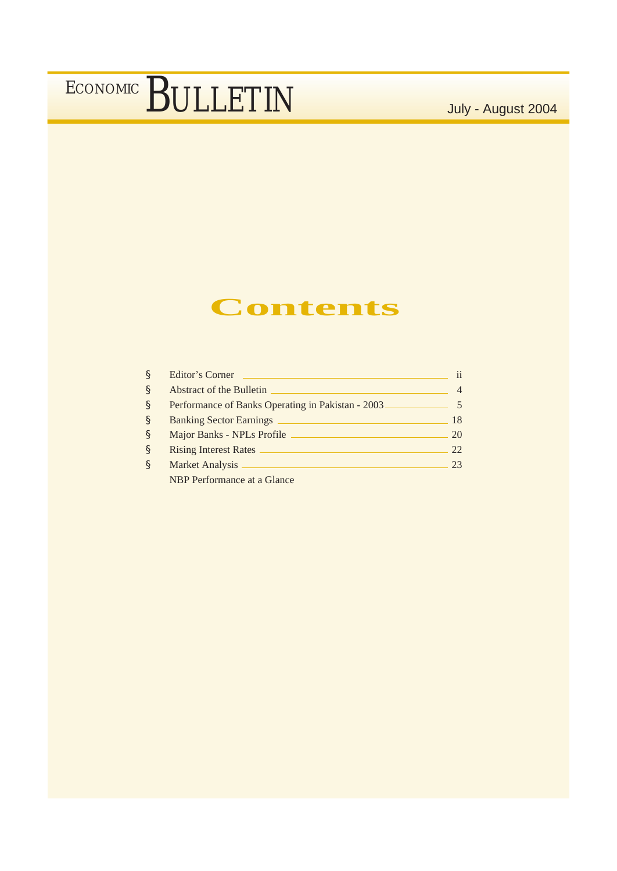## **Contents**

| Ş            | Editor's Corner                                   | ii |
|--------------|---------------------------------------------------|----|
| <sub>S</sub> | Abstract of the Bulletin                          |    |
| <sub>S</sub> | Performance of Banks Operating in Pakistan - 2003 |    |
| <sub>S</sub> | <b>Banking Sector Earnings</b>                    | 18 |
| <sub>S</sub> | Major Banks - NPLs Profile                        | 20 |
| <sub>S</sub> | <b>Rising Interest Rates</b>                      | 22 |
| ş            | Market Analysis _                                 | 23 |
|              | NBP Performance at a Glance                       |    |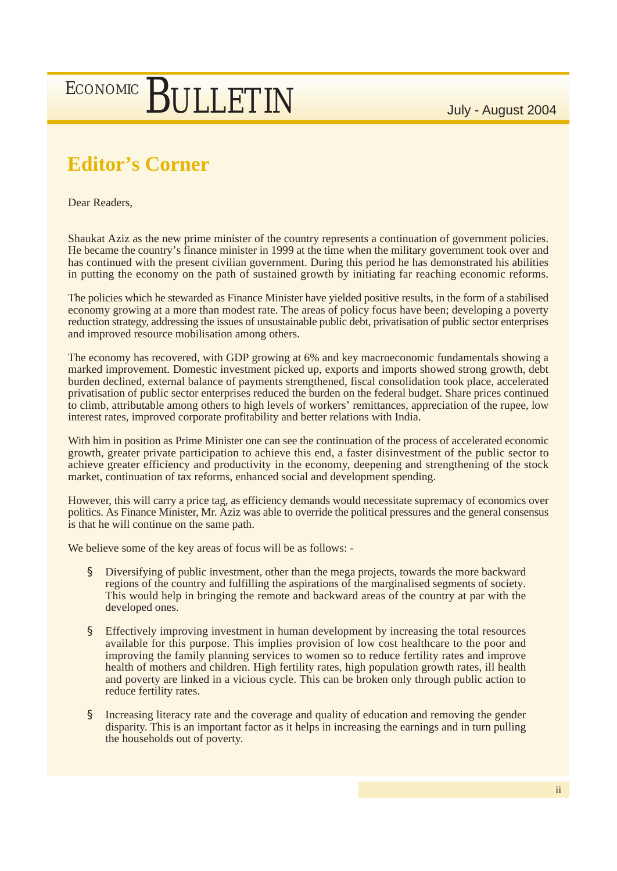# ECONOMIC BULLETIN

## **Editor's Corner**

Dear Readers,

Shaukat Aziz as the new prime minister of the country represents a continuation of government policies. He became the country's finance minister in 1999 at the time when the military government took over and has continued with the present civilian government. During this period he has demonstrated his abilities in putting the economy on the path of sustained growth by initiating far reaching economic reforms.

The policies which he stewarded as Finance Minister have yielded positive results, in the form of a stabilised economy growing at a more than modest rate. The areas of policy focus have been; developing a poverty reduction strategy, addressing the issues of unsustainable public debt, privatisation of public sector enterprises and improved resource mobilisation among others.

The economy has recovered, with GDP growing at 6% and key macroeconomic fundamentals showing a marked improvement. Domestic investment picked up, exports and imports showed strong growth, debt burden declined, external balance of payments strengthened, fiscal consolidation took place, accelerated privatisation of public sector enterprises reduced the burden on the federal budget. Share prices continued to climb, attributable among others to high levels of workers' remittances, appreciation of the rupee, low interest rates, improved corporate profitability and better relations with India.

With him in position as Prime Minister one can see the continuation of the process of accelerated economic growth, greater private participation to achieve this end, a faster disinvestment of the public sector to achieve greater efficiency and productivity in the economy, deepening and strengthening of the stock market, continuation of tax reforms, enhanced social and development spending.

However, this will carry a price tag, as efficiency demands would necessitate supremacy of economics over politics. As Finance Minister, Mr. Aziz was able to override the political pressures and the general consensus is that he will continue on the same path.

We believe some of the key areas of focus will be as follows: -

- § Diversifying of public investment, other than the mega projects, towards the more backward regions of the country and fulfilling the aspirations of the marginalised segments of society. This would help in bringing the remote and backward areas of the country at par with the developed ones.
- § Effectively improving investment in human development by increasing the total resources available for this purpose. This implies provision of low cost healthcare to the poor and improving the family planning services to women so to reduce fertility rates and improve health of mothers and children. High fertility rates, high population growth rates, ill health and poverty are linked in a vicious cycle. This can be broken only through public action to reduce fertility rates.
- § Increasing literacy rate and the coverage and quality of education and removing the gender disparity. This is an important factor as it helps in increasing the earnings and in turn pulling the households out of poverty.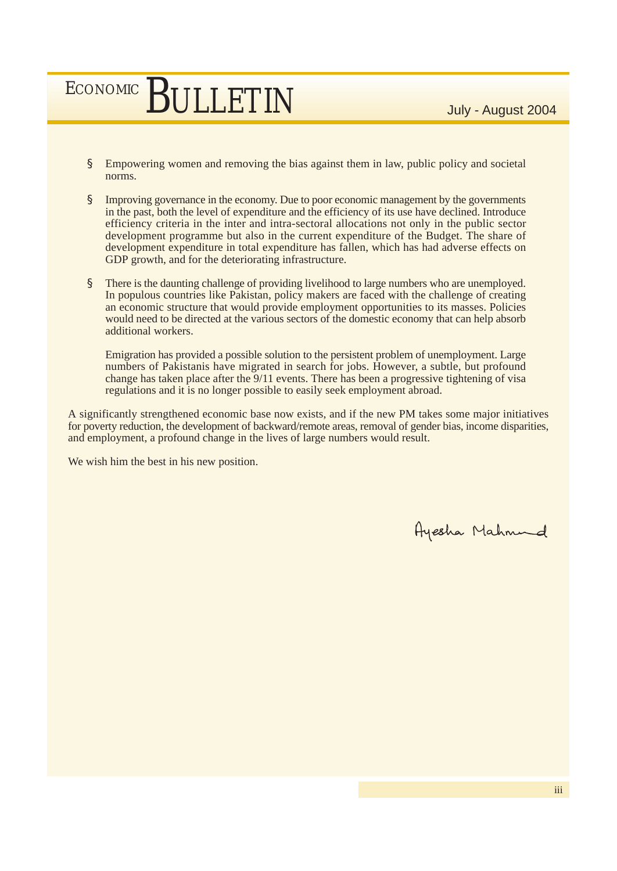# ECONOMIC BULLETIN

- § Empowering women and removing the bias against them in law, public policy and societal norms.
- § Improving governance in the economy. Due to poor economic management by the governments in the past, both the level of expenditure and the efficiency of its use have declined. Introduce efficiency criteria in the inter and intra-sectoral allocations not only in the public sector development programme but also in the current expenditure of the Budget. The share of development expenditure in total expenditure has fallen, which has had adverse effects on GDP growth, and for the deteriorating infrastructure.
- § There is the daunting challenge of providing livelihood to large numbers who are unemployed. In populous countries like Pakistan, policy makers are faced with the challenge of creating an economic structure that would provide employment opportunities to its masses. Policies would need to be directed at the various sectors of the domestic economy that can help absorb additional workers.

Emigration has provided a possible solution to the persistent problem of unemployment. Large numbers of Pakistanis have migrated in search for jobs. However, a subtle, but profound change has taken place after the 9/11 events. There has been a progressive tightening of visa regulations and it is no longer possible to easily seek employment abroad.

A significantly strengthened economic base now exists, and if the new PM takes some major initiatives for poverty reduction, the development of backward/remote areas, removal of gender bias, income disparities, and employment, a profound change in the lives of large numbers would result.

We wish him the best in his new position.

Ayesha Mahnund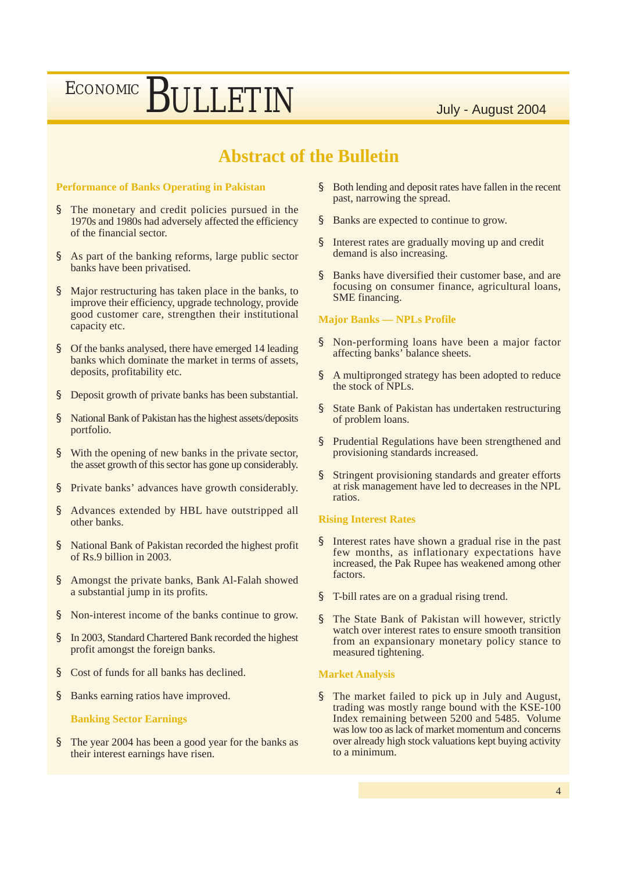### **Abstract of the Bulletin**

#### **Performance of Banks Operating in Pakistan**

- § The monetary and credit policies pursued in the 1970s and 1980s had adversely affected the efficiency of the financial sector.
- § As part of the banking reforms, large public sector banks have been privatised.
- § Major restructuring has taken place in the banks, to improve their efficiency, upgrade technology, provide good customer care, strengthen their institutional capacity etc.
- § Of the banks analysed, there have emerged 14 leading banks which dominate the market in terms of assets, deposits, profitability etc.
- § Deposit growth of private banks has been substantial.
- § National Bank of Pakistan has the highest assets/deposits portfolio.
- § With the opening of new banks in the private sector, the asset growth of this sector has gone up considerably.
- § Private banks' advances have growth considerably.
- § Advances extended by HBL have outstripped all other banks.
- § National Bank of Pakistan recorded the highest profit of Rs.9 billion in 2003.
- § Amongst the private banks, Bank Al-Falah showed a substantial jump in its profits.
- § Non-interest income of the banks continue to grow.
- § In 2003, Standard Chartered Bank recorded the highest profit amongst the foreign banks.
- § Cost of funds for all banks has declined.
- § Banks earning ratios have improved.

#### **Banking Sector Earnings**

§ The year 2004 has been a good year for the banks as their interest earnings have risen.

- § Both lending and deposit rates have fallen in the recent past, narrowing the spread.
- § Banks are expected to continue to grow.
- § Interest rates are gradually moving up and credit demand is also increasing.
- § Banks have diversified their customer base, and are focusing on consumer finance, agricultural loans, SME financing.

#### **Major Banks –– NPLs Profile**

- § Non-performing loans have been a major factor affecting banks' balance sheets.
- § A multipronged strategy has been adopted to reduce the stock of NPLs.
- § State Bank of Pakistan has undertaken restructuring of problem loans.
- § Prudential Regulations have been strengthened and provisioning standards increased.
- § Stringent provisioning standards and greater efforts at risk management have led to decreases in the NPL ratios.

#### **Rising Interest Rates**

- § Interest rates have shown a gradual rise in the past few months, as inflationary expectations have increased, the Pak Rupee has weakened among other factors.
- § T-bill rates are on a gradual rising trend.
- § The State Bank of Pakistan will however, strictly watch over interest rates to ensure smooth transition from an expansionary monetary policy stance to measured tightening.

#### **Market Analysis**

§ The market failed to pick up in July and August, trading was mostly range bound with the KSE-100 Index remaining between 5200 and 5485. Volume was low too as lack of market momentum and concerns over already high stock valuations kept buying activity to a minimum.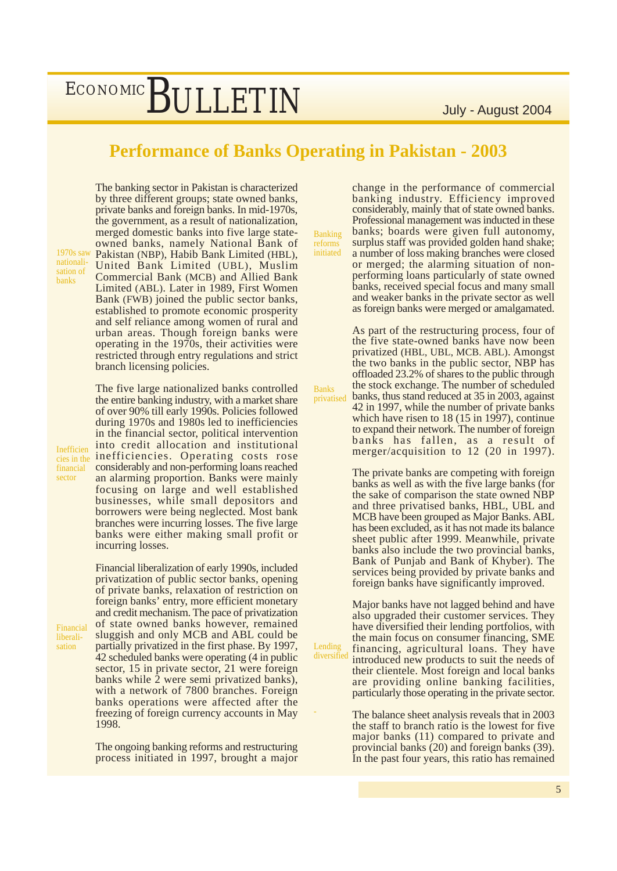### **Performance of Banks Operating in Pakistan - 2003**

1970s saw nationalisation of banks

Inefficien financial sector

The banking sector in Pakistan is characterized by three different groups; state owned banks, private banks and foreign banks. In mid-1970s, the government, as a result of nationalization, merged domestic banks into five large stateowned banks, namely National Bank of Pakistan (NBP), Habib Bank Limited (HBL), United Bank Limited (UBL), Muslim Commercial Bank (MCB) and Allied Bank Limited (ABL). Later in 1989, First Women Bank (FWB) joined the public sector banks, established to promote economic prosperity and self reliance among women of rural and urban areas. Though foreign banks were operating in the 1970s, their activities were restricted through entry regulations and strict branch licensing policies.

The five large nationalized banks controlled the entire banking industry, with a market share of over 90% till early 1990s. Policies followed during 1970s and 1980s led to inefficiencies in the financial sector, political intervention into credit allocation and institutional cies in the **inefficiencies**. Operating costs rose considerably and non-performing loans reached an alarming proportion. Banks were mainly focusing on large and well established businesses, while small depositors and borrowers were being neglected. Most bank branches were incurring losses. The five large banks were either making small profit or incurring losses.

Financial liberalisation

privatization of public sector banks, opening of private banks, relaxation of restriction on foreign banks' entry, more efficient monetary and credit mechanism. The pace of privatization of state owned banks however, remained sluggish and only MCB and ABL could be partially privatized in the first phase. By 1997, 42 scheduled banks were operating (4 in public sector, 15 in private sector, 21 were foreign banks while 2 were semi privatized banks), with a network of 7800 branches. Foreign banks operations were affected after the freezing of foreign currency accounts in May 1998.

Financial liberalization of early 1990s, included

The ongoing banking reforms and restructuring process initiated in 1997, brought a major Banking reforms initiated

Banks

-

Lending

change in the performance of commercial banking industry. Efficiency improved considerably, mainly that of state owned banks. Professional management was inducted in these banks; boards were given full autonomy, surplus staff was provided golden hand shake; a number of loss making branches were closed or merged; the alarming situation of nonperforming loans particularly of state owned banks, received special focus and many small and weaker banks in the private sector as well as foreign banks were merged or amalgamated.

As part of the restructuring process, four of the five state-owned banks have now been privatized (HBL, UBL, MCB. ABL). Amongst the two banks in the public sector, NBP has offloaded 23.2% of shares to the public through the stock exchange. The number of scheduled banks, thus stand reduced at 35 in 2003, against 42 in 1997, while the number of private banks which have risen to 18 (15 in 1997), continue to expand their network. The number of foreign banks has fallen, as a result of merger/acquisition to 12 (20 in 1997). privatised

> The private banks are competing with foreign banks as well as with the five large banks (for the sake of comparison the state owned NBP and three privatised banks, HBL, UBL and MCB have been grouped as Major Banks. ABL has been excluded, as it has not made its balance sheet public after 1999. Meanwhile, private banks also include the two provincial banks, Bank of Punjab and Bank of Khyber). The services being provided by private banks and foreign banks have significantly improved.

Major banks have not lagged behind and have also upgraded their customer services. They have diversified their lending portfolios, with the main focus on consumer financing, SME financing, agricultural loans. They have introduced new products to suit the needs of their clientele. Most foreign and local banks are providing online banking facilities, particularly those operating in the private sector. diversified

> The balance sheet analysis reveals that in 2003 the staff to branch ratio is the lowest for five major banks (11) compared to private and provincial banks (20) and foreign banks (39). In the past four years, this ratio has remained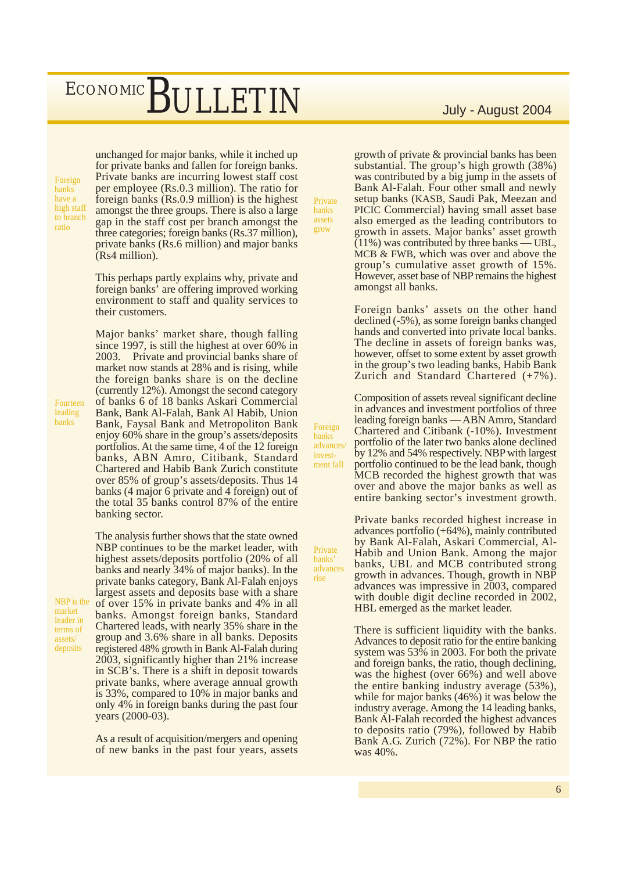Foreign banks have a high staff to branch ratio

unchanged for major banks, while it inched up for private banks and fallen for foreign banks. Private banks are incurring lowest staff cost per employee (Rs.0.3 million). The ratio for foreign banks (Rs.0.9 million) is the highest amongst the three groups. There is also a large gap in the staff cost per branch amongst the three categories; foreign banks (Rs.37 million), private banks (Rs.6 million) and major banks (Rs4 million).

This perhaps partly explains why, private and foreign banks' are offering improved working environment to staff and quality services to their customers.

Major banks' market share, though falling since 1997, is still the highest at over 60% in 2003. Private and provincial banks share of market now stands at 28% and is rising, while the foreign banks share is on the decline (currently 12%). Amongst the second category of banks 6 of 18 banks Askari Commercial Bank, Bank Al-Falah, Bank Al Habib, Union Bank, Faysal Bank and Metropoliton Bank enjoy 60% share in the group's assets/deposits portfolios. At the same time, 4 of the 12 foreign banks, ABN Amro, Citibank, Standard Chartered and Habib Bank Zurich constitute over 85% of group's assets/deposits. Thus 14 banks (4 major 6 private and 4 foreign) out of the total 35 banks control 87% of the entire banking sector.

The analysis further shows that the state owned NBP continues to be the market leader, with highest assets/deposits portfolio (20% of all banks and nearly 34% of major banks). In the private banks category, Bank Al-Falah enjoys largest assets and deposits base with a share of over 15% in private banks and 4% in all banks. Amongst foreign banks, Standard Chartered leads, with nearly 35% share in the group and 3.6% share in all banks. Deposits registered 48% growth in Bank Al-Falah during 2003, significantly higher than 21% increase in SCB's. There is a shift in deposit towards private banks, where average annual growth is 33%, compared to 10% in major banks and only 4% in foreign banks during the past four years (2000-03).

As a result of acquisition/mergers and opening of new banks in the past four years, assets

Private banks assets grow

> Foreign banks advances/ investment fall

Private banks' advances rise

growth of private & provincial banks has been substantial. The group's high growth (38%) was contributed by a big jump in the assets of Bank Al-Falah. Four other small and newly setup banks (KASB, Saudi Pak, Meezan and PICIC Commercial) having small asset base also emerged as the leading contributors to growth in assets. Major banks' asset growth (11%) was contributed by three banks — UBL, MCB & FWB, which was over and above the group's cumulative asset growth of 15%. However, asset base of NBP remains the highest amongst all banks.

Foreign banks' assets on the other hand declined (-5%), as some foreign banks changed hands and converted into private local banks. The decline in assets of foreign banks was, however, offset to some extent by asset growth in the group's two leading banks, Habib Bank Zurich and Standard Chartered (+7%).

Composition of assets reveal significant decline in advances and investment portfolios of three leading foreign banks — ABN Amro, Standard Chartered and Citibank (-10%). Investment portfolio of the later two banks alone declined by 12% and 54% respectively. NBP with largest portfolio continued to be the lead bank, though MCB recorded the highest growth that was over and above the major banks as well as entire banking sector's investment growth.

Private banks recorded highest increase in advances portfolio (+64%), mainly contributed by Bank Al-Falah, Askari Commercial, Al-Habib and Union Bank. Among the major banks, UBL and MCB contributed strong growth in advances. Though, growth in NBP advances was impressive in 2003, compared with double digit decline recorded in 2002, HBL emerged as the market leader.

There is sufficient liquidity with the banks. Advances to deposit ratio for the entire banking system was 53% in 2003. For both the private and foreign banks, the ratio, though declining, was the highest (over 66%) and well above the entire banking industry average (53%), while for major banks (46%) it was below the industry average. Among the 14 leading banks, Bank Al-Falah recorded the highest advances to deposits ratio (79%), followed by Habib Bank A.G. Zurich (72%). For NBP the ratio was 40%.

Fourteen leading banks

NBP is the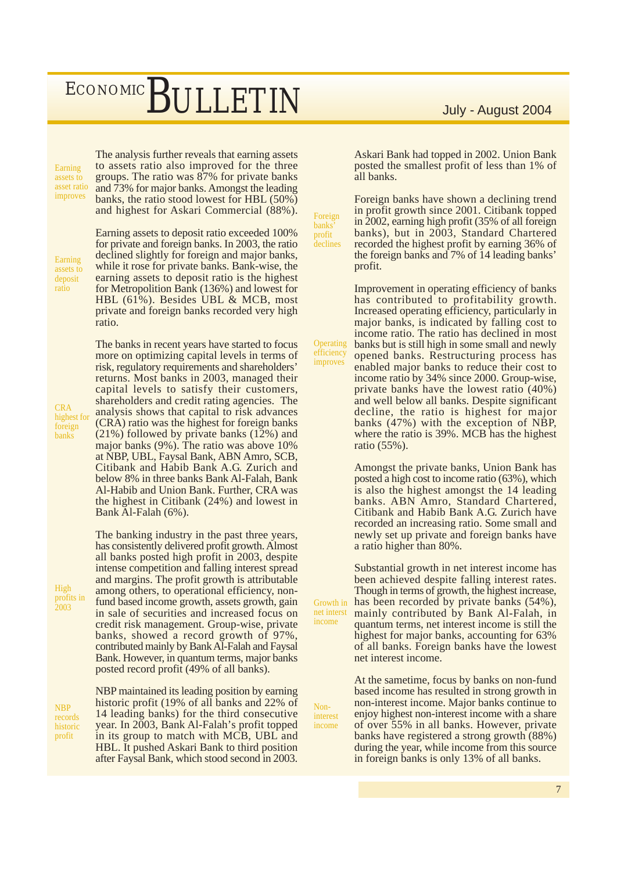Earning assets to asset ratio improves

The analysis further reveals that earning assets to assets ratio also improved for the three groups. The ratio was 87% for private banks and 73% for major banks. Amongst the leading banks, the ratio stood lowest for HBL (50%) and highest for Askari Commercial (88%).

Earning assets to deposit ratio

**CRA** highest for foreign banks

Earning assets to deposit ratio exceeded 100% for private and foreign banks. In 2003, the ratio declined slightly for foreign and major banks, while it rose for private banks. Bank-wise, the earning assets to deposit ratio is the highest for Metropolition Bank (136%) and lowest for HBL (61%). Besides UBL & MCB, most private and foreign banks recorded very high ratio.

The banks in recent years have started to focus more on optimizing capital levels in terms of risk, regulatory requirements and shareholders' returns. Most banks in 2003, managed their capital levels to satisfy their customers, shareholders and credit rating agencies. The analysis shows that capital to risk advances (CRA) ratio was the highest for foreign banks (21%) followed by private banks (12%) and major banks (9%). The ratio was above 10% at NBP, UBL, Faysal Bank, ABN Amro, SCB, Citibank and Habib Bank A.G. Zurich and below 8% in three banks Bank Al-Falah, Bank Al-Habib and Union Bank. Further, CRA was the highest in Citibank (24%) and lowest in Bank Al-Falah (6%).

The banking industry in the past three years, has consistently delivered profit growth. Almost all banks posted high profit in 2003, despite intense competition and falling interest spread and margins. The profit growth is attributable among others, to operational efficiency, nonfund based income growth, assets growth, gain in sale of securities and increased focus on credit risk management. Group-wise, private banks, showed a record growth of 97%, contributed mainly by Bank Al-Falah and Faysal Bank. However, in quantum terms, major banks posted record profit (49% of all banks).

NBP maintained its leading position by earning historic profit (19% of all banks and 22% of 14 leading banks) for the third consecutive year. In 2003, Bank Al-Falah's profit topped in its group to match with MCB, UBL and HBL. It pushed Askari Bank to third position after Faysal Bank, which stood second in 2003.

Askari Bank had topped in 2002. Union Bank posted the smallest profit of less than 1% of all banks.

Foreign banks have shown a declining trend in profit growth since 2001. Citibank topped in 2002, earning high profit (35% of all foreign banks), but in 2003, Standard Chartered recorded the highest profit by earning 36% of the foreign banks and 7% of 14 leading banks' profit.

Foreign banks' profit **declines** 

**Operating** efficiency improves

income

Noninterest income Improvement in operating efficiency of banks has contributed to profitability growth. Increased operating efficiency, particularly in major banks, is indicated by falling cost to income ratio. The ratio has declined in most banks but is still high in some small and newly opened banks. Restructuring process has enabled major banks to reduce their cost to income ratio by 34% since 2000. Group-wise, private banks have the lowest ratio (40%) and well below all banks. Despite significant decline, the ratio is highest for major banks (47%) with the exception of NBP, where the ratio is 39%. MCB has the highest ratio (55%).

Amongst the private banks, Union Bank has posted a high cost to income ratio (63%), which is also the highest amongst the 14 leading banks. ABN Amro, Standard Chartered, Citibank and Habib Bank A.G. Zurich have recorded an increasing ratio. Some small and newly set up private and foreign banks have a ratio higher than 80%.

Substantial growth in net interest income has been achieved despite falling interest rates. Though in terms of growth, the highest increase, has been recorded by private banks (54%), mainly contributed by Bank Al-Falah, in quantum terms, net interest income is still the highest for major banks, accounting for 63% of all banks. Foreign banks have the lowest net interest income. Growth in net interst

> At the sametime, focus by banks on non-fund based income has resulted in strong growth in non-interest income. Major banks continue to enjoy highest non-interest income with a share of over 55% in all banks. However, private banks have registered a strong growth (88%) during the year, while income from this source in foreign banks is only 13% of all banks.

High profits in 2003

NBP records historic profit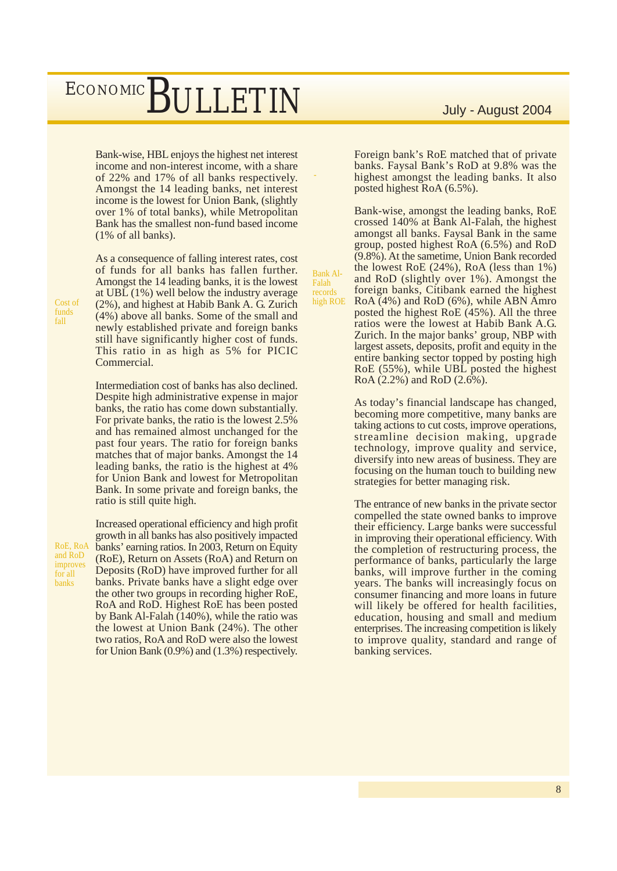Bank-wise, HBL enjoys the highest net interest income and non-interest income, with a share of 22% and 17% of all banks respectively. Amongst the 14 leading banks, net interest income is the lowest for Union Bank, (slightly over 1% of total banks), while Metropolitan Bank has the smallest non-fund based income (1% of all banks).

-

Bank Al-Falah records

As a consequence of falling interest rates, cost of funds for all banks has fallen further. Amongst the 14 leading banks, it is the lowest at UBL (1%) well below the industry average (2%), and highest at Habib Bank A. G. Zurich (4%) above all banks. Some of the small and newly established private and foreign banks still have significantly higher cost of funds. This ratio in as high as 5% for PICIC Commercial.

Intermediation cost of banks has also declined. Despite high administrative expense in major banks, the ratio has come down substantially. For private banks, the ratio is the lowest 2.5% and has remained almost unchanged for the past four years. The ratio for foreign banks matches that of major banks. Amongst the 14 leading banks, the ratio is the highest at 4% for Union Bank and lowest for Metropolitan Bank. In some private and foreign banks, the ratio is still quite high.

RoE, RoA and RoD improves for all banks

Increased operational efficiency and high profit growth in all banks has also positively impacted banks' earning ratios. In 2003, Return on Equity (RoE), Return on Assets (RoA) and Return on Deposits (RoD) have improved further for all banks. Private banks have a slight edge over the other two groups in recording higher RoE, RoA and RoD. Highest RoE has been posted by Bank Al-Falah (140%), while the ratio was the lowest at Union Bank (24%). The other two ratios, RoA and RoD were also the lowest for Union Bank (0.9%) and (1.3%) respectively.

Foreign bank's RoE matched that of private banks. Faysal Bank's RoD at 9.8% was the highest amongst the leading banks. It also posted highest RoA (6.5%).

Bank-wise, amongst the leading banks, RoE crossed 140% at Bank Al-Falah, the highest amongst all banks. Faysal Bank in the same group, posted highest RoA (6.5%) and RoD (9.8%). At the sametime, Union Bank recorded the lowest RoE (24%), RoA (less than 1%) and RoD (slightly over 1%). Amongst the foreign banks, Citibank earned the highest RoA (4%) and RoD (6%), while ABN Amro posted the highest RoE (45%). All the three ratios were the lowest at Habib Bank A.G. Zurich. In the major banks' group, NBP with largest assets, deposits, profit and equity in the entire banking sector topped by posting high RoE (55%), while UBL posted the highest RoA (2.2%) and RoD (2.6%). high ROE

> As today's financial landscape has changed, becoming more competitive, many banks are taking actions to cut costs, improve operations, streamline decision making, upgrade technology, improve quality and service, diversify into new areas of business. They are focusing on the human touch to building new strategies for better managing risk.

> The entrance of new banks in the private sector compelled the state owned banks to improve their efficiency. Large banks were successful in improving their operational efficiency. With the completion of restructuring process, the performance of banks, particularly the large banks, will improve further in the coming years. The banks will increasingly focus on consumer financing and more loans in future will likely be offered for health facilities, education, housing and small and medium enterprises. The increasing competition is likely to improve quality, standard and range of banking services.

Cost of funds fall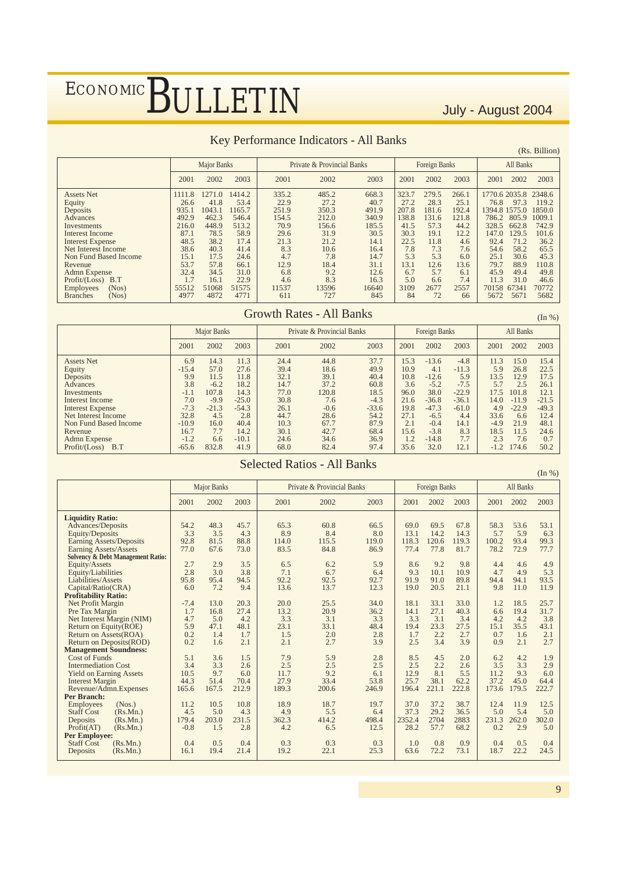#### Key Performance Indicators - All Banks

|                          |        |                    |        |       |                            |       |       |                      |       |               |           | (Rs. Billion) |
|--------------------------|--------|--------------------|--------|-------|----------------------------|-------|-------|----------------------|-------|---------------|-----------|---------------|
|                          |        | <b>Major Banks</b> |        |       | Private & Provincial Banks |       |       | <b>Foreign Banks</b> |       |               | All Banks |               |
|                          | 2001   | 2002               | 2003   | 2001  | 2002                       | 2003  | 2001  | 2002                 | 2003  | 2001          | 2002      | 2003          |
| <b>Assets Net</b>        | 1111.8 | 1271<br>$\Omega$   | 1414.2 | 335.2 | 485.2                      | 668.3 | 323.7 | 279.5                | 266.1 | 1770.6 2035.8 |           | 2348.6        |
| Equity                   | 26.6   | 41.8               | 53.4   | 22.9  | 27.2                       | 40.7  | 27.2  | 28.3                 | 25.1  | 76.8          | 97.3      | 119.2         |
| Deposits                 | 935.1  | 043.1              | 165.7  | 251.9 | 350.3                      | 491.9 | 207.8 | 181.6                | 192.4 | 1394.8 1575.0 |           | 1850.0        |
| Advances                 | 492.9  | 462.3              | 546.4  | 154.5 | 212.0                      | 340.9 | 138.8 | 131.6                | 121.8 | 786.2         | 805.9     | 1009.1        |
| Investments              | 216.0  | 448.9              | 513.2  | 70.9  | 156.6                      | 185.5 | 41.5  | 57.3                 | 44.2  | 328.5         | 662.8     | 742.9         |
| Interest Income          | 87.1   | 78.5               | 58.9   | 29.6  | 31.9                       | 30.5  | 30.3  | 19.1                 | 12.2  | 147.0         | 129.5     | 101.6         |
| <b>Interest Expense</b>  | 48.5   | 38.2               | 17.4   | 21.3  | 21.2                       | 14.1  | 22.5  | 11.8                 | 4.6   | 92.4          | 71.2      | 36.2          |
| Net Interest Income      | 38.6   | 40.3               | 41.4   | 8.3   | 10.6                       | 16.4  | 7.8   | 7.3                  | 7.6   | 54.6          | 58.2      | 65.5          |
| Non Fund Based Income    | 15.1   | 17.5               | 24.6   | 4.7   | 7.8                        | 14.7  | 5.3   | 5.3                  | 6.0   | 25.1          | 30.6      | 45.3          |
| Revenue                  | 53.7   | 57.8               | 66.1   | 12.9  | 18.4                       | 31.1  | 13.1  | 12.6                 | 13.6  | 79.7          | 88.9      | 110.8         |
| <b>Admn</b> Expense      | 32.4   | 34.5               | 31.0   | 6.8   | 9.2                        | 12.6  | 6.7   | 5.7                  | 6.1   | 45.9          | 49.4      | 49.8          |
| Profit / (Loss)<br>B.T   | 1.7    | 16.1               | 22.9   | 4.6   | 8.3                        | 16.3  | 5.0   | 6.6                  | 7.4   | 11.3          | 31.0      | 46.6          |
| (Nos)<br>Employees       | 55512  | 51068              | 51575  | 11537 | 13596                      | 16640 | 3109  | 2677                 | 2557  | 70158         | 67341     | 70772         |
| (Nos)<br><b>Branches</b> | 4977   | 4872               | 4771   | 611   | 727                        | 845   | 84    | 72                   | 66    | 5672          | 5671      | 5682          |

#### Growth Rates - All Banks

(In %)

|                                                                                                                                                                                             |                                                                                              | Major Banks                                                                               |                                                                                              |                                                                                      | Private & Provincial Banks                                                             |                                                                                           |                                                                                   | Foreign Banks                                                                                              |                                                                                                  |                                                                                    | All Banks                                                                                |                                                                                           |
|---------------------------------------------------------------------------------------------------------------------------------------------------------------------------------------------|----------------------------------------------------------------------------------------------|-------------------------------------------------------------------------------------------|----------------------------------------------------------------------------------------------|--------------------------------------------------------------------------------------|----------------------------------------------------------------------------------------|-------------------------------------------------------------------------------------------|-----------------------------------------------------------------------------------|------------------------------------------------------------------------------------------------------------|--------------------------------------------------------------------------------------------------|------------------------------------------------------------------------------------|------------------------------------------------------------------------------------------|-------------------------------------------------------------------------------------------|
|                                                                                                                                                                                             | 2001                                                                                         | 2002                                                                                      | 2003                                                                                         | 2001                                                                                 | 2002                                                                                   | 2003                                                                                      | 2001                                                                              | 2002                                                                                                       | 2003                                                                                             | 2001                                                                               | 2002                                                                                     | 2003                                                                                      |
| <b>Assets Net</b><br>Equity<br>Deposits<br>Advances<br>Investments<br>Interest Income<br><b>Interest Expense</b><br>Net Interest Income<br>Non Fund Based Income<br>Revenue<br>Admn Expense | 6.9<br>$-15.4$<br>9.9<br>3.8<br>$-1.1$<br>7.0<br>$-7.3$<br>32.8<br>$-10.9$<br>16.7<br>$-1.2$ | 14.3<br>57.0<br>11.5<br>$-6.2$<br>107.8<br>$-9.9$<br>$-21.3$<br>4.5<br>16.0<br>7.7<br>6.6 | 11.3<br>27.6<br>11.8<br>18.2<br>14.3<br>$-25.0$<br>$-54.3$<br>2.8<br>40.4<br>14.2<br>$-10.1$ | 24.4<br>39.4<br>32.1<br>14.7<br>77.0<br>30.8<br>26.1<br>44.7<br>10.3<br>30.1<br>24.6 | 44.8<br>18.6<br>39.1<br>37.2<br>120.8<br>7.6<br>$-0.6$<br>28.6<br>67.7<br>42.7<br>34.6 | 37.7<br>49.9<br>40.4<br>60.8<br>18.5<br>$-4.3$<br>$-33.6$<br>54.2<br>87.9<br>68.4<br>36.9 | 15.3<br>10.9<br>10.8<br>3.6<br>96.0<br>21.6<br>19.8<br>27.1<br>2.1<br>15.6<br>1.2 | $-13.6$<br>4.1<br>$-12.6$<br>$-5.2$<br>38.0<br>$-36.8$<br>$-47.3$<br>$-6.5$<br>$-0.4$<br>$-3.8$<br>$-14.8$ | $-4.8$<br>$-11.3$<br>5.9<br>$-7.5$<br>$-22.9$<br>$-36.1$<br>$-61.0$<br>4.4<br>14.1<br>8.3<br>7.7 | 11.3<br>5.9<br>13.5<br>5.7<br>17.5<br>14.0<br>4.9<br>33.6<br>$-4.9$<br>18.5<br>2.3 | 15.0<br>26.8<br>12.9<br>2.5<br>101.8<br>$-11.9$<br>$-22.9$<br>6.6<br>21.9<br>11.5<br>7.6 | 15.4<br>22.5<br>17.5<br>26.1<br>12.1<br>$-21.5$<br>$-49.3$<br>12.4<br>48.1<br>24.6<br>0.7 |
| Profit / (Loss)<br>B.T                                                                                                                                                                      | $-65.6$                                                                                      | 832.8                                                                                     | 41.9                                                                                         | 68.0                                                                                 | 82.4                                                                                   | 97.4                                                                                      | 35.6                                                                              | 32.0                                                                                                       | 12.1                                                                                             | $-1.2$                                                                             | 174.6                                                                                    | 50.2                                                                                      |

#### Selected Ratios - All Banks

(In %)

|                                              |        | <b>Major Banks</b> |       |       | Private & Provincial Banks |       |        | <b>Foreign Banks</b> |       |       | All Banks |       |
|----------------------------------------------|--------|--------------------|-------|-------|----------------------------|-------|--------|----------------------|-------|-------|-----------|-------|
|                                              | 2001   | 2002               | 2003  | 2001  | 2002                       | 2003  | 2001   | 2002                 | 2003  | 2001  | 2002      | 2003  |
| <b>Liquidity Ratio:</b>                      |        |                    |       |       |                            |       |        |                      |       |       |           |       |
| Advances/Deposits                            | 54.2   | 48.3               | 45.7  | 65.3  | 60.8                       | 66.5  | 69.0   | 69.5                 | 67.8  | 58.3  | 53.6      | 53.1  |
| Equity/Deposits                              | 3.3    | 3.5                | 4.3   | 8.9   | 8.4                        | 8.0   | 13.1   | 14.2                 | 14.3  | 5.7   | 5.9       | 6.3   |
| <b>Earning Assets/Deposits</b>               | 92.8   | 81.5               | 88.8  | 114.0 | 115.5                      | 119.0 | 118.3  | 120.6                | 119.3 | 100.2 | 93.4      | 99.3  |
| <b>Earning Assets/Assets</b>                 | 77.0   | 67.6               | 73.0  | 83.5  | 84.8                       | 86.9  | 77.4   | 77.8                 | 81.7  | 78.2  | 72.9      | 77.7  |
| <b>Solvency &amp; Debt Management Ratio:</b> |        |                    |       |       |                            |       |        |                      |       |       |           |       |
| Equity/Assets                                | 2.7    | 2.9                | 3.5   | 6.5   | 6.2                        | 5.9   | 8.6    | 9.2                  | 9.8   | 4.4   | 4.6       | 4.9   |
| Equity/Liabilities                           | 2.8    | 3.0                | 3.8   | 7.1   | 6.7                        | 6.4   | 9.3    | 10.1                 | 10.9  | 4.7   | 4.9       | 5.3   |
| Liabilities/Assets                           | 95.8   | 95.4               | 94.5  | 92.2  | 92.5                       | 92.7  | 91.9   | 91.0                 | 89.8  | 94.4  | 94.1      | 93.5  |
| Capital/Ratio(CRA)                           | 6.0    | 7.2                | 9.4   | 13.6  | 13.7                       | 12.3  | 19.0   | 20.5                 | 21.1  | 9.8   | 11.0      | 11.9  |
| <b>Profitability Ratio:</b>                  |        |                    |       |       |                            |       |        |                      |       |       |           |       |
| Net Profit Margin                            | $-7.4$ | 13.0               | 20.3  | 20.0  | 25.5                       | 34.0  | 18.1   | 33.1                 | 33.0  | 1.2   | 18.5      | 25.7  |
| Pre Tax Margin                               | 1.7    | 16.8               | 27.4  | 13.2  | 20.9                       | 36.2  | 14.1   | 27.1                 | 40.3  | 6.6   | 19.4      | 31.7  |
| Net Interest Margin (NIM)                    | 4.7    | 5.0                | 4.2   | 3.3   | 3.1                        | 3.3   | 3.3    | 3.1                  | 3.4   | 4.2   | 4.2       | 3.8   |
| Return on Equity(ROE)                        | 5.9    | 47.1               | 48.1  | 23.1  | 33.1                       | 48.4  | 19.4   | 23.3                 | 27.5  | 15.1  | 35.5      | 43.1  |
| Return on Assets(ROA)                        | 0.2    | 1.4                | 1.7   | 1.5   | 2.0                        | 2.8   | 1.7    | 2.2                  | 2.7   | 0.7   | 1.6       | 2.1   |
| Return on Deposits(ROD)                      | 0.2    | 1.6                | 2.1   | 2.1   | 2.7                        | 3.9   | 2.5    | 3.4                  | 3.9   | 0.9   | 2.1       | 2.7   |
| <b>Management Soundness:</b>                 |        |                    |       |       |                            |       |        |                      |       |       |           |       |
| <b>Cost of Funds</b>                         | 5.1    | 3.6                | 1.5   | 7.9   | 5.9                        | 2.8   | 8.5    | 4.5                  | 2.0   | 6.2   | 4.2       | 1.9   |
| <b>Intermediation Cost</b>                   | 3.4    | 3.3                | 2.6   | 2.5   | 2.5                        | 2.5   | 2.5    | 2.2                  | 2.6   | 3.5   | 3.3       | 2.9   |
| <b>Yield on Earning Assets</b>               | 10.5   | 9.7                | 6.0   | 11.7  | 9.2                        | 6.1   | 12.9   | 8.1                  | 5.5   | 11.2  | 9.3       | 6.0   |
| <b>Interest Margin</b>                       | 44.3   | 51.4               | 70.4  | 27.9  | 33.4                       | 53.8  | 25.7   | 38.1                 | 62.2  | 37.2  | 45.0      | 64.4  |
| Revenue/Admn.Expenses                        | 165.6  | 167.5              | 212.9 | 189.3 | 200.6                      | 246.9 | 196.4  | 221.1                | 222.8 | 173.6 | 179.5     | 222.7 |
| Per Branch:                                  |        |                    |       |       |                            |       |        |                      |       |       |           |       |
| (Nos.)<br><b>Employees</b>                   | 11.2   | 10.5               | 10.8  | 18.9  | 18.7                       | 19.7  | 37.0   | 37.2                 | 38.7  | 12.4  | 11.9      | 12.5  |
| <b>Staff Cost</b><br>(Rs.Mn.)                | 4.5    | 5.0                | 4.3   | 4.9   | 5.5                        | 6.4   | 37.3   | 29.2                 | 36.5  | 5.0   | 5.4       | 5.0   |
| (Rs.Mn.)<br>Deposits                         | 179.4  | 203.0              | 231.5 | 362.3 | 414.2                      | 498.4 | 2352.4 | 2704                 | 2883  | 231.3 | 262.0     | 302.0 |
| Profit(AT)<br>(Rs.Mn.)                       | $-0.8$ | 1.5                | 2.8   | 4.2   | 6.5                        | 12.5  | 28.2   | 57.7                 | 68.2  | 0.2   | 2.9       | 5.0   |
| <b>Per Employee:</b>                         |        |                    |       |       |                            |       |        |                      |       |       |           |       |
| <b>Staff Cost</b><br>(Rs.Mn.)                | 0.4    | 0.5                | 0.4   | 0.3   | 0.3                        | 0.3   | 1.0    | 0.8                  | 0.9   | 0.4   | 0.5       | 0.4   |
| (Rs.Mn.)<br>Deposits                         | 16.1   | 19.4               | 21.4  | 19.2  | 22.1                       | 25.3  | 63.6   | 72.2                 | 73.1  | 18.7  | 22.2      | 24.5  |
|                                              |        |                    |       |       |                            |       |        |                      |       |       |           |       |

9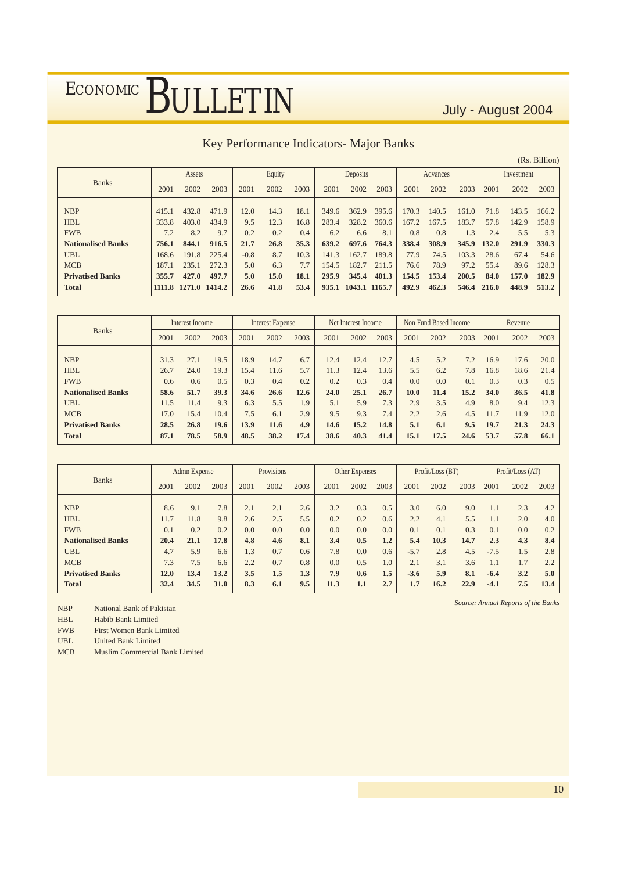#### Key Performance Indicators- Major Banks

|                           |       |                      |       |        |        |      |       |               |       |       |          |       |       |            | (Rs. Billion) |
|---------------------------|-------|----------------------|-------|--------|--------|------|-------|---------------|-------|-------|----------|-------|-------|------------|---------------|
|                           |       | Assets               |       |        | Equity |      |       | Deposits      |       |       | Advances |       |       | Investment |               |
| <b>Banks</b>              | 2001  | 2002                 | 2003  | 2001   | 2002   | 2003 | 2001  | 2002          | 2003  | 2001  | 2002     | 2003  | 2001  | 2002       | 2003          |
|                           |       |                      |       |        |        |      |       |               |       |       |          |       |       |            |               |
| <b>NBP</b>                | 415.1 | 432.8                | 471.9 | 12.0   | 14.3   | 18.1 | 349.6 | 362.9         | 395.6 | 170.3 | 140.5    | 161.0 | 71.8  | 143.5      | 166.2         |
| <b>HBL</b>                | 333.8 | 403.0                | 434.9 | 9.5    | 12.3   | 16.8 | 283.4 | 328.2         | 360.6 | 167.2 | 167.5    | 183.7 | 57.8  | 142.9      | 158.9         |
| <b>FWB</b>                | 7.2   | 8.2                  | 9.7   | 0.2    | 0.2    | 0.4  | 6.2   | 6.6           | 8.1   | 0.8   | 0.8      | 1.3   | 2.4   | 5.5        | 5.3           |
| <b>Nationalised Banks</b> | 756.1 | 844.1                | 916.5 | 21.7   | 26.8   | 35.3 | 639.2 | 697.6         | 764.3 | 338.4 | 308.9    | 345.9 | 132.0 | 291.9      | 330.3         |
| <b>UBL</b>                | 168.6 | 191.8                | 225.4 | $-0.8$ | 8.7    | 10.3 | 141.3 | 162.7         | 189.8 | 77.9  | 74.5     | 103.3 | 28.6  | 67.4       | 54.6          |
| <b>MCB</b>                | 187.1 | 235.1                | 272.3 | 5.0    | 6.3    | 7.7  | 154.5 | 182.7         | 211.5 | 76.6  | 78.9     | 97.2  | 55.4  | 89.6       | 128.3         |
| <b>Privatised Banks</b>   | 355.7 | 427.0                | 497.7 | 5.0    | 15.0   | 18.1 | 295.9 | 345.4         | 401.3 | 154.5 | 153.4    | 200.5 | 84.0  | 157.0      | 182.9         |
| <b>Total</b>              |       | 1111.8 1271.0 1414.2 |       | 26.6   | 41.8   | 53.4 | 935.1 | 1043.1 1165.7 |       | 492.9 | 462.3    | 546.4 | 216.0 | 448.9      | 513.2         |

|                           |      | Interest Income |      |      | Interest Expense |      |      | Net Interest Income |      |      | Non Fund Based Income |      |      | Revenue |      |
|---------------------------|------|-----------------|------|------|------------------|------|------|---------------------|------|------|-----------------------|------|------|---------|------|
| <b>Banks</b>              | 2001 | 2002            | 2003 | 2001 | 2002             | 2003 | 2001 | 2002                | 2003 | 2001 | 2002                  | 2003 | 2001 | 2002    | 2003 |
|                           |      |                 |      |      |                  |      |      |                     |      |      |                       |      |      |         |      |
| <b>NBP</b>                | 31.3 | 27.1            | 19.5 | 18.9 | 14.7             | 6.7  | 12.4 | 12.4                | 12.7 | 4.5  | 5.2                   | 7.2  | 16.9 | 17.6    | 20.0 |
| <b>HBL</b>                | 26.7 | 24.0            | 19.3 | 15.4 | 11.6             | 5.7  | 11.3 | 12.4                | 13.6 | 5.5  | 6.2                   | 7.8  | 16.8 | 18.6    | 21.4 |
| <b>FWB</b>                | 0.6  | 0.6             | 0.5  | 0.3  | 0.4              | 0.2  | 0.2  | 0.3                 | 0.4  | 0.0  | 0.0                   | 0.1  | 0.3  | 0.3     | 0.5  |
| <b>Nationalised Banks</b> | 58.6 | 51.7            | 39.3 | 34.6 | 26.6             | 12.6 | 24.0 | 25.1                | 26.7 | 10.0 | 11.4                  | 15.2 | 34.0 | 36.5    | 41.8 |
| <b>UBL</b>                | 11.5 | 11.4            | 9.3  | 6.3  | 5.5              | 1.9  | 5.1  | 5.9                 | 7.3  | 2.9  | 3.5                   | 4.9  | 8.0  | 9.4     | 12.3 |
| <b>MCB</b>                | 7.0  | 15.4            | 10.4 | 7.5  | 6.1              | 2.9  | 9.5  | 9.3                 | 7.4  | 2.2  | 2.6                   | 4.5  | 11.7 | 11.9    | 12.0 |
| <b>Privatised Banks</b>   | 28.5 | 26.8            | 19.6 | 13.9 | 11.6             | 4.9  | 14.6 | 15.2                | 14.8 | 5.1  | 6.1                   | 9.5  | 19.7 | 21.3    | 24.3 |
| <b>Total</b>              | 87.1 | 78.5            | 58.9 | 48.5 | 38.2             | 17.4 | 38.6 | 40.3                | 41.4 | 15.1 | 17.5                  | 24.6 | 53.7 | 57.8    | 66.1 |

|                           |      | Admn Expense |      |      | Provisions |      |      | Other Expenses |         |        | Profit/Loss (BT) |      |        | Profit/Loss (AT) |      |
|---------------------------|------|--------------|------|------|------------|------|------|----------------|---------|--------|------------------|------|--------|------------------|------|
| <b>Banks</b>              | 2001 | 2002         | 2003 | 2001 | 2002       | 2003 | 2001 | 2002           | 2003    | 2001   | 2002             | 2003 | 2001   | 2002             | 2003 |
|                           |      |              |      |      |            |      |      |                |         |        |                  |      |        |                  |      |
| <b>NBP</b>                | 8.6  | 9.1          | 7.8  | 2.1  | 2.1        | 2.6  | 3.2  | 0.3            | 0.5     | 3.0    | 6.0              | 9.0  | 1.1    | 2.3              | 4.2  |
| <b>HBL</b>                | 11.7 | 11.8         | 9.8  | 2.6  | 2.5        | 5.5  | 0.2  | 0.2            | 0.6     | 2.2    | 4.1              | 5.5  | 1.1    | 2.0              | 4.0  |
| <b>FWB</b>                | 0.1  | 0.2          | 0.2  | 0.0  | 0.0        | 0.0  | 0.0  | 0.0            | 0.0     | 0.1    | 0.1              | 0.3  | 0.1    | 0.0              | 0.2  |
| <b>Nationalised Banks</b> | 20.4 | 21.1         | 17.8 | 4.8  | 4.6        | 8.1  | 3.4  | 0.5            | $1.2\,$ | 5.4    | 10.3             | 14.7 | 2.3    | 4.3              | 8.4  |
| <b>UBL</b>                | 4.7  | 5.9          | 6.6  | 1.3  | 0.7        | 0.6  | 7.8  | 0.0            | 0.6     | $-5.7$ | 2.8              | 4.5  | $-7.5$ | 1.5              | 2.8  |
| <b>MCB</b>                | 7.3  | 7.5          | 6.6  | 2.2  | 0.7        | 0.8  | 0.0  | 0.5            | 1.0     | 2.1    | 3.1              | 3.6  | 1.1    | 1.7              | 2.2  |
| <b>Privatised Banks</b>   | 12.0 | 13.4         | 13.2 | 3.5  | 1.5        | 1.3  | 7.9  | 0.6            | 1.5     | $-3.6$ | 5.9              | 8.1  | $-6.4$ | 3.2              | 5.0  |
| <b>Total</b>              | 32.4 | 34.5         | 31.0 | 8.3  | 6.1        | 9.5  | 11.3 | 1.1            | 2.7     | 1.7    | 16.2             | 22.9 | $-4.1$ | 7.5              | 13.4 |

NBP National Bank of Pakistan

HBL Habib Bank Limited

FWB First Women Bank Limited

UBL United Bank Limited

MCB Muslim Commercial Bank Limited

*Source: Annual Reports of the Banks*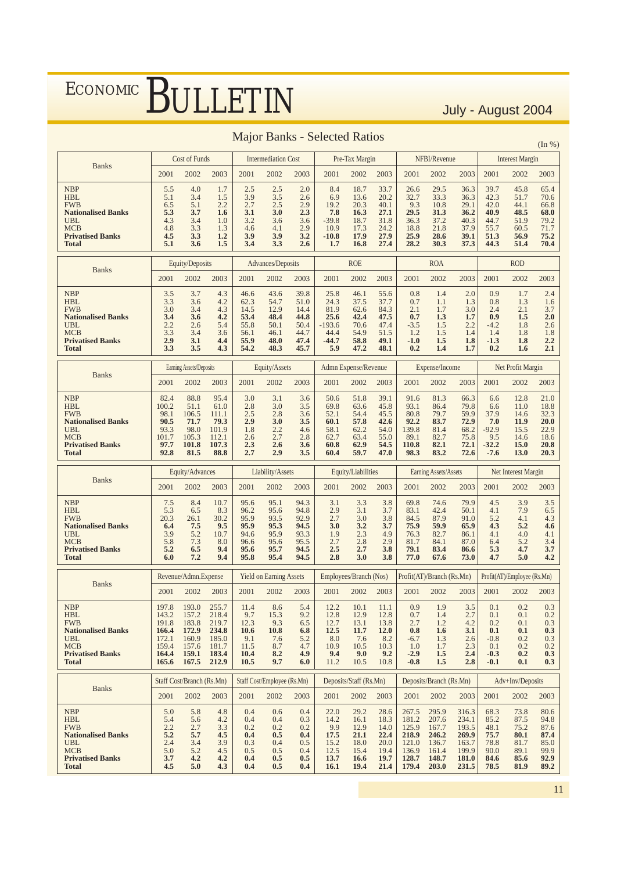|                                                                                                                                     |                                                                      |                                                                      |                                                                      |                                                                   |                                                              |                                                              | <b>Major Banks - Selected Ratios</b>                               |                                                              |                                                              |                                                                      |                                                                      |                                                                      |                                                                  |                                                              | (In %)                                                              |
|-------------------------------------------------------------------------------------------------------------------------------------|----------------------------------------------------------------------|----------------------------------------------------------------------|----------------------------------------------------------------------|-------------------------------------------------------------------|--------------------------------------------------------------|--------------------------------------------------------------|--------------------------------------------------------------------|--------------------------------------------------------------|--------------------------------------------------------------|----------------------------------------------------------------------|----------------------------------------------------------------------|----------------------------------------------------------------------|------------------------------------------------------------------|--------------------------------------------------------------|---------------------------------------------------------------------|
|                                                                                                                                     |                                                                      | Cost of Funds                                                        |                                                                      |                                                                   | <b>Intermediation Cost</b>                                   |                                                              |                                                                    | Pre-Tax Margin                                               |                                                              |                                                                      | NFBI/Revenue                                                         |                                                                      |                                                                  | <b>Interest Margin</b>                                       |                                                                     |
| <b>Banks</b>                                                                                                                        | 2001                                                                 | 2002                                                                 | 2003                                                                 | 2001                                                              | 2002                                                         | 2003                                                         | 2001                                                               | 2002                                                         | 2003                                                         | 2001                                                                 | 2002                                                                 | 2003                                                                 | 2001                                                             | 2002                                                         | 2003                                                                |
| <b>NBP</b><br><b>HBL</b><br><b>FWB</b><br><b>Nationalised Banks</b><br>UBL<br><b>MCB</b><br><b>Privatised Banks</b><br>Total        | 5.5<br>5.1<br>6.5<br>5.3<br>4.3<br>4.8<br>4.5<br>5.1                 | 4.0<br>3.4<br>5.1<br>3.7<br>3.4<br>3.3<br>3.3<br>3.6                 | 1.7<br>1.5<br>2.2<br>1.6<br>1.0<br>1.3<br>1.2<br>1.5                 | 2.5<br>3.9<br>2.7<br>3.1<br>3.2<br>4.6<br>3.9<br>3.4              | 2.5<br>3.5<br>2.5<br>3.0<br>3.6<br>4.1<br>3.9<br>3.3         | 2.0<br>2.6<br>2.9<br>2.3<br>3.6<br>2.9<br>3.2<br>2.6         | 8.4<br>6.9<br>19.2<br>7.8<br>$-39.8$<br>10.9<br>$-10.8$<br>1.7     | 18.7<br>13.6<br>20.3<br>16.3<br>18.7<br>17.3<br>17.9<br>16.8 | 33.7<br>20.2<br>40.1<br>27.1<br>31.8<br>24.2<br>27.9<br>27.4 | 26.6<br>32.7<br>9.3<br>29.5<br>36.3<br>18.8<br>25.9<br>28.2          | 29.5<br>33.3<br>10.8<br>31.3<br>37.2<br>21.8<br>28.6<br>30.3         | 36.3<br>36.3<br>29.1<br>36.2<br>40.3<br>37.9<br>39.1<br>37.3         | 39.7<br>42.3<br>42.0<br>40.9<br>44.7<br>55.7<br>51.3<br>44.3     | 45.8<br>51.7<br>44.1<br>48.5<br>51.9<br>60.5<br>56.9<br>51.4 | 65.4<br>70.6<br>66.8<br>68.0<br>79.2<br>71.7<br>75.2<br>70.4        |
|                                                                                                                                     |                                                                      | Equity/Deposits                                                      |                                                                      |                                                                   | Advances/Deposits                                            |                                                              |                                                                    | <b>ROE</b>                                                   |                                                              |                                                                      | <b>ROA</b>                                                           |                                                                      |                                                                  | <b>ROD</b>                                                   |                                                                     |
| <b>Banks</b>                                                                                                                        | 2001                                                                 | 2002                                                                 | 2003                                                                 | 2001                                                              | 2002                                                         | 2003                                                         | 2001                                                               | 2002                                                         | 2003                                                         | 2001                                                                 | 2002                                                                 | 2003                                                                 | 2001                                                             | 2002                                                         | 2003                                                                |
| <b>NBP</b><br><b>HBL</b><br><b>FWB</b><br><b>Nationalised Banks</b><br>UBL<br><b>MCB</b><br><b>Privatised Banks</b><br><b>Total</b> | 3.5<br>3.3<br>3.0<br>3.4<br>2.2<br>3.3<br>2.9<br>3.3                 | 3.7<br>3.6<br>3.4<br>3.6<br>2.6<br>3.4<br>3.1<br>3.5                 | 4.3<br>4.2<br>4.3<br>4.2<br>5.4<br>3.6<br>4.4<br>4.3                 | 46.6<br>62.3<br>14.5<br>53.4<br>55.8<br>56.1<br>55.9<br>54.2      | 43.6<br>54.7<br>12.9<br>48.4<br>50.1<br>46.1<br>48.0<br>48.3 | 39.8<br>51.0<br>14.4<br>44.8<br>50.4<br>44.7<br>47.4<br>45.7 | 25.8<br>24.3<br>81.9<br>25.6<br>$-193.6$<br>44.4<br>$-44.7$<br>5.9 | 46.1<br>37.5<br>62.6<br>42.4<br>70.6<br>54.9<br>58.8<br>47.2 | 55.6<br>37.7<br>84.3<br>47.5<br>47.4<br>51.5<br>49.1<br>48.1 | 0.8<br>0.7<br>2.1<br>0.7<br>$-3.5$<br>1.2<br>$-1.0$<br>0.2           | 1.4<br>1.1<br>1.7<br>1.3<br>1.5<br>1.5<br>1.5<br>1.4                 | 2.0<br>1.3<br>3.0<br>1.7<br>2.2<br>1.4<br>1.8<br>1.7                 | 0.9<br>0.8<br>2.4<br>0.9<br>$-4.2$<br>1.4<br>$-1.3$<br>0.2       | 1.7<br>1.3<br>2.1<br>1.5<br>1.8<br>1.8<br>1.8<br>1.6         | 2.4<br>1.6<br>3.7<br>2.0<br>2.6<br>1.8<br>2.2<br>2.1                |
|                                                                                                                                     |                                                                      | Earning Assets/Deposits                                              |                                                                      |                                                                   | Equity/Assets                                                |                                                              |                                                                    | Admn Expense/Revenue                                         |                                                              |                                                                      | Expense/Income                                                       |                                                                      |                                                                  | Net Profit Margin                                            |                                                                     |
| <b>Banks</b>                                                                                                                        | 2001                                                                 | 2002                                                                 | 2003                                                                 | 2001                                                              | 2002                                                         | 2003                                                         | 2001                                                               | 2002                                                         | 2003                                                         | 2001                                                                 | 2002                                                                 | 2003                                                                 | 2001                                                             | 2002                                                         | 2003                                                                |
| <b>NBP</b><br><b>HBL</b><br><b>FWB</b><br><b>Nationalised Banks</b><br>UBL<br><b>MCB</b><br><b>Privatised Banks</b><br><b>Total</b> | 82.4<br>100.2<br>98.1<br>90.5<br>93.3<br>101.7<br>97.7<br>92.8       | 88.8<br>51.1<br>106.5<br>71.7<br>98.0<br>105.3<br>101.8<br>81.5      | 95.4<br>61.0<br>111.1<br>79.3<br>101.9<br>112.1<br>107.3<br>88.8     | 3.0<br>2.8<br>2.5<br>2.9<br>1.8<br>2.6<br>2.3<br>2.7              | 3.1<br>3.0<br>2.8<br>3.0<br>2.2<br>2.7<br>2.6<br>2.9         | 3.6<br>3.5<br>3.6<br>3.5<br>4.6<br>2.8<br>3.6<br>3.5         | 50.6<br>69.8<br>52.1<br>60.1<br>58.1<br>62.7<br>60.8<br>60.4       | 51.8<br>63.6<br>54.4<br>57.8<br>62.2<br>63.4<br>62.9<br>59.7 | 39.1<br>45.8<br>45.5<br>42.6<br>54.0<br>55.0<br>54.5<br>47.0 | 91.6<br>93.1<br>80.8<br>92.2<br>139.8<br>89.1<br>110.8<br>98.3       | 81.3<br>86.4<br>79.7<br>83.7<br>81.4<br>82.7<br>82.1<br>83.2         | 66.3<br>79.8<br>59.9<br>72.9<br>68.2<br>75.8<br>72.1<br>72.6         | 6.6<br>6.6<br>37.9<br>7.0<br>$-92.9$<br>9.5<br>$-32.2$<br>$-7.6$ | 12.8<br>11.0<br>14.6<br>11.9<br>15.5<br>14.6<br>15.0<br>13.0 | 21.0<br>18.8<br>32.3<br><b>20.0</b><br>22.9<br>18.6<br>20.8<br>20.3 |
|                                                                                                                                     |                                                                      | Equity/Advances                                                      |                                                                      |                                                                   | Liability/Assets                                             |                                                              |                                                                    | Equity/Liabilities                                           |                                                              |                                                                      | Earning Assets/Assets                                                |                                                                      |                                                                  | Net Interest Margin                                          |                                                                     |
| <b>Banks</b>                                                                                                                        | 2001                                                                 | 2002                                                                 | 2003                                                                 | 2001                                                              | 2002                                                         | 2003                                                         | 2001                                                               | 2002                                                         | 2003                                                         | 2001                                                                 | 2002                                                                 | 2003                                                                 | 2001                                                             | 2002                                                         | 2003                                                                |
| <b>NBP</b><br><b>HBL</b><br><b>FWB</b><br><b>Nationalised Banks</b><br>UBL<br><b>MCB</b><br><b>Privatised Banks</b><br><b>Total</b> | 7.5<br>5.3<br>20.3<br>6.4<br>3.9<br>5.8<br>5.2<br>6.0                | 8.4<br>6.5<br>26.1<br>7.5<br>5.2<br>7.3<br>6.5<br>7.2                | 10.7<br>8.3<br>30.2<br>9.5<br>10.7<br>8.0<br>9.4<br>9.4              | 95.6<br>96.2<br>95.9<br>95.9<br>94.6<br>96.6<br>95.6<br>95.8      | 95.1<br>95.6<br>93.5<br>95.3<br>95.9<br>95.6<br>95.7<br>95.4 | 94.3<br>94.8<br>92.9<br>94.5<br>93.3<br>95.5<br>94.5<br>94.5 | 3.1<br>2.9<br>2.7<br>3.0<br>1.9<br>2.7<br>2.5<br>2.8               | 3.3<br>3.1<br>3.0<br>3.2<br>2.3<br>2.8<br>2.7<br>3.0         | 3.8<br>3.7<br>3.8<br>3.7<br>4.9<br>2.9<br>3.8<br>3.8         | 69.8<br>83.1<br>84.5<br>75.9<br>76.3<br>81.7<br>79.1<br>77.0         | 74.6<br>42.4<br>87.9<br>59.9<br>82.7<br>84.1<br>83.4<br>67.6         | 79.9<br>50.1<br>91.0<br>65.9<br>86.1<br>87.0<br>86.6<br>73.0         | 4.5<br>4.1<br>5.2<br>4.3<br>4.1<br>6.4<br>5.3<br>4.7             | 3.9<br>7.9<br>4.1<br>5.2<br>4.0<br>5.2<br>4.7<br>5.0         | 3.5<br>6.5<br>4.3<br>4.6<br>4.1<br>3.4<br>3.7<br>4.2                |
|                                                                                                                                     |                                                                      | Revenue/Admn.Expense                                                 |                                                                      |                                                                   | <b>Yield on Earning Assets</b>                               |                                                              |                                                                    | Employees/Branch (Nos)                                       |                                                              |                                                                      | Profit(AT)/Branch (Rs.Mn)                                            |                                                                      |                                                                  | Profit(AT)/Employee (Rs.Mn)                                  |                                                                     |
| <b>Banks</b>                                                                                                                        | 2001                                                                 | 2002                                                                 | 2003                                                                 | 2001                                                              | 2002                                                         | 2003                                                         | 2001                                                               |                                                              | 2002 2003                                                    | 2001                                                                 | 2002                                                                 | 2003                                                                 | 2001                                                             | 2002                                                         | 2003                                                                |
| <b>NBP</b><br><b>HBL</b><br><b>FWB</b><br><b>Nationalised Banks</b><br>UBL<br><b>MCB</b><br><b>Privatised Banks</b><br>Total        | 197.8<br>143.2<br>191.8<br>166.4<br>172.1<br>159.4<br>164.4<br>165.6 | 193.0<br>157.2<br>183.8<br>172.9<br>160.9<br>157.6<br>159.1<br>167.5 | 255.7<br>218.4<br>219.7<br>234.8<br>185.0<br>181.7<br>183.4<br>212.9 | 11.4<br>9.7<br>12.3<br><b>10.6</b><br>9.1<br>11.5<br>10.4<br>10.5 | 8.6<br>15.3<br>9.3<br>10.8<br>7.6<br>8.7<br>8.2<br>9.7       | 5.4<br>9.2<br>6.5<br>6.8<br>5.2<br>4.7<br>4.9<br>6.0         | 12.2<br>12.8<br>12.7<br>12.5<br>8.0<br>10.9<br>9.4<br>11.2         | 10.1<br>12.9<br>13.1<br>11.7<br>$7.6$<br>10.5<br>9.0<br>10.5 | 11.1<br>12.8<br>13.8<br>12.0<br>8.2<br>10.3<br>9.2<br>10.8   | 0.9<br>0.7<br>2.7<br>0.8<br>$-6.7$<br>1.0<br>$-2.9$<br>$-0.8$        | 1.9<br>1.4<br>1.2<br>1.6<br>1.3<br>1.7<br>1.5<br>1.5                 | 3.5<br>2.7<br>4.2<br>3.1<br>2.6<br>2.3<br>2.4<br>2.8                 | 0.1<br>0.1<br>0.2<br>0.1<br>$-0.8$<br>0.1<br>$-0.3$<br>$-0.1$    | 0.2<br>0.1<br>0.1<br>0.1<br>0.2<br>0.2<br>0.2<br>0.1         | $0.3\,$<br>0.2<br>0.3<br>0.3<br>0.3<br>0.2<br>0.3<br>0.3            |
| <b>Banks</b>                                                                                                                        | Staff Cost/Branch (Rs.Mn)                                            |                                                                      |                                                                      |                                                                   | Staff Cost/Employee (Rs.Mn)                                  |                                                              |                                                                    | Deposits/Staff (Rs.Mn)                                       |                                                              |                                                                      | Deposits/Branch (Rs.Mn)                                              |                                                                      |                                                                  | Adv+Inv/Deposits                                             |                                                                     |
|                                                                                                                                     | 2001                                                                 | 2002                                                                 | 2003                                                                 | 2001                                                              | 2002                                                         | 2003                                                         | 2001                                                               | 2002                                                         | 2003                                                         | 2001                                                                 | 2002                                                                 | 2003                                                                 | 2001                                                             | 2002                                                         | 2003                                                                |
| <b>NBP</b><br><b>HBL</b><br><b>FWB</b><br><b>Nationalised Banks</b><br>UBL<br><b>MCB</b><br><b>Privatised Banks</b><br><b>Total</b> | 5.0<br>5.4<br>2.2<br>5.2<br>2.4<br>5.0<br>3.7<br>4.5                 | 5.8<br>5.6<br>2.7<br>5.7<br>3.4<br>5.2<br>4.2<br>5.0                 | 4.8<br>4.2<br>3.3<br>4.5<br>3.9<br>4.5<br>4.2<br>4.3                 | 0.4<br>0.4<br>0.2<br>0.4<br>0.3<br>0.5<br>0.4<br>0.4              | 0.6<br>0.4<br>0.2<br>0.5<br>0.4<br>0.5<br>0.5<br>0.5         | 0.4<br>0.3<br>0.2<br>0.4<br>0.5<br>0.4<br>0.5<br>0.4         | 22.0<br>14.2<br>9.9<br>17.5<br>15.2<br>12.5<br>13.7<br>16.1        | 29.2<br>16.1<br>12.9<br>21.1<br>18.0<br>15.4<br>16.6<br>19.4 | 28.6<br>18.3<br>14.0<br>22.4<br>20.0<br>19.4<br>19.7<br>21.4 | 267.5<br>181.2<br>125.9<br>218.9<br>121.0<br>136.9<br>128.7<br>179.4 | 295.9<br>207.6<br>167.7<br>246.2<br>136.7<br>161.4<br>148.7<br>203.0 | 316.3<br>234.1<br>193.5<br>269.9<br>163.7<br>199.9<br>181.0<br>231.5 | 68.3<br>85.2<br>48.1<br>75.7<br>78.8<br>90.0<br>84.6<br>78.5     | 73.8<br>87.5<br>75.2<br>80.1<br>81.7<br>89.1<br>85.6<br>81.9 | 80.6<br>94.8<br>87.6<br>87.4<br>85.0<br>99.9<br>92.9<br>89.2        |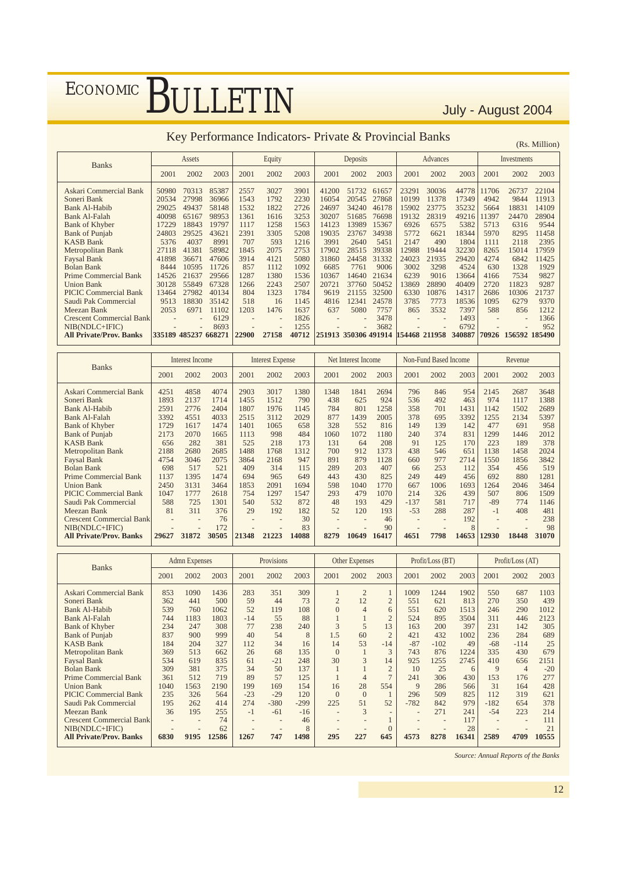### Key Performance Indicators- Private & Provincial Banks

|                                 |                      |        |       |       |                          |       | KCy I CHOHIMANCC INGRAMMS- I HYARC & I TOVINCIAL DAMNS |          |       |               |                          |        |       |               | (Rs. Million) |
|---------------------------------|----------------------|--------|-------|-------|--------------------------|-------|--------------------------------------------------------|----------|-------|---------------|--------------------------|--------|-------|---------------|---------------|
| <b>Banks</b>                    |                      | Assets |       |       | Equity                   |       |                                                        | Deposits |       |               | Advances                 |        |       | Investments   |               |
|                                 | 2001                 | 2002   | 2003  | 2001  | 2002                     | 2003  | 2001                                                   | 2002     | 2003  | 2001          | 2002                     | 2003   | 2001  | 2002          | 2003          |
| Askari Commercial Bank          | 50980                | 70313  | 85387 | 2557  | 3027                     | 3901  | 41200                                                  | 51732    | 61657 | 23291         | 30036                    | 44778  | 11706 | 26737         | 22104         |
| Soneri Bank                     | 20534                | 27998  | 36966 | 1543  | 1792                     | 2230  | 16054                                                  | 20545    | 27868 | 10199         | 11378                    | 17349  | 4942  | 9844          | 11913         |
| <b>Bank Al-Habib</b>            | 29025                | 49437  | 58148 | 1532  | 1822                     | 2726  | 24697                                                  | 34240    | 46178 | 15902         | 23775                    | 35232  | 5664  | 18831         | 14109         |
| <b>Bank Al-Falah</b>            | 40098                | 65167  | 98953 | 1361  | 1616                     | 3253  | 30207                                                  | 51685    | 76698 | 19132         | 28319                    | 49216  | 11397 | 24470         | 28904         |
| <b>Bank of Khyber</b>           | 17229                | 18843  | 19797 | 1117  | 1258                     | 1563  | 14123                                                  | 13989    | 15367 | 6926          | 6575                     | 5382   | 5713  | 6316          | 9544          |
| <b>Bank of Punjab</b>           | 24803                | 29525  | 43621 | 2391  | 3305                     | 5208  | 19035                                                  | 23767    | 34938 | 5772          | 6621                     | 18344  | 5970  | 8295          | 11458         |
| <b>KASB Bank</b>                | 5376                 | 4037   | 8991  | 707   | 593                      | 1216  | 3991                                                   | 2640     | 5451  | 2147          | 490                      | 1804   | 1111  | 2118          | 2395          |
| Metropolitan Bank               | 27118                | 41381  | 58982 | 1845  | 2075                     | 2753  | 17902                                                  | 28515    | 39338 | 12988         | 19444                    | 32230  | 8265  | 15014         | 17959         |
| <b>Faysal Bank</b>              | 41898                | 36671  | 47606 | 3914  | 4121                     | 5080  | 31860                                                  | 24458    | 31332 | 24023         | 21935                    | 29420  | 4274  | 6842          | 11425         |
| <b>Bolan Bank</b>               | 8444                 | 10595  | 11726 | 857   | 1112                     | 1092  | 6685                                                   | 7761     | 9006  | 3002          | 3298                     | 4524   | 630   | 1328          | 1929          |
| <b>Prime Commercial Bank</b>    | 14526                | 21637  | 29566 | 1287  | 1380                     | 1536  | 10367                                                  | 14640    | 21634 | 6239          | 9016                     | 13664  | 4166  | 7534          | 9827          |
| <b>Union Bank</b>               | 30128                | 55849  | 67328 | 1266  | 2243                     | 2507  | 20721                                                  | 37760    | 50452 | 13869         | 28890                    | 40409  | 2720  | 11823         | 9287          |
| PICIC Commercial Bank           | 13464                | 27982  | 40134 | 804   | 1323                     | 1784  | 9619                                                   | 21155    | 32500 | 6330          | 10876                    | 14317  | 2686  | 10306         | 21737         |
| Saudi Pak Commercial            | 9513                 | 18830  | 35142 | 518   | 16                       | 1145  | 4816                                                   | 12341    | 24578 | 3785          | 7773                     | 18536  | 1095  | 6279          | 9370          |
| Meezan Bank                     | 2053                 | 6971   | 11102 | 1203  | 1476                     | 1637  | 637                                                    | 5080     | 7757  | 865           | 3532                     | 7397   | 588   | 856           | 1212          |
| <b>Crescent Commercial Bank</b> |                      |        | 6129  |       | $\overline{\phantom{a}}$ | 1826  |                                                        |          | 3478  |               | $\overline{\phantom{a}}$ | 1493   |       |               | 1366          |
| NIB(NDLC+IFIC)                  |                      |        | 8693  |       | $\overline{\phantom{a}}$ | 1255  |                                                        |          | 3682  |               | ٠                        | 6792   |       |               | 952           |
| <b>All Private/Prov. Banks</b>  | 335189 485237 668271 |        |       | 22900 | 27158                    | 40712 | 251913 350306 491914                                   |          |       | 154468 211958 |                          | 340887 | 70926 | 156592 185490 |               |

|                                                        |                      | Interest Income      |                      |                      | <b>Interest Expense</b> |                     |                    | Net Interest Income |                     |                   | Non-Fund Based Income |                    |                     | Revenue              |                      |
|--------------------------------------------------------|----------------------|----------------------|----------------------|----------------------|-------------------------|---------------------|--------------------|---------------------|---------------------|-------------------|-----------------------|--------------------|---------------------|----------------------|----------------------|
| <b>Banks</b>                                           | 2001                 | 2002                 | 2003                 | 2001                 | 2002                    | 2003                | 2001               | 2002                | 2003                | 2001              | 2002                  | 2003               | 2001                | 2002                 | 2003                 |
| Askari Commercial Bank<br>Soneri Bank<br>Bank Al-Habib | 4251<br>1893<br>2591 | 4858<br>2137<br>2776 | 4074<br>1714<br>2404 | 2903<br>1455<br>1807 | 3017<br>1512<br>1976    | 1380<br>790<br>1145 | 1348<br>438<br>784 | 1841<br>625<br>801  | 2694<br>924<br>1258 | 796<br>536<br>358 | 846<br>492<br>701     | 954<br>463<br>1431 | 2145<br>974<br>1142 | 2687<br>1117<br>1502 | 3648<br>1388<br>2689 |
| <b>Bank Al-Falah</b><br><b>Bank of Khyber</b>          | 3392<br>1729         | 4551<br>1617         | 4033<br>1474         | 2515<br>1401         | 3112<br>1065            | 2029<br>658         | 877<br>328         | 1439<br>552         | 2005<br>816         | 378<br>149        | 695<br>139            | 3392<br>142        | 1255<br>477         | 2134<br>691          | 5397<br>958          |
| <b>Bank of Punjab</b>                                  | 2173                 | 2070                 | 1665                 | 1113                 | 998                     | 484                 | 1060               | 1072                | 1180                | 240               | 374                   | 831                | 1299                | 1446                 | 2012                 |
| <b>KASB Bank</b><br>Metropolitan Bank                  | 656<br>2188          | 282<br>2680          | 381<br>2685          | 525<br>1488          | 218<br>1768             | 173<br>1312         | 131<br>700         | 64<br>912           | 208<br>1373         | 91<br>438         | 125<br>546            | 170<br>651         | 223<br>1138         | 189<br>1458          | 378<br>2024          |
| <b>Faysal Bank</b>                                     | 4754                 | 3046                 | 2075                 | 3864                 | 2168                    | 947                 | 891                | 879                 | 1128                | 660               | 977                   | 2714               | 1550                | 1856                 | 3842                 |
| <b>Bolan Bank</b><br><b>Prime Commercial Bank</b>      | 698<br>1137          | 517<br>1395          | 521<br>1474          | 409<br>694           | 314<br>965              | 115<br>649          | 289<br>443         | 203<br>430          | 407<br>825          | 66<br>249         | 253<br>449            | 112<br>456         | 354<br>692          | 456<br>880           | 519<br>1281          |
| <b>Union Bank</b>                                      | 2450                 | 3131                 | 3464                 | 1853                 | 2091                    | 1694                | 598                | 1040                | 1770                | 667               | 1006                  | 1693               | 1264                | 2046                 | 3464                 |
| <b>PICIC Commercial Bank</b><br>Saudi Pak Commercial   | 1047<br>588          | 1777<br>725          | 2618<br>1301         | 754<br>540           | 1297<br>532             | 1547<br>872         | 293<br>48          | 479<br>193          | 1070<br>429         | 214<br>$-137$     | 326<br>581            | 439<br>717         | 507<br>$-89$        | 806<br>774           | 1509<br>1146         |
| Meezan Bank                                            | 81                   | 311                  | 376                  | 29                   | 192                     | 182                 | 52                 | 120                 | 193                 | $-53$             | 288                   | 287                | $-1$                | 408                  | 481                  |
| <b>Crescent Commercial Bank</b><br>NIB(NDLC+IFIC)      |                      |                      | 76<br>172            |                      |                         | 30<br>83            |                    |                     | 46<br>90            |                   |                       | 192<br>8           |                     | $\qquad \qquad -$    | 238<br>98            |
| <b>All Private/Prov. Banks</b>                         | 29627                | 31872                | 30505                | 21348                | 21223                   | 14088               | 8279               | 10649               | 16417               | 4651              | 7798                  | 14653              | 12930               | 18448                | 31070                |

| <b>Banks</b>                    |      | <b>Admn</b> Expenses |       |       | Provisions |        |                | Other Expenses |                |        | Profit/Loss (BT) |       |        | Profit/Loss (AT) |       |
|---------------------------------|------|----------------------|-------|-------|------------|--------|----------------|----------------|----------------|--------|------------------|-------|--------|------------------|-------|
|                                 | 2001 | 2002                 | 2003  | 2001  | 2002       | 2003   | 2001           | 2002           | 2003           | 2001   | 2002             | 2003  | 2001   | 2002             | 2003  |
| Askari Commercial Bank          | 853  | 1090                 | 1436  | 283   | 351        | 309    |                | $\overline{2}$ |                | 1009   | 1244             | 1902  | 550    | 687              | 1103  |
| Soneri Bank                     | 362  | 441                  | 500   | 59    | 44         | 73     | $\overline{2}$ | 12             | $\overline{2}$ | 551    | 621              | 813   | 270    | 350              | 439   |
| <b>Bank Al-Habib</b>            | 539  | 760                  | 1062  | 52    | 119        | 108    | $\theta$       | $\overline{4}$ | 6              | 551    | 620              | 1513  | 246    | 290              | 1012  |
| <b>Bank Al-Falah</b>            | 744  | 1183                 | 1803  | $-14$ | 55         | 88     |                |                | $\overline{2}$ | 524    | 895              | 3504  | 311    | 446              | 2123  |
| <b>Bank of Khyber</b>           | 234  | 247                  | 308   | 77    | 238        | 240    | 3              | $\overline{2}$ | 13             | 163    | 200              | 397   | 231    | 142              | 305   |
| <b>Bank of Punjab</b>           | 837  | 900                  | 999   | 40    | 54         | 8      | 1.5            | 60             | $\overline{2}$ | 421    | 432              | 1002  | 236    | 284              | 689   |
| <b>KASB Bank</b>                | 184  | 204                  | 327   | 112   | 34         | 16     | 14             | 53             | $-14$          | $-87$  | $-102$           | 49    | $-68$  | $-114$           | 25    |
| Metropolitan Bank               | 369  | 513                  | 662   | 26    | 68         | 135    | $\Omega$       |                | 3              | 743    | 876              | 1224  | 335    | 430              | 679   |
| <b>Faysal Bank</b>              | 534  | 619                  | 835   | 61    | $-21$      | 248    | 30             | 3              | 14             | 925    | 1255             | 2745  | 410    | 656              | 2151  |
| <b>Bolan Bank</b>               | 309  | 381                  | 375   | 34    | 50         | 137    |                |                | $\overline{2}$ | 10     | 25               | 6     | 9      | $\overline{4}$   | $-20$ |
| <b>Prime Commercial Bank</b>    | 361  | 512                  | 719   | 89    | 57         | 125    |                | $\overline{4}$ | $\overline{7}$ | 241    | 306              | 430   | 153    | 176              | 277   |
| <b>Union Bank</b>               | 1040 | 1563                 | 2190  | 199   | 169        | 154    | 16             | 28             | 554            | 9      | 286              | 566   | 31     | 164              | 428   |
| <b>PICIC Commercial Bank</b>    | 235  | 326                  | 564   | $-23$ | $-29$      | 120    | $\Omega$       | $\Omega$       |                | 296    | 509              | 825   | 112    | 319              | 621   |
| Saudi Pak Commercial            | 195  | 262                  | 414   | 274   | $-380$     | $-299$ | 225            | 51             | 52             | $-782$ | 842              | 979   | $-182$ | 654              | 378   |
| Meezan Bank                     | 36   | 195                  | 255   | $-1$  | $-61$      | $-16$  |                | 3              |                |        | 271              | 241   | $-54$  | 223              | 214   |
| <b>Crescent Commercial Bank</b> |      |                      | 74    |       |            | 46     |                |                |                |        |                  | 117   |        |                  | 111   |
| $NIB(NDLC+IFIC)$                |      |                      | 62    |       |            | 8      |                |                | $\Omega$       |        |                  | 28    |        |                  | 21    |
| <b>All Private/Prov. Banks</b>  | 6830 | 9195                 | 12586 | 1267  | 747        | 1498   | 295            | 227            | 645            | 4573   | 8278             | 16341 | 2589   | 4709             | 10555 |

*Source: Annual Reports of the Banks*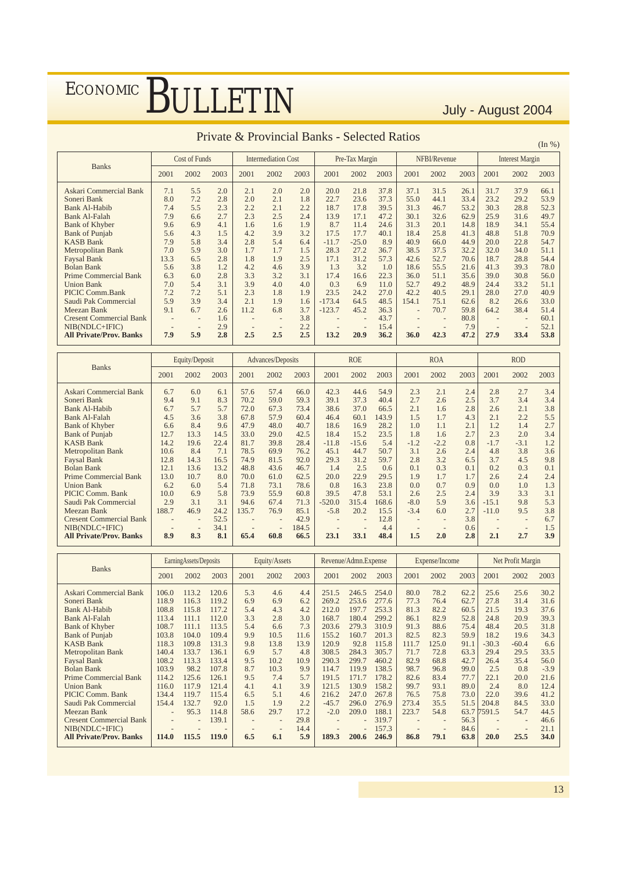|                                |      |                          |      |      |                            |      | FIIVALE & FIOVINCIAI DANKS - SEIECLEU NAUOS |                |      |       |              |      |      |                        | (In %) |
|--------------------------------|------|--------------------------|------|------|----------------------------|------|---------------------------------------------|----------------|------|-------|--------------|------|------|------------------------|--------|
|                                |      | Cost of Funds            |      |      | <b>Intermediation Cost</b> |      |                                             | Pre-Tax Margin |      |       | NFBI/Revenue |      |      | <b>Interest Margin</b> |        |
| <b>Banks</b>                   | 2001 | 2002                     | 2003 | 2001 | 2002                       | 2003 | 2001                                        | 2002           | 2003 | 2001  | 2002         | 2003 | 2001 | 2002                   | 2003   |
| Askari Commercial Bank         | 7.1  | 5.5                      | 2.0  | 2.1  | 2.0                        | 2.0  | 20.0                                        | 21.8           | 37.8 | 37.1  | 31.5         | 26.1 | 31.7 | 37.9                   | 66.1   |
| Soneri Bank                    | 8.0  | 7.2                      | 2.8  | 2.0  | 2.1                        | 1.8  | 22.7                                        | 23.6           | 37.3 | 55.0  | 44.1         | 33.4 | 23.2 | 29.2                   | 53.9   |
| <b>Bank Al-Habib</b>           | 7.4  | 5.5                      | 2.3  | 2.2  | 2.1                        | 2.2  | 18.7                                        | 17.8           | 39.5 | 31.3  | 46.7         | 53.2 | 30.3 | 28.8                   | 52.3   |
| <b>Bank Al-Falah</b>           | 7.9  | 6.6                      | 2.7  | 2.3  | 2.5                        | 2.4  | 13.9                                        | 17.1           | 47.2 | 30.1  | 32.6         | 62.9 | 25.9 | 31.6                   | 49.7   |
| <b>Bank of Khyber</b>          | 9.6  | 6.9                      | 4.1  | 1.6  | 1.6                        | 1.9  | 8.7                                         | 11.4           | 24.6 | 31.3  | 20.1         | 14.8 | 18.9 | 34.1                   | 55.4   |
| <b>Bank of Punjab</b>          | 5.6  | 4.3                      | 1.5  | 4.2  | 3.9                        | 3.2  | 17.5                                        | 17.7           | 40.1 | 18.4  | 25.8         | 41.3 | 48.8 | 51.8                   | 70.9   |
| <b>KASB Bank</b>               | 7.9  | 5.8                      | 3.4  | 2.8  | 5.4                        | 6.4  | $-11.7$                                     | $-25.0$        | 8.9  | 40.9  | 66.0         | 44.9 | 20.0 | 22.8                   | 54.7   |
| Metropolitan Bank              | 7.0  | 5.9                      | 3.0  | 1.7  | 1.7                        | 1.5  | 28.3                                        | 27.2           | 36.7 | 38.5  | 37.5         | 32.2 | 32.0 | 34.0                   | 51.1   |
| <b>Faysal Bank</b>             | 13.3 | 6.5                      | 2.8  | 1.8  | 1.9                        | 2.5  | 17.1                                        | 31.2           | 57.3 | 42.6  | 52.7         | 70.6 | 18.7 | 28.8                   | 54.4   |
| <b>Bolan Bank</b>              | 5.6  | 3.8                      | 1.2  | 4.2  | 4.6                        | 3.9  | 1.3                                         | 3.2            | 1.0  | 18.6  | 55.5         | 21.6 | 41.3 | 39.3                   | 78.0   |
| <b>Prime Commercial Bank</b>   | 6.3  | 6.0                      | 2.8  | 3.3  | 3.2                        | 3.1  | 17.4                                        | 16.6           | 22.3 | 36.0  | 51.1         | 35.6 | 39.0 | 30.8                   | 56.0   |
| <b>Union Bank</b>              | 7.0  | 5.4                      | 3.1  | 3.9  | 4.0                        | 4.0  | 0.3                                         | 6.9            | 11.0 | 52.7  | 49.2         | 48.9 | 24.4 | 33.2                   | 51.1   |
| PICIC Comm.Bank                | 7.2  | 7.2                      | 5.1  | 2.3  | 1.8                        | 1.9  | 23.5                                        | 24.2           | 27.0 | 42.2  | 40.5         | 29.1 | 28.0 | 27.0                   | 40.9   |
| Saudi Pak Commercial           | 5.9  | 3.9                      | 3.4  | 2.1  | 1.9                        | 1.6  | $-173.4$                                    | 64.5           | 48.5 | 154.1 | 75.1         | 62.6 | 8.2  | 26.6                   | 33.0   |
| Meezan Bank                    | 9.1  | 6.7                      | 2.6  | 11.2 | 6.8                        | 3.7  | $-123.7$                                    | 45.2           | 36.3 |       | 70.7         | 59.8 | 64.2 | 38.4                   | 51.4   |
| <b>Cresent Commercial Bank</b> |      | ٠                        | 1.6  |      |                            | 3.8  |                                             |                | 43.7 |       |              | 80.8 |      |                        | 60.1   |
| NIB(NDLC+IFIC)                 |      | $\overline{\phantom{a}}$ | 2.9  |      |                            | 2.2  |                                             |                | 15.4 |       |              | 7.9  |      |                        | 52.1   |
| <b>All Private/Prov. Banks</b> | 7.9  | 5.9                      | 2.8  | 2.5  | 2.5                        | 2.5  | 13.2                                        | 20.9           | 36.2 | 36.0  | 42.3         | 47.2 | 27.9 | 33.4                   | 53.8   |

#### Private & Provincial Banks - Selected Ratios

|                                |       | Equity/Deposit           |      |       | Advances/Deposits        |       |          | <b>ROE</b> |       |        | <b>ROA</b> |      |         | <b>ROD</b> |      |
|--------------------------------|-------|--------------------------|------|-------|--------------------------|-------|----------|------------|-------|--------|------------|------|---------|------------|------|
| <b>Banks</b>                   | 2001  | 2002                     | 2003 | 2001  | 2002                     | 2003  | 2001     | 2002       | 2003  | 2001   | 2002       | 2003 | 2001    | 2002       | 2003 |
| Askari Commercial Bank         | 6.7   | 6.0                      | 6.1  | 57.6  | 57.4                     | 66.0  | 42.3     | 44.6       | 54.9  | 2.3    | 2.1        | 2.4  | 2.8     | 2.7        | 3.4  |
| Soneri Bank                    | 9.4   | 9.1                      | 8.3  | 70.2  | 59.0                     | 59.3  | 39.1     | 37.3       | 40.4  | 2.7    | 2.6        | 2.5  | 3.7     | 3.4        | 3.4  |
| Bank Al-Habib                  | 6.7   | 5.7                      | 5.7  | 72.0  | 67.3                     | 73.4  | 38.6     | 37.0       | 66.5  | 2.1    | 1.6        | 2.8  | 2.6     | 2.1        | 3.8  |
| <b>Bank Al-Falah</b>           | 4.5   | 3.6                      | 3.8  | 67.8  | 57.9                     | 60.4  | 46.4     | 60.1       | 143.9 | 1.5    | 1.7        | 4.3  | 2.1     | 2.2        | 5.5  |
| <b>Bank of Khyber</b>          | 6.6   | 8.4                      | 9.6  | 47.9  | 48.0                     | 40.7  | 18.6     | 16.9       | 28.2  | 1.0    | 1.1        | 2.1  | 1.2     | 1.4        | 2.7  |
| <b>Bank of Punjab</b>          | 12.7  | 13.3                     | 14.5 | 33.0  | 29.0                     | 42.5  | 18.4     | 15.2       | 23.5  | 1.8    | 1.6        | 2.7  | 2.3     | 2.0        | 3.4  |
| <b>KASB Bank</b>               | 14.2  | 19.6                     | 22.4 | 81.7  | 39.8                     | 28.4  | $-11.8$  | $-15.6$    | 5.4   | $-1.2$ | $-2.2$     | 0.8  | $-1.7$  | $-3.1$     | 1.2  |
| Metropolitan Bank              | 10.6  | 8.4                      | 7.1  | 78.5  | 69.9                     | 76.2  | 45.1     | 44.7       | 50.7  | 3.1    | 2.6        | 2.4  | 4.8     | 3.8        | 3.6  |
| <b>Faysal Bank</b>             | 12.8  | 14.3                     | 16.5 | 74.9  | 81.5                     | 92.0  | 29.3     | 31.2       | 59.7  | 2.8    | 3.2        | 6.5  | 3.7     | 4.5        | 9.8  |
| <b>Bolan Bank</b>              | 12.1  | 13.6                     | 13.2 | 48.8  | 43.6                     | 46.7  | 1.4      | 2.5        | 0.6   | 0.1    | 0.3        | 0.1  | 0.2     | 0.3        | 0.1  |
| <b>Prime Commercial Bank</b>   | 13.0  | 10.7                     | 8.0  | 70.0  | 61.0                     | 62.5  | 20.0     | 22.9       | 29.5  | 1.9    | 1.7        | 1.7  | 2.6     | 2.4        | 2.4  |
| <b>Union Bank</b>              | 6.2   | 6.0                      | 5.4  | 71.8  | 73.1                     | 78.6  | 0.8      | 16.3       | 23.8  | 0.0    | 0.7        | 0.9  | 0.0     | 1.0        | 1.3  |
| PICIC Comm. Bank               | 10.0  | 6.9                      | 5.8  | 73.9  | 55.9                     | 60.8  | 39.5     | 47.8       | 53.1  | 2.6    | 2.5        | 2.4  | 3.9     | 3.3        | 3.1  |
| Saudi Pak Commercial           | 2.9   | 3.1                      | 3.1  | 94.6  | 67.4                     | 71.3  | $-520.0$ | 315.4      | 168.6 | $-8.0$ | 5.9        | 3.6  | $-15.1$ | 9.8        | 5.3  |
| Meezan Bank                    | 188.7 | 46.9                     | 24.2 | 135.7 | 76.9                     | 85.1  | $-5.8$   | 20.2       | 15.5  | $-3.4$ | 6.0        | 2.7  | $-11.0$ | 9.5        | 3.8  |
| <b>Cresent Commercial Bank</b> |       |                          | 52.5 |       |                          | 42.9  |          |            | 12.8  |        |            | 3.8  |         |            | 6.7  |
| $NIB(NDLC+IFIC)$               |       | $\overline{\phantom{a}}$ | 34.1 |       | $\overline{\phantom{a}}$ | 184.5 |          |            | 4.4   |        |            | 0.6  |         |            | 1.5  |
| <b>All Private/Prov. Banks</b> | 8.9   | 8.3                      | 8.1  | 65.4  | 60.8                     | 66.5  | 23.1     | 33.1       | 48.4  | 1.5    | 2.0        | 2.8  | 2.1     | 2.7        | 3.9  |

|                                |                          | EarningAssets/Deposits |              |      | Equity/Assets     |      |         | Revenue/Admn.Expense |       |       | Expense/Income           |      |         | Net Profit Margin |        |
|--------------------------------|--------------------------|------------------------|--------------|------|-------------------|------|---------|----------------------|-------|-------|--------------------------|------|---------|-------------------|--------|
| <b>Banks</b>                   | 2001                     | 2002                   | 2003         | 2001 | 2002              | 2003 | 2001    | 2002                 | 2003  | 2001  | 2002                     | 2003 | 2001    | 2002              | 2003   |
| Askari Commercial Bank         | 106.0                    | 113.2                  | 120.6        | 5.3  | 4.6               | 4.4  | 251.5   | 246.5                | 254.0 | 80.0  | 78.2                     | 62.2 | 25.6    | 25.6              | 30.2   |
| Soneri Bank                    | 118.9                    | 116.3                  | 119.2        | 6.9  | 6.9               | 6.2  | 269.2   | 253.6                | 277.6 | 77.3  | 76.4                     | 62.7 | 27.8    | 31.4              | 31.6   |
| <b>Bank Al-Habib</b>           | 108.8                    | 115.8                  | 117.2        | 5.4  | 4.3               | 4.2  | 212.0   | 197.7                | 253.3 | 81.3  | 82.2                     | 60.5 | 21.5    | 19.3              | 37.6   |
| <b>Bank Al-Falah</b>           | 113.4                    | 111.1                  | 112.0        | 3.3  | 2.8               | 3.0  | 168.7   | 180.4                | 299.2 | 86.1  | 82.9                     | 52.8 | 24.8    | 20.9              | 39.3   |
| <b>Bank of Khyber</b>          | 108.7                    | 111.1                  | 113.5        | 5.4  | 6.6               | 7.3  | 203.6   | 279.3                | 310.9 | 91.3  | 88.6                     | 75.4 | 48.4    | 20.5              | 31.8   |
| <b>Bank of Punjab</b>          | 103.8                    | 104.0                  | 109.4        | 9.9  | 10.5              | 11.6 | 155.2   | 160.7                | 201.3 | 82.5  | 82.3                     | 59.9 | 18.2    | 19.6              | 34.3   |
| <b>KASB Bank</b>               | 118.3                    | 109.8                  | 131.3        | 9.8  | 13.8              | 13.9 | 120.9   | 92.8                 | 115.8 | 111.7 | 125.0                    | 91.1 | $-30.3$ | $-60.4$           | 6.6    |
| Metropolitan Bank              | 140.4                    | 133.7                  | 136.1        | 6.9  | 5.7               | 4.8  | 308.5   | 284.3                | 305.7 | 71.7  | 72.8                     | 63.3 | 29.4    | 29.5              | 33.5   |
| <b>Faysal Bank</b>             | 108.2                    | 113.3                  | 133.4        | 9.5  | 10.2              | 10.9 | 290.3   | 299.7                | 460.2 | 82.9  | 68.8                     | 42.7 | 26.4    | 35.4              | 56.0   |
| <b>Bolan Bank</b>              | 103.9                    | 98.2                   | 107.8        | 8.7  | 10.3              | 9.9  | 114.7   | 119.9                | 138.5 | 98.7  | 96.8                     | 99.0 | 2.5     | 0.8               | $-3.9$ |
| <b>Prime Commercial Bank</b>   | 114.2                    | 125.6                  | 126.1        | 9.5  | 7.4               | 5.7  | 191.5   | 171.7                | 178.2 | 82.6  | 83.4                     | 77.7 | 22.1    | 20.0              | 21.6   |
| <b>Union Bank</b>              | 116.0                    | 117.9                  | 121.4        | 4.1  | 4.1               | 3.9  | 121.5   | 130.9                | 158.2 | 99.7  | 93.1                     | 89.0 | 2.4     | 8.0               | 12.4   |
| PICIC Comm. Bank               | 134.4                    | 119.7                  | 115.4        | 6.5  | 5.1               | 4.6  | 216.2   | 247.0                | 267.8 | 76.5  | 75.8                     | 73.0 | 22.0    | 39.6              | 41.2   |
| Saudi Pak Commercial           | 154.4                    | 132.7                  | 92.0         | 1.5  | 1.9               | 2.2  | $-45.7$ | 296.0                | 276.9 | 273.4 | 35.5                     | 51.5 | 204.8   | 84.5              | 33.0   |
| Meezan Bank                    | $\overline{\phantom{a}}$ | 95.3                   | 114.8        | 58.6 | 29.7              | 17.2 | $-2.0$  | 209.0                | 188.1 | 223.7 | 54.8                     | 63.7 | 7591.5  | 54.7              | 44.5   |
| <b>Cresent Commercial Bank</b> |                          |                        | 139.1        |      |                   | 29.8 |         |                      | 319.7 |       |                          | 56.3 |         |                   | 46.6   |
| $NIB(NDLC+IFIC)$               |                          |                        |              |      | $\qquad \qquad -$ | 14.4 |         |                      | 157.3 |       | $\overline{\phantom{a}}$ | 84.6 |         |                   | 21.1   |
| <b>All Private/Prov. Banks</b> | 114.0                    | 115.5                  | <b>119.0</b> | 6.5  | 6.1               | 5.9  | 189.3   | 200.6                | 246.9 | 86.8  | 79.1                     | 63.8 | 20.0    | 25.5              | 34.0   |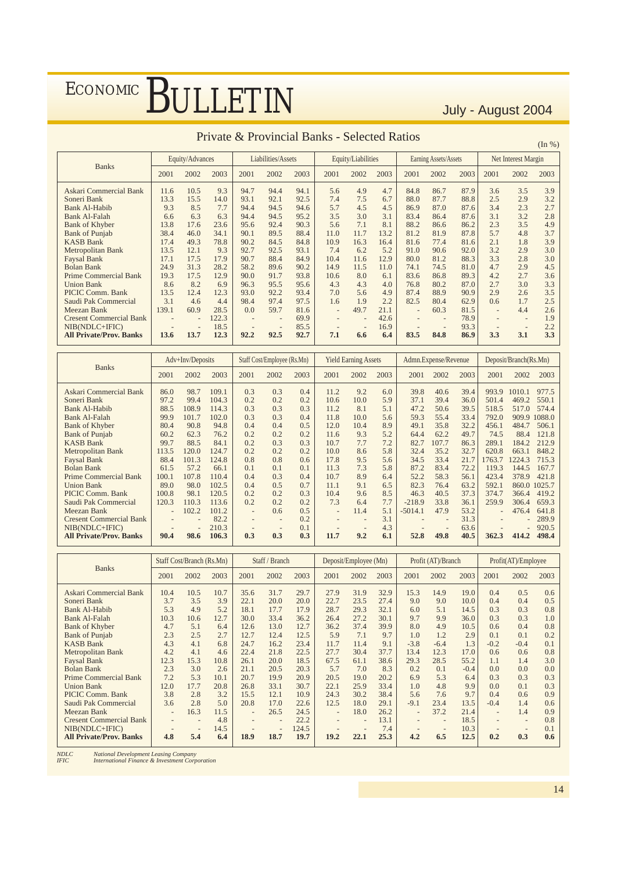|                                |       |                          |       |      | I HVAIC OCT TO VINCHII DANNS |      |      | DUIUUU IYAHO       |      |      |                          |      |                   |                          | (In %) |
|--------------------------------|-------|--------------------------|-------|------|------------------------------|------|------|--------------------|------|------|--------------------------|------|-------------------|--------------------------|--------|
|                                |       | Equity/Advances          |       |      | Liabilities/Assets           |      |      | Equity/Liabilities |      |      | Earning Assets/Assets    |      |                   | Net Interest Margin      |        |
| <b>Banks</b>                   | 2001  | 2002                     | 2003  | 2001 | 2002                         | 2003 | 2001 | 2002               | 2003 | 2001 | 2002                     | 2003 | 2001              | 2002                     | 2003   |
| Askari Commercial Bank         | 11.6  | 10.5                     | 9.3   | 94.7 | 94.4                         | 94.1 | 5.6  | 4.9                | 4.7  | 84.8 | 86.7                     | 87.9 | 3.6               | 3.5                      | 3.9    |
| Soneri Bank                    | 13.3  | 15.5                     | 14.0  | 93.1 | 92.1                         | 92.5 | 7.4  | 7.5                | 6.7  | 88.0 | 87.7                     | 88.8 | 2.5               | 2.9                      | 3.2    |
| <b>Bank Al-Habib</b>           | 9.3   | 8.5                      | 7.7   | 94.4 | 94.5                         | 94.6 | 5.7  | 4.5                | 4.5  | 86.9 | 87.0                     | 87.6 | 3.4               | 2.3                      | 2.7    |
| <b>Bank Al-Falah</b>           | 6.6   | 6.3                      | 6.3   | 94.4 | 94.5                         | 95.2 | 3.5  | 3.0                | 3.1  | 83.4 | 86.4                     | 87.6 | 3.1               | 3.2                      | 2.8    |
| <b>Bank of Khyber</b>          | 13.8  | 17.6                     | 23.6  | 95.6 | 92.4                         | 90.3 | 5.6  | 7.1                | 8.1  | 88.2 | 86.6                     | 86.2 | 2.3               | 3.5                      | 4.9    |
| <b>Bank of Punjab</b>          | 38.4  | 46.0                     | 34.1  | 90.1 | 89.5                         | 88.4 | 11.0 | 11.7               | 13.2 | 81.2 | 81.9                     | 87.8 | 5.7               | 4.8                      | 3.7    |
| <b>KASB Bank</b>               | 17.4  | 49.3                     | 78.8  | 90.2 | 84.5                         | 84.8 | 10.9 | 16.3               | 16.4 | 81.6 | 77.4                     | 81.6 | 2.1               | 1.8                      | 3.9    |
| Metropolitan Bank              | 13.5  | 12.1                     | 9.3   | 92.7 | 92.5                         | 93.1 | 7.4  | 6.2                | 5.2  | 91.0 | 90.6                     | 92.0 | 3.2               | 2.9                      | 3.0    |
| <b>Faysal Bank</b>             | 17.1  | 17.5                     | 17.9  | 90.7 | 88.4                         | 84.9 | 10.4 | 11.6               | 12.9 | 80.0 | 81.2                     | 88.3 | 3.3               | 2.8                      | 3.0    |
| <b>Bolan Bank</b>              | 24.9  | 31.3                     | 28.2  | 58.2 | 89.6                         | 90.2 | 14.9 | 11.5               | 11.0 | 74.1 | 74.5                     | 81.0 | 4.7               | 2.9                      | 4.5    |
| <b>Prime Commercial Bank</b>   | 19.3  | 17.5                     | 12.9  | 90.0 | 91.7                         | 93.8 | 10.6 | 8.0                | 6.1  | 83.6 | 86.8                     | 89.3 | 4.2               | 2.7                      | 3.6    |
| <b>Union Bank</b>              | 8.6   | 8.2                      | 6.9   | 96.3 | 95.5                         | 95.6 | 4.3  | 4.3                | 4.0  | 76.8 | 80.2                     | 87.0 | 2.7               | 3.0                      | 3.3    |
| PICIC Comm. Bank               | 13.5  | 12.4                     | 12.3  | 93.0 | 92.2                         | 93.4 | 7.0  | 5.6                | 4.9  | 87.4 | 88.9                     | 90.9 | 2.9               | 2.6                      | 3.5    |
| Saudi Pak Commercial           | 3.1   | 4.6                      | 4.4   | 98.4 | 97.4                         | 97.5 | 1.6  | 1.9                | 2.2  | 82.5 | 80.4                     | 62.9 | 0.6               | 1.7                      | 2.5    |
| Meezan Bank                    | 139.1 | 60.9                     | 28.5  | 0.0  | 59.7                         | 81.6 |      | 49.7               | 21.1 |      | 60.3                     | 81.5 | $\qquad \qquad -$ | 4.4                      | 2.6    |
| <b>Cresent Commercial Bank</b> |       | $\overline{\phantom{a}}$ | 122.3 |      |                              | 69.9 |      |                    | 42.6 |      | $\overline{\phantom{a}}$ | 78.9 |                   | $\overline{\phantom{m}}$ | 1.9    |
| NIB(NDLC+IFIC)                 |       | $\overline{\phantom{a}}$ | 18.5  |      | $\qquad \qquad -$            | 85.5 |      |                    | 16.9 |      |                          | 93.3 |                   | $\overline{\phantom{a}}$ | 2.2    |
| <b>All Private/Prov. Banks</b> | 13.6  | 13.7                     | 12.3  | 92.2 | 92.5                         | 92.7 | 7.1  | 6.6                | 6.4  | 83.5 | 84.8                     | 86.9 | 3.3               | 3.1                      | 3.3    |

#### Private & Provincial Banks - Selected Ratios

|                                |                          | Adv+Inv/Deposits |       |                          | Staff Cost/Employee (Rs.Mn) |      |                          | <b>Yield Earning Assets</b> |      |           | Admn.Expense/Revenue |      |                          | Deposit/Branch(Rs.Mn)    |              |
|--------------------------------|--------------------------|------------------|-------|--------------------------|-----------------------------|------|--------------------------|-----------------------------|------|-----------|----------------------|------|--------------------------|--------------------------|--------------|
| <b>Banks</b>                   | 2001                     | 2002             | 2003  | 2001                     | 2002                        | 2003 | 2001                     | 2002                        | 2003 | 2001      | 2002                 | 2003 | 2001                     | 2002                     | 2003         |
| Askari Commercial Bank         | 86.0                     | 98.7             | 109.1 | 0.3                      | 0.3                         | 0.4  | 11.2                     | 9.2                         | 6.0  | 39.8      | 40.6                 | 39.4 | 993.9                    | 1010.1                   | 977.5        |
| Soneri Bank                    | 97.2                     | 99.4             | 104.3 | 0.2                      | 0.2                         | 0.2  | 10.6                     | 10.0                        | 5.9  | 37.1      | 39.4                 | 36.0 | 501.4                    | 469.2                    | 550.1        |
| Bank Al-Habib                  | 88.5                     | 108.9            | 114.3 | 0.3                      | 0.3                         | 0.3  | 11.2                     | 8.1                         | 5.1  | 47.2      | 50.6                 | 39.5 | 518.5                    | 517.0                    | 574.4        |
| <b>Bank Al-Falah</b>           | 99.9                     | 101.7            | 102.0 | 0.3                      | 0.3                         | 0.4  | 11.8                     | 10.0                        | 5.6  | 59.3      | 55.4                 | 33.4 | 792.0                    |                          | 909.9 1088.0 |
| <b>Bank of Khyber</b>          | 80.4                     | 90.8             | 94.8  | 0.4                      | 0.4                         | 0.5  | 12.0                     | 10.4                        | 8.9  | 49.1      | 35.8                 | 32.2 | 456.1                    | 484.7                    | 506.1        |
| <b>Bank of Punjab</b>          | 60.2                     | 62.3             | 76.2  | 0.2                      | 0.2                         | 0.2  | 11.6                     | 9.3                         | 5.2  | 64.4      | 62.2                 | 49.7 | 74.5                     | 88.4                     | 121.8        |
| <b>KASB Bank</b>               | 99.7                     | 88.5             | 84.1  | 0.2                      | 0.3                         | 0.3  | 10.7                     | 7.7                         | 7.2  | 82.7      | 107.7                | 86.3 | 289.1                    | 184.2                    | 212.9        |
| Metropolitan Bank              | 113.5                    | 120.0            | 124.7 | 0.2                      | 0.2                         | 0.2  | 10.0                     | 8.6                         | 5.8  | 32.4      | 35.2                 | 32.7 | 620.8                    | 663.1                    | 848.2        |
| Faysal Bank                    | 88.4                     | 101.3            | 124.8 | 0.8                      | 0.8                         | 0.6  | 17.8                     | 9.5                         | 5.6  | 34.5      | 33.4                 | 21.7 | 1763.7                   | 224.3                    | 715.3        |
| <b>Bolan Bank</b>              | 61.5                     | 57.2             | 66.1  | 0.1                      | 0.1                         | 0.1  | 11.3                     | 7.3                         | 5.8  | 87.2      | 83.4                 | 72.2 | 119.3                    | 144.5                    | 167.7        |
| <b>Prime Commercial Bank</b>   | 100.1                    | 107.8            | 110.4 | 0.4                      | 0.3                         | 0.4  | 10.7                     | 8.9                         | 6.4  | 52.2      | 58.3                 | 56.1 | 423.4                    | 378.9                    | 421.8        |
| <b>Union Bank</b>              | 89.0                     | 98.0             | 102.5 | 0.4                      | 0.5                         | 0.7  | 11.1                     | 9.1                         | 6.5  | 82.3      | 76.4                 | 63.2 | 592.1                    |                          | 860.0 1025.7 |
| PICIC Comm. Bank               | 100.8                    | 98.1             | 120.5 | 0.2                      | 0.2                         | 0.3  | 10.4                     | 9.6                         | 8.5  | 46.3      | 40.5                 | 37.3 | 374.7                    | 366.4                    | 419.2        |
| Saudi Pak Commercial           | 120.3                    | 110.3            | 113.6 | 0.2                      | 0.2                         | 0.2  | 7.3                      | 6.4                         | 7.7  | $-218.9$  | 33.8                 | 36.1 | 259.9                    | 306.4                    | 659.3        |
| Meezan Bank                    | $\overline{\phantom{a}}$ | 102.2            | 101.2 | $\overline{\phantom{a}}$ | 0.6                         | 0.5  | $\overline{\phantom{a}}$ | 11.4                        | 5.1  | $-5014.1$ | 47.9                 | 53.2 | $\overline{\phantom{0}}$ | 476.4                    | 641.8        |
| <b>Cresent Commercial Bank</b> |                          |                  | 82.2  |                          | ۰                           | 0.2  |                          |                             | 3.1  |           |                      | 31.3 |                          | $\overline{\phantom{0}}$ | 289.9        |
| NIB(NDLC+IFIC)                 |                          |                  | 210.3 |                          |                             | 0.1  |                          |                             | 4.3  |           |                      | 63.6 |                          |                          | 920.5        |
| <b>All Private/Prov. Banks</b> | 90.4                     | 98.6             | 106.3 | 0.3                      | 0.3                         | 0.3  | 11.7                     | 9.2                         | 6.1  | 52.8      | 49.8                 | 40.5 | 362.3                    | 414.2                    | 498.4        |

|                                |                          | Staff Cost/Branch (Rs.Mn) |      |                          | Staff / Branch           |       |                          | Deposit/Employee (Mn) |      |        | Profit (AT)/Branch |        |                          | Profit(AT)/Employee      |      |
|--------------------------------|--------------------------|---------------------------|------|--------------------------|--------------------------|-------|--------------------------|-----------------------|------|--------|--------------------|--------|--------------------------|--------------------------|------|
| <b>Banks</b>                   | 2001                     | 2002                      | 2003 | 2001                     | 2002                     | 2003  | 2001                     | 2002                  | 2003 | 2001   | 2002               | 2003   | 2001                     | 2002                     | 2003 |
| Askari Commercial Bank         | 10.4                     | 10.5                      | 10.7 | 35.6                     | 31.7                     | 29.7  | 27.9                     | 31.9                  | 32.9 | 15.3   | 14.9               | 19.0   | 0.4                      | 0.5                      | 0.6  |
| Soneri Bank                    | 3.7                      | 3.5                       | 3.9  | 22.1                     | 20.0                     | 20.0  | 22.7                     | 23.5                  | 27.4 | 9.0    | 9.0                | 10.0   | 0.4                      | 0.4                      | 0.5  |
| <b>Bank Al-Habib</b>           | 5.3                      | 4.9                       | 5.2  | 18.1                     | 17.7                     | 17.9  | 28.7                     | 29.3                  | 32.1 | 6.0    | 5.1                | 14.5   | 0.3                      | 0.3                      | 0.8  |
| <b>Bank Al-Falah</b>           | 10.3                     | 10.6                      | 12.7 | 30.0                     | 33.4                     | 36.2  | 26.4                     | 27.2                  | 30.1 | 9.7    | 9.9                | 36.0   | 0.3                      | 0.3                      | 1.0  |
| <b>Bank of Khyber</b>          | 4.7                      | 5.1                       | 6.4  | 12.6                     | 13.0                     | 12.7  | 36.2                     | 37.4                  | 39.9 | 8.0    | 4.9                | 10.5   | 0.6                      | 0.4                      | 0.8  |
| <b>Bank of Punjab</b>          | 2.3                      | 2.5                       | 2.7  | 12.7                     | 12.4                     | 12.5  | 5.9                      | 7.1                   | 9.7  | 1.0    | 1.2                | 2.9    | 0.1                      | 0.1                      | 0.2  |
| <b>KASB Bank</b>               | 4.3                      | 4.1                       | 6.8  | 24.7                     | 16.2                     | 23.4  | 11.7                     | 11.4                  | 9.1  | $-3.8$ | $-6.4$             | 1.3    | $-0.2$                   | $-0.4$                   | 0.1  |
| Metropolitan Bank              | 4.2                      | 4.1                       | 4.6  | 22.4                     | 21.8                     | 22.5  | 27.7                     | 30.4                  | 37.7 | 13.4   | 12.3               | 17.0   | 0.6                      | 0.6                      | 0.8  |
| <b>Faysal Bank</b>             | 12.3                     | 15.3                      | 10.8 | 26.1                     | 20.0                     | 18.5  | 67.5                     | 61.1                  | 38.6 | 29.3   | 28.5               | 55.2   | 1.1                      | 1.4                      | 3.0  |
| <b>Bolan Bank</b>              | 2.3                      | 3.0                       | 2.6  | 21.1                     | 20.5                     | 20.3  | 5.7                      | 7.0                   | 8.3  | 0.2    | 0.1                | $-0.4$ | 0.0                      | 0.0                      | 0.0  |
| <b>Prime Commercial Bank</b>   | 7.2                      | 5.3                       | 10.1 | 20.7                     | 19.9                     | 20.9  | 20.5                     | 19.0                  | 20.2 | 6.9    | 5.3                | 6.4    | 0.3                      | 0.3                      | 0.3  |
| <b>Union Bank</b>              | 12.0                     | 17.7                      | 20.8 | 26.8                     | 33.1                     | 30.7  | 22.1                     | 25.9                  | 33.4 | 1.0    | 4.8                | 9.9    | 0.0                      | 0.1                      | 0.3  |
| PICIC Comm. Bank               | 3.8                      | 2.8                       | 3.2  | 15.5                     | 12.1                     | 10.9  | 24.3                     | 30.2                  | 38.4 | 5.6    | 7.6                | 9.7    | 0.4                      | 0.6                      | 0.9  |
| Saudi Pak Commercial           | 3.6                      | 2.8                       | 5.0  | 20.8                     | 17.0                     | 22.6  | 12.5                     | 18.0                  | 29.1 | $-9.1$ | 23.4               | 13.5   | $-0.4$                   | 1.4                      | 0.6  |
| Meezan Bank                    | $\overline{\phantom{a}}$ | 16.3                      | 11.5 | $\overline{\phantom{a}}$ | 26.5                     | 24.5  | $\overline{\phantom{a}}$ | 18.0                  | 26.2 |        | 37.2               | 21.4   | $\overline{\phantom{a}}$ | 1.4                      | 0.9  |
| <b>Cresent Commercial Bank</b> |                          |                           | 4.8  |                          |                          | 22.2  |                          |                       | 13.1 |        |                    | 18.5   |                          | $\qquad \qquad -$        | 0.8  |
| NIB(NDLC+IFIC)                 |                          | $\overline{\phantom{m}}$  | 14.5 |                          | $\overline{\phantom{a}}$ | 124.5 |                          |                       | 7.4  |        |                    | 10.3   |                          | $\overline{\phantom{a}}$ | 0.1  |
| <b>All Private/Prov. Banks</b> | 4.8                      | 5.4                       | 6.4  | 18.9                     | 18.7                     | 19.7  | 19.2                     | 22.1                  | 25.3 | 4.2    | 6.5                | 12.5   | 0.2                      | 0.3                      | 0.6  |

*NDLC National Development Leasing Company IFIC International Finance & Investment Corporation*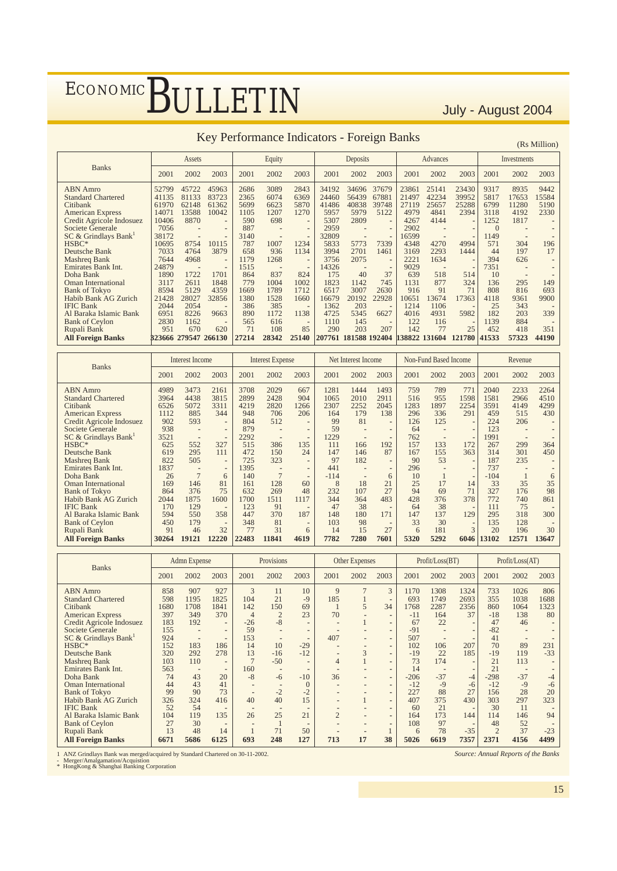### Key Performance Indicators - Foreign Banks (Rs Million)

2001 2002 2003 2001 2002 2003 2001 2002 2003 2001 2002 2003 2001 2002 2003 ABN Amro 52799 45722 45963 2686 3089 2843 34192 34696 37679 23861 25141 23430 9317 8935 9442 Standard Chartered 41135 81133 83723 2365 6074 6369 24460 56439 67881 21497 42234 39952 5817 17653 15584<br>Citibank 61970 62148 61362 5699 6623 5870 41486 40838 39748 27119 25657 25288 6799 11280 5190 Citibank 61970 62148 61362 5699 6623 5870 41486 40838 39748 27119 25657 25288 6799 11280 5190 American Express 14071 13588 10042 1105 1207 1270 5957 5979 5122 4979 4841 2394 3118 4192 2330<br>Credit Agricole Indosuez 10406 8870 - 590 698 - 5307 2809 - 4267 4144 - 1252 1817 -Credit Agricole Indosuez 10406 8870<br>
Credit Agricole Indosuez 10406 8870<br>
Societe Generale 7056 - 887 - 2959 - 2909 - 2900 **Societe Generale** 7056 - - 887 - - 2959 - - 2902 - - 0<br>SC & Grindlays Bank<sup>1</sup> 38172 - - 3140 - - 32809 - - 16599 - - 1149 SC & Grindlays Bank<sup>1</sup><br>HSBC\* 38172 **- -** 3140 **- -** 32809 **- -** 16599 **- -** 1149 **- -** HSBC\* 10695 8754 10115 787 1007 1234 5833 5773 7339 4348 4270 4994 571 304 196 Deutsche Bank 7033 4764 3879 658 936 1134 3994 2701 1461 3169 2293 1444 44 197 17 Mashreq Bank 7644 4968 **-** 1179 1268 **-** 3756 2075 **-** 2221 1634 **-** 394 626 **-** Emirates Bank Int. 24879 **- -** 1515 **- -** 14326 **- -** 9029 **- -** 7351 **- -** Doha Bank 1890 1722 1701 864 837 824 175 40 37 639 518 514 10 **- -** <table>\n<tbody>\n<tr>\n<th>1000</th>\n<th>1890</th>\n<th>1722</th>\n<th>1701</th>\n<th>1864</th>\n<th>837</th>\n<th>824</th>\n<th>175</th>\n<th>40</th>\n<th>37</th>\n<th>639</th>\n<th>518</th>\n<th>514</th>\n<th>10</th>\n<th>10</th>\n</tr>\n<tr>\n<td>1000</td>\n<td>3117</td>\n<td>2611</td>\n<td>1848</td>\n<td>779</td>\n<td>1004</td>\n<td>1002</td>\ Bank of Tokyo 8594 5129 4359 1669 1789 1712 6517 3007 2630 916 91 71 808 816 693 Habib Bank AG Zurich 21428 28027 32856 1380 1528 1660 16679 20192 22928 10651 13674 17363 4118 9361 9900<br>IFIC Bank 2004 2054 - 386 385 - 1362 203 - 1214 1106 - 25 343 IFIC Bank 2044 2054 **-** 386 385 **-** 1362 203 **-** 1214 1106 **-** 25 343 **-** Al Baraka Islamic Bank 6951 8226 9663 890 1172 1138 4725 5345 6627 4016 4931 5982 182 203 339<br>Bank of Ceylon 2830 1162 - 565 616 - 1110 145 - 122 116 - 1139 884 -Bank of Ceylon 2830 1162 **-** 565 616 **-** 1110 145 **-** 122 116 **-** 1139 884 **-** Rupali Bank 951 670 620 71 108 85 290 203 207 142 77 25 452 418 351 All Foreign Banks 323666 279547 266130 27214 28342 25140 207761 181588 192404 138822 131604 121780 41533 57323 44190 Assets | Equity | Deposits | Advances | Investments Banks

| <b>Banks</b>              |       | <b>Interest Income</b>   |                          |       | <b>Interest Expense</b>  |      |        | Net Interest Income |                          |      | Non-Fund Based Income |      |        | Revenue                  |                          |
|---------------------------|-------|--------------------------|--------------------------|-------|--------------------------|------|--------|---------------------|--------------------------|------|-----------------------|------|--------|--------------------------|--------------------------|
|                           | 2001  | 2002                     | 2003                     | 2001  | 2002                     | 2003 | 2001   | 2002                | 2003                     | 2001 | 2002                  | 2003 | 2001   | 2002                     | 2003                     |
| <b>ABN</b> Amro           | 4989  | 3473                     | 2161                     | 3708  | 2029                     | 667  | 1281   | 1444                | 1493                     | 759  | 789                   | 771  | 2040   | 2233                     | 2264                     |
| <b>Standard Chartered</b> | 3964  | 4438                     | 3815                     | 2899  | 2428                     | 904  | 1065   | 2010                | 2911                     | 516  | 955                   | 1598 | 1581   | 2966                     | 4510                     |
| Citibank                  | 6526  | 5072                     | 3311                     | 4219  | 2820                     | 1266 | 2307   | 2252                | 2045                     | 1283 | 1897                  | 2254 | 3591   | 4149                     | 4299                     |
| <b>American Express</b>   | 1112  | 885                      | 344                      | 948   | 706                      | 206  | 164    | 179                 | 138                      | 296  | 336                   | 291  | 459    | 515                      | 430                      |
| Credit Agricole Indosuez  | 902   | 593                      | ٠                        | 804   | 512                      | ٠    | 99     | 81                  | $\overline{\phantom{a}}$ | 126  | 125                   |      | 224    | 206                      |                          |
| Societe Generale          | 938   | $\blacksquare$           |                          | 879   | $\overline{\phantom{a}}$ |      | 59     |                     |                          | 64   |                       |      | 123    | $\blacksquare$           |                          |
| SC & Grindlays Bank       | 3521  | $\blacksquare$           | ٠                        | 2292  | $\blacksquare$           | ٠    | 1229   | ۰                   | $\overline{a}$           | 762  |                       |      | 1991   | $\overline{\phantom{a}}$ |                          |
| HSBC*                     | 625   | 552                      | 327                      | 515   | 386                      | 135  | 111    | 166                 | 192                      | 157  | 133                   | 172  | 267    | 299                      | 364                      |
| Deutsche Bank             | 619   | 295                      | 111                      | 472   | 150                      | 24   | 147    | 146                 | 87                       | 167  | 155                   | 363  | 314    | 301                      | 450                      |
| Mashreg Bank              | 822   | 505                      | ٠                        | 725   | 323                      | ۰    | 97     | 182                 |                          | 90   | 53                    |      | 187    | 235                      | ٠                        |
| Emirates Bank Int.        | 1837  | $\overline{\phantom{a}}$ | ٠                        | 1395  |                          | ۰    | 441    |                     |                          | 296  |                       |      | 737    | $\blacksquare$           |                          |
| Doha Bank                 | 26    | $\tau$                   | 6                        | 140   |                          | ۰    | $-114$ |                     | 6                        | 10   |                       |      | $-104$ |                          | 6                        |
| <b>Oman International</b> | 169   | 146                      | 81                       | 161   | 128                      | 60   | 8      | 18                  | 21                       | 25   | 17                    | 14   | 33     | 35                       | 35                       |
| <b>Bank of Tokyo</b>      | 864   | 376                      | 75                       | 632   | 269                      | 48   | 232    | 107                 | 27                       | 94   | 69                    | 71   | 327    | 176                      | 98                       |
| Habib Bank AG Zurich      | 2044  | 1875                     | 1600                     | 1700  | 1511                     | 1117 | 344    | 364                 | 483                      | 428  | 376                   | 378  | 772    | 740                      | 861                      |
| <b>IFIC Bank</b>          | 170   | 129                      |                          | 123   | 91                       | ۰    | 47     | 38                  |                          | 64   | 38                    |      | 111    | 75                       |                          |
| Al Baraka Islamic Bank    | 594   | 550                      | 358                      | 447   | 370                      | 187  | 148    | 180                 | 171                      | 147  | 137                   | 129  | 295    | 318                      | 300                      |
| <b>Bank of Cevlon</b>     | 450   | 179                      | $\overline{\phantom{a}}$ | 348   | 81                       |      | 103    | 98                  | $\overline{\phantom{a}}$ | 33   | 30                    |      | 135    | 128                      | $\overline{\phantom{a}}$ |
| Rupali Bank               | 91    | 46                       | 32                       | 77    | 31                       | 6    | 14     | 15                  | 27                       | 6    | 181                   | 3    | 20     | 196                      | 30                       |
| <b>All Foreign Banks</b>  | 30264 | 19121                    | 12220                    | 22483 | 11841                    | 4619 | 7782   | 7280                | 7601                     | 5320 | 5292                  | 6046 | 13102  | 12571                    | 13647                    |

|                                              |            | Admn Expense |                          |                | Provisions               |            |                | Other Expenses |                          |             | Profit/Loss(BT) |                |                | Profit/Loss(AT) |             |
|----------------------------------------------|------------|--------------|--------------------------|----------------|--------------------------|------------|----------------|----------------|--------------------------|-------------|-----------------|----------------|----------------|-----------------|-------------|
| <b>Banks</b>                                 | 2001       | 2002         | 2003                     | 2001           | 2002                     | 2003       | 2001           | 2002           | 2003                     | 2001        | 2002            | 2003           | 2001           | 2002            | 2003        |
| <b>ABN</b> Amro<br><b>Standard Chartered</b> | 858<br>598 | 907<br>1195  | 927<br>1825              | 3<br>104       | 11<br>21                 | 10<br>$-9$ | 9<br>185       |                | 3                        | 1170<br>693 | 1308<br>1749    | 1324<br>2693   | 733<br>355     | 1026<br>1038    | 806<br>1688 |
| Citibank                                     | 1680       | 1708         | 1841                     | 142            | 150                      | 69         |                | 5              | 34                       | 1768        | 2287            | 2356           | 860            | 1064            | 1323        |
| <b>American Express</b>                      | 397        | 349          | 370                      | 4              | $\overline{2}$           | 23         | 70             |                |                          | $-11$       | 164             | 37             | $-18$          | 138             | 80          |
| Credit Agricole Indosuez                     | 183        | 192          | $\overline{\phantom{a}}$ | $-26$          | $-8$                     |            |                |                |                          | 67          | 22              | $\overline{a}$ | 47             | 46              |             |
| Societe Generale                             | 155        |              | ۰                        | 59             |                          |            |                |                |                          | $-91$       |                 |                | $-82$          |                 |             |
| SC & Grindlays Bank <sup>1</sup>             | 924        | ٠            | $\overline{\phantom{a}}$ | 153            |                          |            | 407            |                |                          | 507         |                 |                | 41             |                 |             |
| HSBC*                                        | 152        | 183          | 186                      | 14             | 10                       | $-29$      |                |                | $\overline{\phantom{a}}$ | 102         | 106             | 207            | 70             | 89              | 231         |
| Deutsche Bank                                | 320        | 292          | 278                      | 13             | $-16$                    | $-12$      |                | 3              |                          | $-19$       | 22              | 185            | $-19$          | 119             | $-33$       |
| Mashreq Bank                                 | 103        | 110          |                          | $\overline{7}$ | $-50$                    | ٠          | 4              |                |                          | 73          | 174             |                | 21             | 113             |             |
| <b>Emirates Bank Int.</b>                    | 563        |              | $\overline{a}$           | 160            |                          |            |                |                |                          | 14          |                 |                | 21             |                 |             |
| Doha Bank                                    | 74         | 43           | 20                       | $-8$           | $-6$                     | $-10$      | 36             |                | ٠                        | $-206$      | $-37$           | $-4$           | $-298$         | $-37$           | $-4$        |
| Oman International                           | 44         | 43           | 41                       |                | $\overline{\phantom{a}}$ | $\Omega$   |                |                | $\blacksquare$           | $-12$       | $-9$            | $-6$           | $-12$          | $-9$            | $-6$        |
| <b>Bank of Tokyo</b>                         | 99         | 90           | 73                       |                | $-2$                     | $-2$       |                |                | $\overline{\phantom{a}}$ | 227         | 88              | 27             | 156            | 28              | 20          |
| Habib Bank AG Zurich                         | 326        | 324          | 416                      | 40             | 40                       | 15         |                |                | $\overline{\phantom{a}}$ | 407         | 375             | 430            | 303            | 297             | 323         |
| <b>IFIC Bank</b>                             | 52         | 54           | -                        |                |                          |            |                |                |                          | 60          | 21              |                | 30             | 11              |             |
| Al Baraka Islamic Bank                       | 104        | 119          | 135                      | 26             | 25                       | 21         | $\overline{2}$ |                | $\overline{\phantom{a}}$ | 164         | 173             | 144            | 114            | 146             | 94          |
| <b>Bank of Ceylon</b>                        | 27         | 30           | $\overline{a}$           |                |                          |            |                |                |                          | 108         | 97              |                | 48             | 52              |             |
| Rupali Bank                                  | 13         | 48           | 14                       |                | 71                       | 50         |                |                |                          | 6           | 78              | $-35$          | $\overline{2}$ | 37              | $-23$       |
| <b>All Foreign Banks</b>                     | 6671       | 5686         | 6125                     | 693            | 248                      | 127        | 713            | 17             | 38                       | 5026        | 6619            | 7357           | 2371           | 4156            | 4499        |

1 ANZ Grindlays Bank was merged/acquired by Standard Chartered on 30-11-2002. - Merger/Amalgamation/Acquistion \* HongKong & Shanghai Banking Corporation

*Source: Annual Reports of the Banks*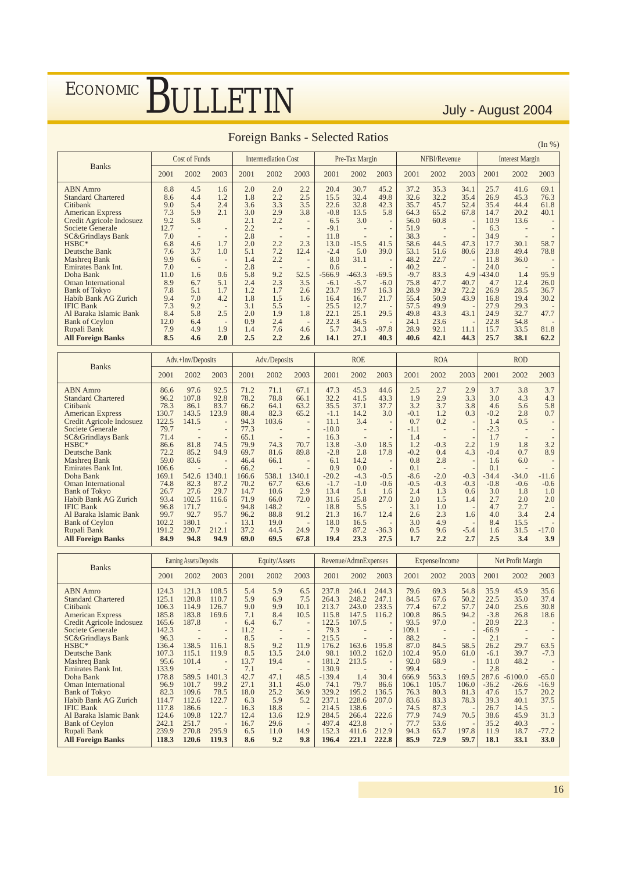|                                                                                                                                                                                                                                                                                 |                                                                                           |                                                                                                                                                        |                                                                                                                                                                      |                                                                                         |                                                                    |                                                                                                                                                                                      | <b>Foreign Banks - Selected Ratios</b>                                                                        |                                                                                     |                                                                                              |                                                                                                        |                                                                                                          |                                                                                                       |                                                                                                        |                                                                             |                                                                                                                                                  |
|---------------------------------------------------------------------------------------------------------------------------------------------------------------------------------------------------------------------------------------------------------------------------------|-------------------------------------------------------------------------------------------|--------------------------------------------------------------------------------------------------------------------------------------------------------|----------------------------------------------------------------------------------------------------------------------------------------------------------------------|-----------------------------------------------------------------------------------------|--------------------------------------------------------------------|--------------------------------------------------------------------------------------------------------------------------------------------------------------------------------------|---------------------------------------------------------------------------------------------------------------|-------------------------------------------------------------------------------------|----------------------------------------------------------------------------------------------|--------------------------------------------------------------------------------------------------------|----------------------------------------------------------------------------------------------------------|-------------------------------------------------------------------------------------------------------|--------------------------------------------------------------------------------------------------------|-----------------------------------------------------------------------------|--------------------------------------------------------------------------------------------------------------------------------------------------|
|                                                                                                                                                                                                                                                                                 |                                                                                           |                                                                                                                                                        |                                                                                                                                                                      |                                                                                         |                                                                    |                                                                                                                                                                                      |                                                                                                               |                                                                                     |                                                                                              |                                                                                                        |                                                                                                          |                                                                                                       |                                                                                                        |                                                                             | (In %)                                                                                                                                           |
|                                                                                                                                                                                                                                                                                 |                                                                                           | Cost of Funds                                                                                                                                          |                                                                                                                                                                      |                                                                                         | <b>Intermediation Cost</b>                                         |                                                                                                                                                                                      |                                                                                                               | Pre-Tax Margin                                                                      |                                                                                              |                                                                                                        | NFBI/Revenue                                                                                             |                                                                                                       |                                                                                                        | <b>Interest Margin</b>                                                      |                                                                                                                                                  |
| <b>Banks</b>                                                                                                                                                                                                                                                                    | 2001                                                                                      | 2002                                                                                                                                                   | 2003                                                                                                                                                                 | 2001                                                                                    | 2002                                                               | 2003                                                                                                                                                                                 | 2001                                                                                                          | 2002                                                                                | 2003                                                                                         | 2001                                                                                                   | 2002                                                                                                     | 2003                                                                                                  | 2001                                                                                                   | 2002                                                                        | 2003                                                                                                                                             |
| <b>ABN</b> Amro<br><b>Standard Chartered</b><br>Citibank<br><b>American Express</b><br>Credit Agricole Indosuez<br>Societe Generale<br><b>SC&amp;Grindlays Bank</b><br>$HSBC*$<br>Deutsche Bank<br>Mashreg Bank<br>Emirates Bank Int.<br>Doha Bank<br><b>Oman International</b> | 8.8<br>8.6<br>9.0<br>7.3<br>9.2<br>12.7<br>7.0<br>6.8<br>7.6<br>9.9<br>7.0<br>11.0<br>8.9 | 4.5<br>4.4<br>5.4<br>5.9<br>5.8<br>$\overline{\phantom{a}}$<br>$\overline{\phantom{m}}$<br>4.6<br>3.7<br>6.6<br>$\overline{\phantom{a}}$<br>1.6<br>6.7 | 1.6<br>1.2<br>2.4<br>2.1<br>$\overline{\phantom{0}}$<br>$\overline{\phantom{0}}$<br>1.7<br>1.0<br>$\overline{\phantom{0}}$<br>$\overline{\phantom{a}}$<br>0.6<br>5.1 | 2.0<br>1.8<br>3.6<br>3.0<br>2.1<br>2.2<br>2.8<br>2.0<br>5.1<br>1.4<br>2.8<br>5.8<br>2.4 | 2.0<br>2.2<br>3.3<br>2.9<br>2.2<br>2.2<br>7.2<br>2.2<br>9.2<br>2.3 | 2.2<br>2.5<br>3.5<br>3.8<br>$\overline{\phantom{0}}$<br>$\qquad \qquad -$<br>$\overline{\phantom{a}}$<br>2.3<br>12.4<br>$\qquad \qquad -$<br>$\overline{\phantom{a}}$<br>52.5<br>3.5 | 20.4<br>15.5<br>22.6<br>$-0.8$<br>6.5<br>$-9.1$<br>11.8<br>13.0<br>$-2.4$<br>8.0<br>0.6<br>$-566.9$<br>$-6.1$ | 30.7<br>32.4<br>32.8<br>13.5<br>3.0<br>$-15.5$<br>5.0<br>31.1<br>$-463.3$<br>$-5.7$ | 45.2<br>49.8<br>42.3<br>5.8<br>$\overline{\phantom{a}}$<br>41.5<br>39.0<br>$-69.5$<br>$-6.0$ | 37.2<br>32.6<br>35.7<br>64.3<br>56.0<br>51.9<br>38.3<br>58.6<br>53.1<br>48.2<br>40.2<br>$-9.7$<br>75.8 | 35.3<br>32.2<br>45.7<br>65.2<br>60.8<br>44.5<br>51.6<br>22.7<br>$\overline{\phantom{a}}$<br>83.3<br>47.7 | 34.1<br>35.4<br>52.4<br>67.8<br>$\qquad \qquad -$<br>47.3<br>80.6<br>$\qquad \qquad -$<br>4.9<br>40.7 | 25.7<br>26.9<br>35.4<br>14.7<br>10.9<br>6.3<br>34.9<br>17.7<br>23.8<br>11.8<br>24.0<br>$-434.0$<br>4.7 | 41.6<br>45.3<br>44.4<br>20.2<br>13.6<br>30.1<br>49.4<br>36.0<br>1.4<br>12.4 | 69.1<br>76.3<br>61.8<br>40.1<br>$\overline{\phantom{a}}$<br>$\overline{\phantom{a}}$<br>58.7<br>78.8<br>$\overline{\phantom{a}}$<br>95.9<br>26.0 |
| <b>Bank of Tokyo</b><br>Habib Bank AG Zurich                                                                                                                                                                                                                                    | 7.8<br>9.4                                                                                | 5.1<br>7.0                                                                                                                                             | 1.7<br>4.2                                                                                                                                                           | 1.2<br>1.8                                                                              | 1.7<br>1.5                                                         | 2.6<br>1.6                                                                                                                                                                           | 23.7<br>16.4                                                                                                  | 19.7<br>16.7                                                                        | 16.3<br>21.7                                                                                 | 28.9<br>55.4                                                                                           | 39.2<br>50.9                                                                                             | 72.2<br>43.9                                                                                          | 26.9<br>16.8                                                                                           | 28.5<br>19.4                                                                | 36.7<br>30.2                                                                                                                                     |
| <b>IFIC Bank</b><br>Al Baraka Islamic Bank                                                                                                                                                                                                                                      | 7.3<br>8.4                                                                                | 9.2<br>5.8                                                                                                                                             | $\overline{\phantom{a}}$<br>2.5                                                                                                                                      | 3.1<br>2.0                                                                              | 5.5<br>1.9                                                         | $\overline{\phantom{a}}$<br>1.8                                                                                                                                                      | 25.5<br>22.1                                                                                                  | 12.7<br>25.1                                                                        | 29.5                                                                                         | 57.5<br>49.8                                                                                           | 49.9<br>43.3                                                                                             | 43.1                                                                                                  | 27.9<br>24.9                                                                                           | 29.3<br>32.7                                                                | 47.7                                                                                                                                             |
| <b>Bank of Ceylon</b><br>Rupali Bank<br><b>All Foreign Banks</b>                                                                                                                                                                                                                | 12.0<br>7.9<br>8.5                                                                        | 6.4<br>4.9<br>4.6                                                                                                                                      | $\overline{\phantom{0}}$<br>1.9<br>2.0                                                                                                                               | 0.9<br>1.4<br>2.5                                                                       | 2.4<br>7.6<br>2.2                                                  | $\overline{\phantom{a}}$<br>4.6<br>2.6                                                                                                                                               | 22.3<br>5.7<br>14.1                                                                                           | 46.5<br>34.3<br>27.1                                                                | $-97.8$<br>40.3                                                                              | 24.1<br>28.9<br>40.6                                                                                   | 23.6<br>92.1<br>42.1                                                                                     | $\overline{\phantom{a}}$<br>11.1<br>44.3                                                              | 22.8<br>15.7<br>25.7                                                                                   | 54.8<br>33.5<br>38.1                                                        | 81.8<br>62.2                                                                                                                                     |
|                                                                                                                                                                                                                                                                                 |                                                                                           |                                                                                                                                                        |                                                                                                                                                                      |                                                                                         |                                                                    |                                                                                                                                                                                      |                                                                                                               |                                                                                     |                                                                                              |                                                                                                        |                                                                                                          |                                                                                                       |                                                                                                        |                                                                             |                                                                                                                                                  |

|  | <b>Foreign Banks - Selected Ratios</b> |  |
|--|----------------------------------------|--|
|  |                                        |  |

|                              |       | Adv.+Inv/Deposits |                          |       | Adv./Deposits |                          |         | <b>ROE</b> |         |        | <b>ROA</b> |                          |         | <b>ROD</b> |         |
|------------------------------|-------|-------------------|--------------------------|-------|---------------|--------------------------|---------|------------|---------|--------|------------|--------------------------|---------|------------|---------|
| <b>Banks</b>                 | 2001  | 2002              | 2003                     | 2001  | 2002          | 2003                     | 2001    | 2002       | 2003    | 2001   | 2002       | 2003                     | 2001    | 2002       | 2003    |
| <b>ABN</b> Amro              | 86.6  | 97.6              | 92.5                     | 71.2  | 71.1          | 67.1                     | 47.3    | 45.3       | 44.6    | 2.5    | 2.7        | 2.9                      | 3.7     | 3.8        | 3.7     |
| <b>Standard Chartered</b>    | 96.2  | 107.8             | 92.8                     | 78.2  | 78.8          | 66.1                     | 32.2    | 41.5       | 43.3    | 1.9    | 2.9        | 3.3                      | 3.0     | 4.3        | 4.3     |
| Citibank                     | 78.3  | 86.1              | 83.7                     | 66.2  | 64.1          | 63.2                     | 35.5    | 37.1       | 37.7    | 3.2    | 3.7        | 3.8                      | 4.6     | 5.6        | 5.8     |
| <b>American Express</b>      | 130.7 | 143.5             | 123.9                    | 88.4  | 82.3          | 65.2                     | $-1.1$  | 14.2       | 3.0     | $-0.1$ | 1.2        | 0.3                      | $-0.2$  | 2.8        | 0.7     |
| Credit Agricole Indosuez     | 122.5 | 141.5             | $\overline{\phantom{0}}$ | 94.3  | 103.6         | $\overline{\phantom{0}}$ | 11.1    | 3.4        |         | 0.7    | 0.2        | $\qquad \qquad -$        | 1.4     | 0.5        |         |
| Societe Generale             | 79.7  |                   | $\overline{\phantom{0}}$ | 77.3  |               | $\overline{\phantom{a}}$ | $-10.0$ |            |         | $-1.1$ |            |                          | $-2.3$  |            |         |
| <b>SC&amp;Grindlays Bank</b> | 71.4  |                   | $\overline{\phantom{0}}$ | 65.1  |               | $\overline{\phantom{m}}$ | 16.3    |            |         | 1.4    |            |                          | 1.7     |            |         |
| $HSBC*$                      | 86.6  | 81.8              | 74.5                     | 79.9  | 74.3          | 70.7                     | 13.8    | $-3.0$     | 18.5    | 1.2    | $-0.3$     | 2.2                      | 1.9     | 1.8        | 3.2     |
| Deutsche Bank                | 72.2  | 85.2              | 94.9                     | 69.7  | 81.6          | 89.8                     | $-2.8$  | 2.8        | 17.8    | $-0.2$ | 0.4        | 4.3                      | $-0.4$  | 0.7        | 8.9     |
| <b>Mashreq Bank</b>          | 59.0  | 83.6              | $\overline{\phantom{0}}$ | 46.4  | 66.1          |                          | 6.1     | 14.2       |         | 0.8    | 2.8        | $\overline{\phantom{a}}$ | 1.6     | 6.0        |         |
| <b>Emirates Bank Int.</b>    | 106.6 |                   |                          | 66.2  |               |                          | 0.9     | 0.0        |         | 0.1    |            |                          | 0.1     |            |         |
| Doha Bank                    | 169.1 | 542.6             | 1340.1                   | 166.6 | 538.1         | 1340.1                   | $-20.2$ | $-4.3$     | $-0.5$  | $-8.6$ | $-2.0$     | $-0.3$                   | $-34.4$ | $-34.0$    | $-11.6$ |
| <b>Oman International</b>    | 74.8  | 82.3              | 87.2                     | 70.2  | 67.7          | 63.6                     | $-1.7$  | $-1.0$     | $-0.6$  | $-0.5$ | $-0.3$     | $-0.3$                   | $-0.8$  | $-0.6$     | $-0.6$  |
| <b>Bank of Tokyo</b>         | 26.7  | 27.6              | 29.7                     | 14.7  | 10.6          | 2.9                      | 13.4    | 5.1        | 1.6     | 2.4    | 1.3        | 0.6                      | 3.0     | 1.8        | 1.0     |
| <b>Habib Bank AG Zurich</b>  | 93.4  | 102.5             | 116.6                    | 71.9  | 66.0          | 72.0                     | 31.6    | 25.8       | 27.0    | 2.0    | 1.5        | 1.4                      | 2.7     | 2.0        | 2.0     |
| <b>IFIC Bank</b>             | 96.8  | 171.7             |                          | 94.8  | 148.2         | $\overline{\phantom{a}}$ | 18.8    | 5.5        |         | 3.1    | 1.0        | $\qquad \qquad -$        | 4.7     | 2.7        |         |
| Al Baraka Islamic Bank       | 99.7  | 92.7              | 95.7                     | 96.2  | 88.8          | 91.2                     | 21.3    | 16.7       | 12.4    | 2.6    | 2.3        | 1.6                      | 4.0     | 3.4        | 2.4     |
| <b>Bank of Ceylon</b>        | 102.2 | 180.1             |                          | 13.1  | 19.0          | $\overline{\phantom{m}}$ | 18.0    | 16.5       |         | 3.0    | 4.9        | $\overline{\phantom{a}}$ | 8.4     | 15.5       |         |
| Rupali Bank                  | 191.2 | 220.7             | 212.1                    | 37.2  | 44.5          | 24.9                     | 7.9     | 87.2       | $-36.3$ | 0.5    | 9.6        | $-5.4$                   | 1.6     | 31.5       | $-17.0$ |
| <b>All Foreign Banks</b>     | 84.9  | 94.8              | 94.9                     | 69.0  | 69.5          | 67.8                     | 19.4    | 23.3       | 27.5    | 1.7    | 2.2        | 2.7                      | 2.5     | 3.4        | 3.9     |

|                                       |                | Earning Assets/Deposits           |                          |             | Equity/Assets |                                  |                | Revenue/AdmnExpenses |                                  |              | Expense/Income |       |             | Net Profit Margin |                                     |
|---------------------------------------|----------------|-----------------------------------|--------------------------|-------------|---------------|----------------------------------|----------------|----------------------|----------------------------------|--------------|----------------|-------|-------------|-------------------|-------------------------------------|
| <b>Banks</b>                          | 2001           | 2002                              | 2003                     | 2001        | 2002          | 2003                             | 2001           | 2002                 | 2003                             | 2001         | 2002           | 2003  | 2001        | 2002              | 2003                                |
| <b>ABN</b> Amro                       | 124.3          | 121.3                             | 108.5                    | 5.4         | 5.9           | 6.5                              | 237.8          | 246.1                | 244.3                            | 79.6         | 69.3           | 54.8  | 35.9        | 45.9              | 35.6                                |
| <b>Standard Chartered</b>             | 125.1          | 120.8                             | 110.7                    | 5.9         | 6.9           | 7.5                              | 264.3          | 248.2                | 247.1                            | 84.5         | 67.6           | 50.2  | 22.5        | 35.0              | 37.4                                |
| Citibank                              | 106.3          | 114.9                             | 126.7                    | 9.0         | 9.9           | 10.1                             | 213.7          | 243.0                | 233.5                            | 77.4         | 67.2           | 57.7  | 24.0        | 25.6              | 30.8                                |
| <b>American Express</b>               | 185.8          | 183.8                             | 169.6                    | 7.1         | 8.4           | 10.5                             | 115.8          | 147.5                | 116.2                            | 100.8        | 86.5           | 94.2  | $-3.8$      | 26.8              | 18.6                                |
| Credit Agricole Indosuez              | 165.6          | 187.8                             | $\overline{\phantom{a}}$ | 6.4         | 6.7           | ٠                                | 122.5          | 107.5                | $\overline{\phantom{a}}$         | 93.5         | 97.0           |       | 20.9        | 22.3              |                                     |
| Societe Generale                      | 142.3          |                                   | $\overline{\phantom{a}}$ | 11.2        |               | $\overline{\phantom{a}}$         | 79.3           |                      | $\overline{\phantom{a}}$         | 109.1        |                |       | $-66.9$     |                   |                                     |
| <b>SC&amp;Grindlays Bank</b><br>HSBC* | 96.3           | $\overline{\phantom{m}}$<br>138.5 |                          | 8.5<br>8.5  | 9.2           | $\overline{\phantom{a}}$         | 215.5<br>176.2 |                      | $\overline{\phantom{a}}$         | 88.2<br>87.0 |                |       | 2.1<br>26.2 | 29.7              |                                     |
|                                       | 136.4<br>107.3 | 115.1                             | 116.1                    | 8.5         | 13.5          | 11.9<br>24.0                     | 98.1           | 163.6<br>103.2       | 195.8                            |              | 84.5           | 58.5  |             |                   | 63.5<br>$-7.3$                      |
| Deutsche Bank                         |                | 101.4                             | 119.9                    |             |               |                                  |                | 213.5                | 162.0                            | 102.4        | 95.0           | 61.0  | $-6.1$      | 39.7<br>48.2      |                                     |
| Mashreg Bank<br>Emirates Bank Int.    | 95.6<br>133.9  |                                   | $\overline{\phantom{a}}$ | 13.7<br>7.1 | 19.4          | $\overline{\phantom{a}}$         | 181.2<br>130.9 |                      |                                  | 92.0<br>99.4 | 68.9           |       | 11.0<br>2.8 |                   |                                     |
| Doha Bank                             | 178.8          | 589.5                             | 1401.3                   | 42.7        | 47.1          | $\overline{\phantom{a}}$<br>48.5 | $-139.4$       | 1.4                  | $\overline{\phantom{a}}$<br>30.4 | 666.9        | 563.3          | 169.5 | 287.6       | $-6100.0$         | $-65.0$                             |
| Oman International                    | 96.9           | 101.7                             | 99.2                     | 27.1        | 31.1          | 45.0                             | 74.1           | 79.7                 | 86.6                             | 106.1        | 105.7          | 106.0 | $-36.2$     | $-26.6$           | $-16.9$                             |
| <b>Bank of Tokyo</b>                  | 82.3           | 109.6                             | 78.5                     | 18.0        | 25.2          | 36.9                             | 329.2          | 195.2                | 136.5                            | 76.3         | 80.3           | 81.3  | 47.6        | 15.7              | 20.2                                |
| Habib Bank AG Zurich                  | 114.7          | 112.6                             | 122.7                    | 6.3         | 5.9           | 5.2                              | 237.1          | 228.6                | 207.0                            | 83.6         | 83.3           | 78.3  | 39.3        | 40.1              | 37.5                                |
| <b>IFIC Bank</b>                      | 117.8          | 186.6                             |                          | 16.3        | 18.8          |                                  | 214.5          | 138.6                |                                  | 74.5         | 87.3           |       | 26.7        | 14.5              |                                     |
| Al Baraka Islamic Bank                | 124.6          | 109.8                             | 122.7                    | 12.4        | 13.6          | 12.9                             | 284.5          | 266.4                | 222.6                            | 77.9         | 74.9           | 70.5  | 38.6        | 45.9              | 31.3                                |
| <b>Bank of Ceylon</b>                 | 242.1          | 251.7                             |                          | 16.7        | 29.6          |                                  | 497.4          | 423.8                |                                  | 77.7         | 53.6           |       | 35.2        | 40.3              |                                     |
| Rupali Bank                           | 239.9          | 270.8                             | 295.9                    | 6.5         | 11.0          | ٠<br>14.9                        | 152.3          | 411.6                | $\qquad \qquad -$<br>212.9       | 94.3         | 65.7           | 197.8 | 11.9        | 18.7              | $\overline{\phantom{m}}$<br>$-77.2$ |
|                                       |                |                                   |                          |             | 9.2           | 9.8                              |                |                      |                                  |              |                |       |             |                   | 33.0                                |
| <b>All Foreign Banks</b>              | 118.3          | 120.6                             | 119.3                    | 8.6         |               |                                  | 196.4          | 221.1                | 222.8                            | 85.9         | 72.9           | 59.7  | 18.1        | 33.1              |                                     |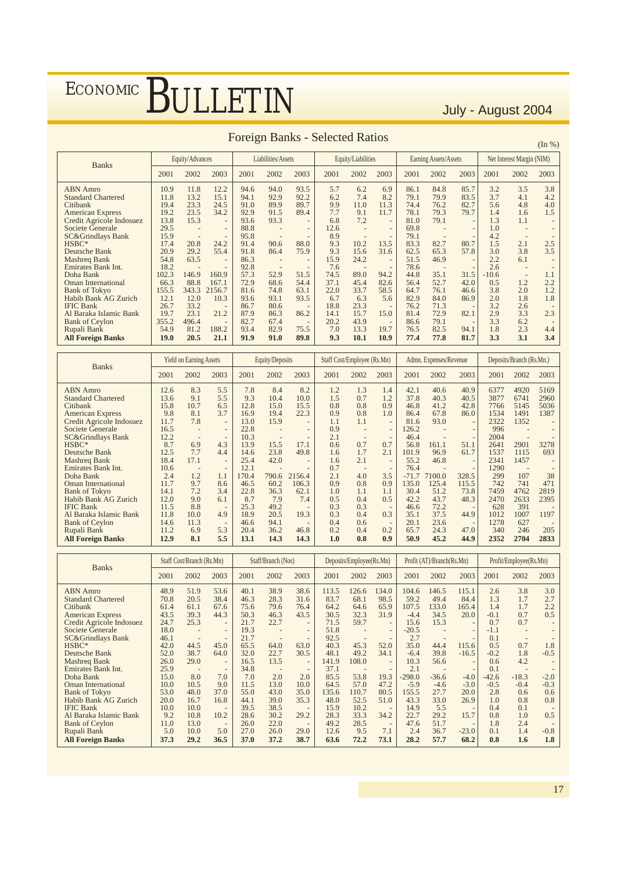|                              |       |                          |                          |      |                    |                          |      |                    |                          |      |                       |      |         |                           | (III 70) |
|------------------------------|-------|--------------------------|--------------------------|------|--------------------|--------------------------|------|--------------------|--------------------------|------|-----------------------|------|---------|---------------------------|----------|
| <b>Banks</b>                 |       | Equity/Advances          |                          |      | Liabilities/Assets |                          |      | Equity/Liabilities |                          |      | Earning Assets/Assets |      |         | Net Interest Margin (NIM) |          |
|                              | 2001  | 2002                     | 2003                     | 2001 | 2002               | 2003                     | 2001 | 2002               | 2003                     | 2001 | 2002                  | 2003 | 2001    | 2002                      | 2003     |
| <b>ABN</b> Amro              | 10.9  | 11.8                     | 12.2                     | 94.6 | 94.0               | 93.5                     | 5.7  | 6.2                | 6.9                      | 86.1 | 84.8                  | 85.7 | 3.2     | 3.5                       | 3.8      |
| <b>Standard Chartered</b>    | 11.8  | 13.2                     | 15.1                     | 94.1 | 92.9               | 92.2                     | 6.2  | 7.4                | 8.2                      | 79.1 | 79.9                  | 83.5 | 3.7     | 4.1                       | 4.2      |
| Citibank                     | 19.4  | 23.3                     | 24.5                     | 91.0 | 89.9               | 89.7                     | 9.9  | 11.0               | 11.3                     | 74.4 | 76.2                  | 82.7 | 5.6     | 4.8                       | 4.0      |
| <b>American Express</b>      | 19.2  | 23.5                     | 34.2                     | 92.9 | 91.5               | 89.4                     | 7.7  | 9.1                | 11.7                     | 78.1 | 79.3                  | 79.7 | 1.4     | 1.6                       | 1.5      |
| Credit Agricole Indosuez     | 13.8  | 15.3                     | $\overline{\phantom{a}}$ | 93.6 | 93.3               | $\overline{\phantom{a}}$ | 6.8  | 7.2                |                          | 81.0 | 79.1                  |      | 1.3     | 1.1                       |          |
| Societe Generale             | 29.5  |                          | $\overline{\phantom{a}}$ | 88.8 |                    | $\overline{\phantom{0}}$ | 12.6 |                    | $\overline{\phantom{a}}$ | 69.8 |                       |      | 1.0     |                           |          |
| <b>SC&amp;Grindlays Bank</b> | 15.9  | $\overline{\phantom{a}}$ |                          | 95.8 |                    |                          | 8.9  |                    |                          | 79.1 |                       |      | 4.2     |                           |          |
| HSBC*                        | 17.4  | 20.8                     | 24.2                     | 91.4 | 90.6               | 88.0                     | 9.3  | 10.2               | 13.5                     | 83.3 | 82.7                  | 80.7 | 1.5     | 2.1                       | 2.5      |
| Deutsche Bank                | 20.9  | 29.2                     | 55.4                     | 91.8 | 86.4               | 75.9                     | 9.3  | 15.6               | 31.6                     | 62.5 | 65.3                  | 57.8 | 3.0     | 3.8                       | 3.5      |
| Mashreg Bank                 | 54.8  | 63.5                     |                          | 86.3 |                    |                          | 15.9 | 24.2               |                          | 51.5 | 46.9                  |      | 2.2     | 6.1                       |          |
| Emirates Bank Int.           | 18.2  |                          |                          | 92.8 |                    | $\overline{\phantom{a}}$ | 7.6  |                    |                          | 78.6 |                       |      | 2.6     |                           |          |
| Doha Bank                    | 102.3 | 146.9                    | 160.9                    | 57.3 | 52.9               | 51.5                     | 74.5 | 89.0               | 94.2                     | 44.8 | 35.1                  | 31.5 | $-10.6$ | $\overline{\phantom{a}}$  | 1.1      |
| <b>Oman International</b>    | 66.3  | 88.8                     | 167.1                    | 72.9 | 68.6               | 54.4                     | 37.1 | 45.4               | 82.6                     | 56.4 | 52.7                  | 42.0 | 0.5     | 1.2                       | 2.2      |
| <b>Bank of Tokyo</b>         | 155.5 | 343.3                    | 2156.7                   | 81.6 | 74.8               | 63.1                     | 22.0 | 33.7               | 58.5                     | 64.7 | 76.1                  | 46.6 | 3.8     | 2.0                       | 1.2      |
| Habib Bank AG Zurich         | 12.1  | 12.0                     | 10.3                     | 93.6 | 93.1               | 93.5                     | 6.7  | 6.3                | 5.6                      | 82.9 | 84.0                  | 86.9 | 2.0     | 1.8                       | 1.8      |
| <b>IFIC Bank</b>             | 26.7  | 33.2                     |                          | 86.7 | 80.6               |                          | 18.8 | 23.3               |                          | 76.2 | 71.3                  |      | 3.2     | 2.6                       |          |
| Al Baraka Islamic Bank       | 19.7  | 23.1                     | 21.2                     | 87.9 | 86.3               | 86.2                     | 14.1 | 15.7               | 15.0                     | 81.4 | 72.9                  | 82.1 | 2.9     | 3.3                       | 2.3      |
| <b>Bank of Ceylon</b>        | 355.2 | 496.4                    |                          | 82.7 | 67.4               |                          | 20.2 | 43.9               |                          | 86.6 | 79.1                  |      | 3.3     | 6.2                       |          |
| Rupali Bank                  | 54.9  | 81.2                     | 188.2                    | 93.4 | 82.9               | 75.5                     | 7.0  | 13.3               | 19.7                     | 76.5 | 82.5                  | 94.1 | 1.8     | 2.3                       | 4.4      |
| <b>All Foreign Banks</b>     | 19.0  | 20.5                     | 21.1                     | 91.9 | 91.0               | 89.8                     | 9.3  | 10.1               | 10.9                     | 77.4 | 77.8                  | 81.7 | 3.3     | 3.1                       | 3.4      |

### Foreign Banks - Selected Ratios (In %)

| <b>Banks</b>                 | <b>Yield on Earning Assets</b> |                          |                          | Equity/Deposits |       |                          | Staff Cost/Employee (Rs.Mn) |      |                          | Admn. Expenses/Revenue |        |                          | Deposits/Branch (Rs.Mn.) |      |      |
|------------------------------|--------------------------------|--------------------------|--------------------------|-----------------|-------|--------------------------|-----------------------------|------|--------------------------|------------------------|--------|--------------------------|--------------------------|------|------|
|                              | 2001                           | 2002                     | 2003                     | 2001            | 2002  | 2003                     | 2001                        | 2002 | 2003                     | 2001                   | 2002   | 2003                     | 2001                     | 2002 | 2003 |
| <b>ABN</b> Amro              | 12.6                           | 8.3                      | 5.5                      | 7.8             | 8.4   | 8.2                      | 1.2                         | 1.3  | 1.4                      | 42.1                   | 40.6   | 40.9                     | 6377                     | 4920 | 5169 |
| <b>Standard Chartered</b>    | 13.6                           | 9.1                      | 5.5                      | 9.3             | 10.4  | 10.0                     | 1.5                         | 0.7  | 1.2                      | 37.8                   | 40.3   | 40.5                     | 3877                     | 6741 | 2960 |
| Citibank                     | 15.8                           | 10.7                     | 6.5                      | 12.8            | 15.0  | 15.5                     | 0.8                         | 0.8  | 0.9                      | 46.8                   | 41.2   | 42.8                     | 7766                     | 5145 | 5036 |
| <b>American Express</b>      | 9.8                            | 8.1                      | 3.7                      | 16.9            | 19.4  | 22.3                     | 0.9                         | 0.8  | 1.0                      | 86.4                   | 67.8   | 86.0                     | 1534                     | 1491 | 1387 |
| Credit Agricole Indosuez     | 11.7                           | 7.8                      | $\overline{\phantom{0}}$ | 13.0            | 15.9  | $\overline{\phantom{a}}$ | 1.1                         | 1.1  | $\overline{\phantom{m}}$ | 81.6                   | 93.0   | $\overline{\phantom{m}}$ | 2322                     | 1352 |      |
| Societe Generale             | 16.5                           |                          | $\overline{\phantom{0}}$ | 22.8            |       | $\overline{\phantom{0}}$ | 0.9                         |      | $\qquad \qquad -$        | 126.2                  |        |                          | 996                      |      |      |
| <b>SC&amp;Grindlays Bank</b> | 12.2                           | $\overline{\phantom{m}}$ | $\overline{\phantom{a}}$ | 10.3            |       | $\overline{\phantom{a}}$ | 2.1                         |      | $\overline{\phantom{m}}$ | 46.4                   |        |                          | 2004                     |      |      |
| $HSBC*$                      | 8.7                            | 6.9                      | 4.3                      | 13.9            | 15.5  | 17.1                     | 0.6                         | 0.7  | 0.7                      | 56.8                   | 161.1  | 51.1                     | 2641                     | 2901 | 3278 |
| Deutsche Bank                | 12.5                           | 7.7                      | 4.4                      | 14.6            | 23.8  | 49.8                     | 1.6                         | 1.7  | 2.1                      | 101.9                  | 96.9   | 61.7                     | 1537                     | 1115 | 693  |
| Mashreg Bank                 | 18.4                           | 17.1                     | $\overline{\phantom{0}}$ | 25.4            | 42.0  | $\overline{\phantom{m}}$ | 1.6                         | 2.1  | $\qquad \qquad -$        | 55.2                   | 46.8   | $\overline{\phantom{m}}$ | 2341                     | 1457 |      |
| <b>Emirates Bank Int.</b>    | 10.6                           |                          | $\overline{\phantom{a}}$ | 12.1            |       |                          | 0.7                         |      |                          | 76.4                   |        |                          | 1290                     |      |      |
| Doha Bank                    | 2.4                            | 1.2                      | 1.1                      | 170.4           | 790.6 | 2156.4                   | 2.1                         | 4.0  | 3.5                      | $-71.7$                | 7100.0 | 328.5                    | 299                      | 107  | 38   |
| <b>Oman International</b>    | 11.7                           | 9.7                      | 8.6                      | 46.5            | 60.2  | 106.3                    | 0.9                         | 0.8  | 0.9                      | 135.0                  | 125.4  | 115.5                    | 742                      | 741  | 471  |
| <b>Bank of Tokyo</b>         | 14.1                           | 7.2                      | 3.4                      | 22.8            | 36.3  | 62.1                     | 1.0                         | 1.1  | 1.1                      | 30.4                   | 51.2   | 73.8                     | 7459                     | 4762 | 2819 |
| Habib Bank AG Zurich         | 12.0                           | 9.0                      | 6.1                      | 8.7             | 7.9   | 7.4                      | 0.5                         | 0.4  | 0.5                      | 42.2                   | 43.7   | 48.3                     | 2470                     | 2633 | 2395 |
| <b>IFIC Bank</b>             | 11.5                           | 8.8                      | $\overline{\phantom{m}}$ | 25.3            | 49.2  |                          | 0.3                         | 0.3  | $\overline{\phantom{a}}$ | 46.6                   | 72.2   |                          | 628                      | 391  |      |
| Al Baraka Islamic Bank       | 11.8                           | 10.0                     | 4.9                      | 18.9            | 20.5  | 19.3                     | 0.3                         | 0.4  | 0.3                      | 35.1                   | 37.5   | 44.9                     | 1012                     | 1007 | 1197 |
| <b>Bank of Ceylon</b>        | 14.6                           | 11.3                     | $\overline{\phantom{a}}$ | 46.6            | 94.1  |                          | 0.4                         | 0.6  | $\overline{\phantom{a}}$ | 20.1                   | 23.6   | $\overline{\phantom{a}}$ | 1278                     | 627  |      |
| Rupali Bank                  | 11.2                           | 6.9                      | 5.3                      | 20.4            | 36.2  | 46.8                     | 0.2                         | 0.4  | 0.2                      | 65.7                   | 24.3   | 47.0                     | 340                      | 246  | 205  |
| <b>All Foreign Banks</b>     | 12.9                           | 8.1                      | 5.5                      | 13.1            | 14.3  | 14.3                     | 1.0                         | 0.8  | 0.9 <sup>°</sup>         | 50.9                   | 45.2   | 44.9                     | 2352                     | 2704 | 2833 |

| <b>Banks</b>                 |      | Staff Cost/Branch (Rs.Mn) |                          | Staff/Branch (Nos) |      |                          | Deposits/Employee(Rs.Mn) |       |                          | Profit (AT)/Branch(Rs.Mn) |         |         | Profit/Employee(Rs.Mn) |                          |        |
|------------------------------|------|---------------------------|--------------------------|--------------------|------|--------------------------|--------------------------|-------|--------------------------|---------------------------|---------|---------|------------------------|--------------------------|--------|
|                              | 2001 | 2002                      | 2003                     | 2001               | 2002 | 2003                     | 2001                     | 2002  | 2003                     | 2001                      | 2002    | 2003    | 2001                   | 2002                     | 2003   |
| <b>ABN</b> Amro              | 48.9 | 51.9                      | 53.6                     | 40.1               | 38.9 | 38.6                     | 113.5                    | 126.6 | 134.0                    | 104.6                     | 146.5   | 115.1   | 2.6                    | 3.8                      | 3.0    |
| <b>Standard Chartered</b>    | 70.8 | 20.5                      | 38.4                     | 46.3               | 28.3 | 31.6                     | 83.7                     | 68.1  | 98.5                     | 59.2                      | 49.4    | 84.4    | 1.3                    | 1.7                      | 2.7    |
| Citibank                     | 61.4 | 61.1                      | 67.6                     | 75.6               | 79.6 | 76.4                     | 64.2                     | 64.6  | 65.9                     | 107.5                     | 133.0   | 165.4   | 1.4                    | 1.7                      | 2.2    |
| <b>American Express</b>      | 43.5 | 39.3                      | 44.3                     | 50.3               | 46.3 | 43.5                     | 30.5                     | 32.3  | 31.9                     | $-4.4$                    | 34.5    | 20.0    | $-0.1$                 | 0.7                      | 0.5    |
| Credit Agricole Indosuez     | 24.7 | 25.3                      | $\overline{\phantom{m}}$ | 21.7               | 22.7 | $\qquad \qquad -$        | 71.5                     | 59.7  |                          | 15.6                      | 15.3    |         | 0.7                    | 0.7                      |        |
| Societe Generale             | 18.0 | $\overline{\phantom{a}}$  | $\qquad \qquad -$        | 19.3               |      | $\qquad \qquad -$        | 51.8                     |       | $\overline{\phantom{0}}$ | $-20.5$                   |         |         | $-1.1$                 | $\overline{\phantom{a}}$ |        |
| <b>SC&amp;Grindlays Bank</b> | 46.1 | $\overline{\phantom{m}}$  | $\overline{\phantom{m}}$ | 21.7               |      | $\overline{\phantom{m}}$ | 92.5                     |       |                          | 2.7                       |         |         | 0.1                    | $\overline{\phantom{a}}$ |        |
| HSBC*                        | 42.0 | 44.5                      | 45.0                     | 65.5               | 64.0 | 63.0                     | 40.3                     | 45.3  | 52.0                     | 35.0                      | 44.4    | 115.6   | 0.5                    | 0.7                      | 1.8    |
| Deutsche Bank                | 52.0 | 38.7                      | 64.0                     | 32.0               | 22.7 | 30.5                     | 48.1                     | 49.2  | 34.1                     | $-6.4$                    | 39.8    | $-16.5$ | $-0.2$                 | 1.8                      | $-0.5$ |
| Mashreg Bank                 | 26.0 | 29.0                      | $\overline{\phantom{m}}$ | 16.5               | 13.5 | $\overline{\phantom{0}}$ | 141.9                    | 108.0 |                          | 10.3                      | 56.6    |         | 0.6                    | 4.2                      |        |
| Emirates Bank Int.           | 25.9 |                           | $\overline{\phantom{m}}$ | 34.8               |      |                          | 37.1                     |       |                          | 2.1                       |         |         | 0.1                    | $\overline{\phantom{a}}$ |        |
| Doha Bank                    | 15.0 | 8.0                       | 7.0                      | 7.0                | 2.0  | 2.0                      | 85.5                     | 53.8  | 19.3                     | $-298.0$                  | $-36.6$ | $-4.0$  | $-42.6$                | $-18.3$                  | $-2.0$ |
| <b>Oman International</b>    | 10.0 | 10.5                      | 9.0                      | 11.5               | 13.0 | 10.0                     | 64.5                     | 57.0  | 47.2                     | $-5.9$                    | $-4.6$  | $-3.0$  | $-0.5$                 | $-0.4$                   | $-0.3$ |
| <b>Bank of Tokyo</b>         | 53.0 | 48.0                      | 37.0                     | 55.0               | 43.0 | 35.0                     | 135.6                    | 110.7 | 80.5                     | 155.5                     | 27.7    | 20.0    | 2.8                    | 0.6                      | 0.6    |
| <b>Habib Bank AG Zurich</b>  | 20.0 | 16.7                      | 16.8                     | 44.1               | 39.0 | 35.3                     | 48.0                     | 52.5  | 51.0                     | 43.3                      | 33.0    | 26.9    | 1.0                    | 0.8                      | 0.8    |
| <b>IFIC Bank</b>             | 10.0 | 10.0                      | $\overline{\phantom{a}}$ | 39.5               | 38.5 | $\overline{\phantom{m}}$ | 15.9                     | 10.2  |                          | 14.9                      | 5.5     |         | 0.4                    | 0.1                      |        |
| Al Baraka Islamic Bank       | 9.2  | 10.8                      | 10.2                     | 28.6               | 30.2 | 29.2                     | 28.3                     | 33.3  | 34.2                     | 22.7                      | 29.2    | 15.7    | 0.8                    | 1.0                      | 0.5    |
| <b>Bank of Ceylon</b>        | 11.0 | 13.0                      | $\overline{\phantom{a}}$ | 26.0               | 22.0 | $\overline{\phantom{m}}$ | 49.2                     | 28.5  | $\overline{\phantom{a}}$ | 47.6                      | 51.7    |         | 1.8                    | 2.4                      |        |
| Rupali Bank                  | 5.0  | 10.0                      | 5.0                      | 27.0               | 26.0 | 29.0                     | 12.6                     | 9.5   | 7.1                      | 2.4                       | 36.7    | $-23.0$ | 0.1                    | 1.4                      | $-0.8$ |
| <b>All Foreign Banks</b>     | 37.3 | 29.2                      | 36.5                     | 37.0               | 37.2 | 38.7                     | 63.6                     | 72.2  | 73.1                     | 28.2                      | 57.7    | 68.2    | 0.8                    | 1.6                      | 1.8    |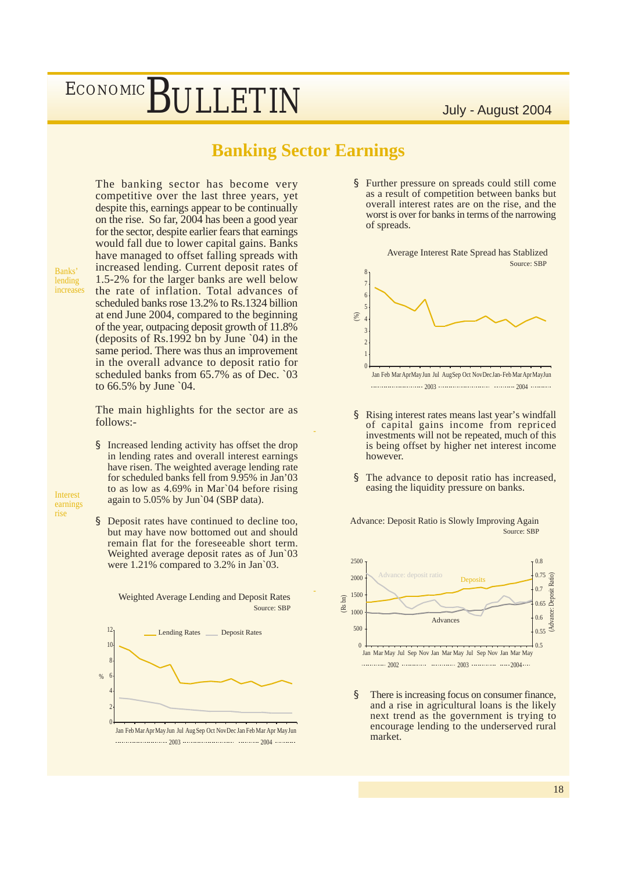### **Banking Sector Earnings**

-

-

Source: SBP

The banking sector has become very competitive over the last three years, yet despite this, earnings appear to be continually on the rise. So far, 2004 has been a good year for the sector, despite earlier fears that earnings would fall due to lower capital gains. Banks have managed to offset falling spreads with increased lending. Current deposit rates of 1.5-2% for the larger banks are well below the rate of inflation. Total advances of scheduled banks rose 13.2% to Rs.1324 billion at end June 2004, compared to the beginning of the year, outpacing deposit growth of 11.8% (deposits of Rs.1992 bn by June `04) in the same period. There was thus an improvement in the overall advance to deposit ratio for scheduled banks from 65.7% as of Dec. `03 to 66.5% by June `04.

The main highlights for the sector are as follows:-

§ Increased lending activity has offset the drop in lending rates and overall interest earnings have risen. The weighted average lending rate for scheduled banks fell from 9.95% in Jan'03 to as low as 4.69% in Mar`04 before rising again to 5.05% by Jun`04 (SBP data).

Interest earnings rise

Banks' lending increases

> § Deposit rates have continued to decline too, but may have now bottomed out and should remain flat for the foreseeable short term. Weighted average deposit rates as of Jun`03 were 1.21% compared to 3.2% in Jan 03.

> > Weighted Average Lending and Deposit Rates



§ Further pressure on spreads could still come as a result of competition between banks but overall interest rates are on the rise, and the worst is over for banks in terms of the narrowing of spreads.



- § Rising interest rates means last year's windfall of capital gains income from repriced investments will not be repeated, much of this is being offset by higher net interest income however.
- § The advance to deposit ratio has increased, easing the liquidity pressure on banks.



§ There is increasing focus on consumer finance, and a rise in agricultural loans is the likely next trend as the government is trying to encourage lending to the underserved rural market.

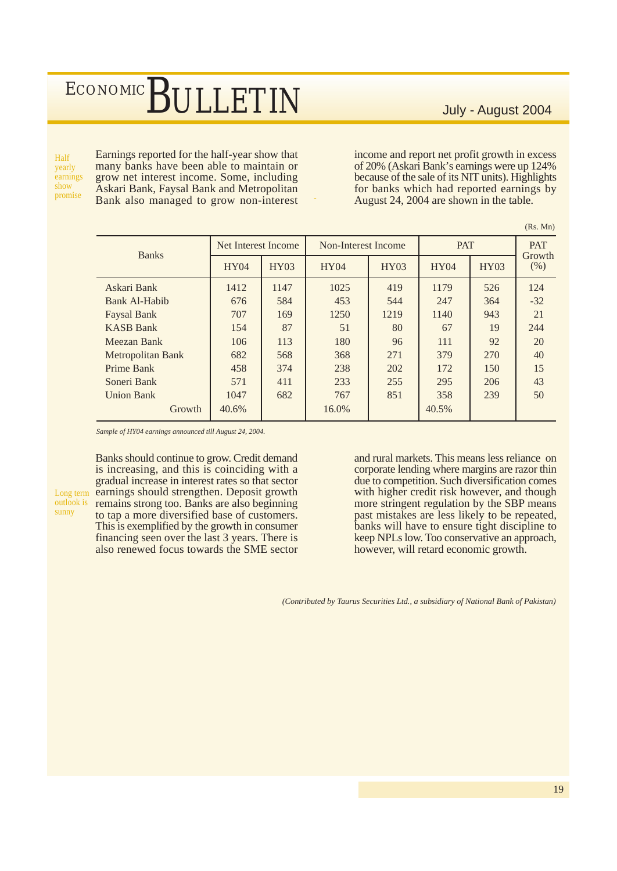$(P_s$ . Mn)

Half yearly earnings show

outlook is sunny

Earnings reported for the half-year show that many banks have been able to maintain or grow net interest income. Some, including Askari Bank, Faysal Bank and Metropolitan promise Bank also managed to grow non-interest income and report net profit growth in excess of 20% (Askari Bank's earnings were up 124% because of the sale of its NIT units). Highlights for banks which had reported earnings by August 24, 2004 are shown in the table.

| <b>Banks</b>       | Net Interest Income |      | Non-Interest Income |      | <b>PAT</b> | <b>PAT</b><br>Growth |         |  |  |  |  |  |
|--------------------|---------------------|------|---------------------|------|------------|----------------------|---------|--|--|--|--|--|
|                    | HY04                | HY03 | HY04                | HY03 | HY04       | <b>HY03</b>          | $(\% )$ |  |  |  |  |  |
| Askari Bank        | 1412                | 1147 | 1025                | 419  | 1179       | 526                  | 124     |  |  |  |  |  |
| Bank Al-Habib      | 676                 | 584  | 453                 | 544  | 247        | 364                  | $-32$   |  |  |  |  |  |
| <b>Faysal Bank</b> | 707                 | 169  | 1250                | 1219 | 1140       | 943                  | 21      |  |  |  |  |  |
| <b>KASB Bank</b>   | 154                 | 87   | 51                  | 80   | 67         | 19                   | 244     |  |  |  |  |  |
| Meezan Bank        | 106                 | 113  | 180                 | 96   | 111        | 92                   | 20      |  |  |  |  |  |
| Metropolitan Bank  | 682                 | 568  | 368                 | 271  | 379        | 270                  | 40      |  |  |  |  |  |
| Prime Bank         | 458                 | 374  | 238                 | 202  | 172        | 150                  | 15      |  |  |  |  |  |
| Soneri Bank        | 571                 | 411  | 233                 | 255  | 295        | 206                  | 43      |  |  |  |  |  |
| <b>Union Bank</b>  | 1047                | 682  | 767                 | 851  | 358        | 239                  | 50      |  |  |  |  |  |
| Growth             | 40.6%               |      | 16.0%               |      | 40.5%      |                      |         |  |  |  |  |  |

*Sample of HY04 earnings announced till August 24, 2004.*

Banks should continue to grow. Credit demand is increasing, and this is coinciding with a gradual increase in interest rates so that sector Long term earnings should strengthen. Deposit growth remains strong too. Banks are also beginning to tap a more diversified base of customers. This is exemplified by the growth in consumer financing seen over the last 3 years. There is also renewed focus towards the SME sector

and rural markets. This means less reliance on corporate lending where margins are razor thin due to competition. Such diversification comes with higher credit risk however, and though more stringent regulation by the SBP means past mistakes are less likely to be repeated, banks will have to ensure tight discipline to keep NPLs low. Too conservative an approach, however, will retard economic growth.

*(Contributed by Taurus Securities Ltd., a subsidiary of National Bank of Pakistan)*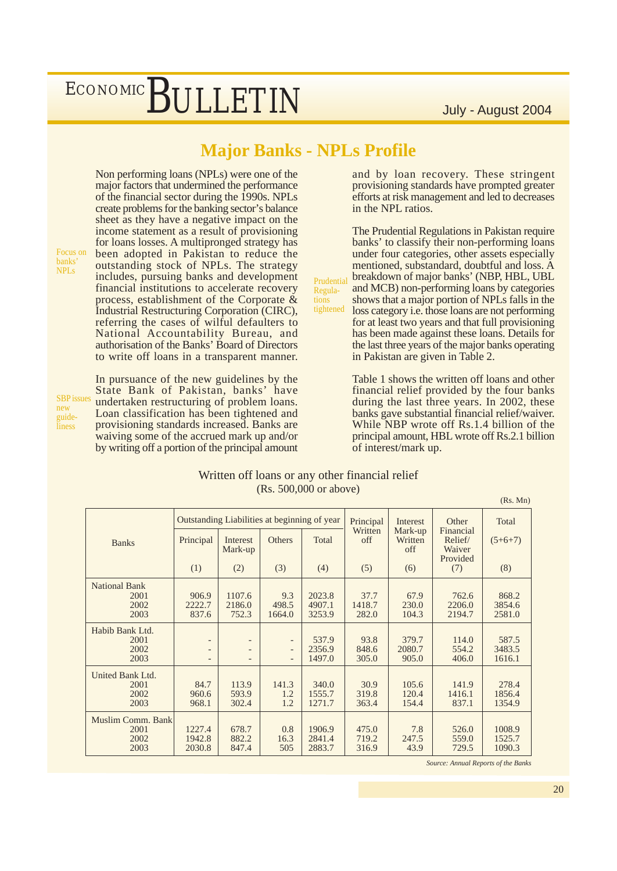## **Major Banks - NPLs Profile**

Non performing loans (NPLs) were one of the major factors that undermined the performance of the financial sector during the 1990s. NPLs create problems for the banking sector's balance sheet as they have a negative impact on the income statement as a result of provisioning for loans losses. A multipronged strategy has been adopted in Pakistan to reduce the outstanding stock of NPLs. The strategy includes, pursuing banks and development financial institutions to accelerate recovery process, establishment of the Corporate & Industrial Restructuring Corporation (CIRC), referring the cases of wilful defaulters to National Accountability Bureau, and authorisation of the Banks' Board of Directors to write off loans in a transparent manner.

Focus on banks' NPLs

SBP issues new guideliness

In pursuance of the new guidelines by the State Bank of Pakistan, banks' have undertaken restructuring of problem loans. Loan classification has been tightened and provisioning standards increased. Banks are waiving some of the accrued mark up and/or by writing off a portion of the principal amount

and by loan recovery. These stringent provisioning standards have prompted greater efforts at risk management and led to decreases in the NPL ratios.

Prudential Regulations tightened The Prudential Regulations in Pakistan require banks' to classify their non-performing loans under four categories, other assets especially mentioned, substandard, doubtful and loss. A breakdown of major banks' (NBP, HBL, UBL and MCB) non-performing loans by categories shows that a major portion of NPLs falls in the loss category i.e. those loans are not performing for at least two years and that full provisioning has been made against these loans. Details for the last three years of the major banks operating in Pakistan are given in Table 2.

> Table 1 shows the written off loans and other financial relief provided by the four banks during the last three years. In 2002, these banks gave substantial financial relief/waiver. While NBP wrote off Rs.1.4 billion of the principal amount, HBL wrote off Rs.2.1 billion of interest/mark up.

#### Written off loans or any other financial relief (Rs. 500,000 or above)

National Bank<br>2001 2001 906.9 1107.6 9.3 2023.8 37.7 67.9 762.6 868.2 2002 2222.7 2186.0 498.5 4907.1 1418.7 230.0 2206.0 3854.6 2003 837.6 752.3 1664.0 3253.9 282.0 104.3 2194.7 2581.0 Habib Bank Ltd. 2001 | - | - | - | 537.9 | 93.8 | 379.7 | 114.0 | 587.5 2002 | - | - | 2356.9 | 848.6 | 2080.7 | 554.2 | 3483.5 2003 - - - 1497.0 305.0 905.0 406.0 1616.1 United Bank Ltd.<br>2001 2001 | 84.7 | 113.9 | 141.3 | 340.0 | 30.9 | 105.6 | 141.9 | 278.4 2002 960.6 593.9 1.2 1555.7 319.8 120.4 1416.1 1856.4 2003 968.1 302.4 1.2 1271.7 363.4 154.4 837.1 1354.9 Muslim Comm. Bank 2001 1227.4 678.7 0.8 1906.9 475.0 7.8 526.0 1008.9 2002 1942.8 882.2 16.3 2841.4 719.2 247.5 559.0 1525.7 2003 2030.8 847.4 505 2883.7 316.9 43.9 729.5 1090.3  $(Rs$  Mn) Outstanding Liabilities at beginning of year Principal (1) Interest Mark-up (2) **Others** (3) Total (4) Principal **Written** off (5) Interest Mark-up **Written** off (6) **Other** Financial Relief/ Waiver Provided (7) Total  $(5+6+7)$ (8) Banks

*Source: Annual Reports of the Banks*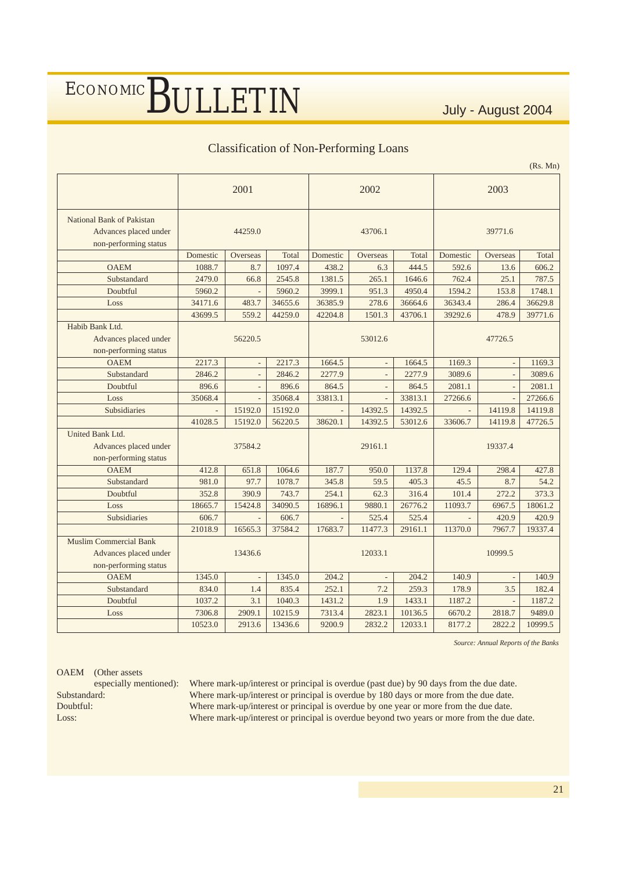#### Classification of Non-Performing Loans

(Rs. Mn)

|                                                                                 |                               | 2001           |         |          | 2002           |         | 2003     |          |         |  |
|---------------------------------------------------------------------------------|-------------------------------|----------------|---------|----------|----------------|---------|----------|----------|---------|--|
| National Bank of Pakistan<br>Advances placed under<br>non-performing status     | 44259.0                       |                |         |          | 43706.1        |         | 39771.6  |          |         |  |
|                                                                                 | Domestic<br>Overseas<br>Total |                |         | Domestic | Overseas       | Total   | Domestic | Overseas | Total   |  |
| <b>OAEM</b>                                                                     | 1088.7<br>8.7                 |                | 1097.4  | 438.2    | 6.3            | 444.5   | 592.6    | 13.6     | 606.2   |  |
| Substandard                                                                     | 2479.0                        | 66.8           | 2545.8  | 1381.5   | 265.1          | 1646.6  | 762.4    | 25.1     | 787.5   |  |
| Doubtful                                                                        | 5960.2                        |                | 5960.2  | 3999.1   | 951.3          | 4950.4  | 1594.2   | 153.8    | 1748.1  |  |
| Loss                                                                            | 34171.6                       | 483.7          | 34655.6 | 36385.9  | 278.6          | 36664.6 | 36343.4  | 286.4    | 36629.8 |  |
|                                                                                 | 43699.5                       | 559.2          | 44259.0 | 42204.8  | 1501.3         | 43706.1 | 39292.6  | 478.9    | 39771.6 |  |
| Habib Bank Ltd.<br>Advances placed under<br>non-performing status               | 56220.5                       |                |         | 53012.6  |                |         | 47726.5  |          |         |  |
| <b>OAEM</b>                                                                     | 2217.3                        |                | 2217.3  | 1664.5   |                | 1664.5  | 1169.3   |          | 1169.3  |  |
| Substandard                                                                     | 2846.2                        |                | 2846.2  | 2277.9   |                | 2277.9  | 3089.6   |          | 3089.6  |  |
| Doubtful                                                                        | 896.6                         |                | 896.6   | 864.5    |                | 864.5   | 2081.1   |          | 2081.1  |  |
| Loss                                                                            | 35068.4                       |                | 35068.4 | 33813.1  |                | 33813.1 | 27266.6  |          | 27266.6 |  |
| <b>Subsidiaries</b>                                                             |                               | 15192.0        | 15192.0 |          | 14392.5        | 14392.5 |          | 14119.8  | 14119.8 |  |
|                                                                                 | 41028.5                       | 15192.0        | 56220.5 | 38620.1  | 14392.5        | 53012.6 | 33606.7  | 14119.8  | 47726.5 |  |
| United Bank Ltd.<br>Advances placed under<br>non-performing status              | 37584.2                       |                |         |          | 29161.1        |         |          | 19337.4  |         |  |
| <b>OAEM</b>                                                                     | 412.8                         | 651.8          | 1064.6  | 187.7    | 950.0          | 1137.8  | 129.4    | 298.4    | 427.8   |  |
| Substandard                                                                     | 981.0                         | 97.7           | 1078.7  | 345.8    | 59.5           | 405.3   | 45.5     | 8.7      | 54.2    |  |
| Doubtful                                                                        | 352.8                         | 390.9          | 743.7   | 254.1    | 62.3           | 316.4   | 101.4    | 272.2    | 373.3   |  |
| Loss                                                                            | 18665.7                       | 15424.8        | 34090.5 | 16896.1  | 9880.1         | 26776.2 | 11093.7  | 6967.5   | 18061.2 |  |
| Subsidiaries                                                                    | 606.7                         |                | 606.7   |          | 525.4          | 525.4   |          | 420.9    | 420.9   |  |
|                                                                                 | 21018.9                       | 16565.3        | 37584.2 | 17683.7  | 11477.3        | 29161.1 | 11370.0  | 7967.7   | 19337.4 |  |
| <b>Muslim Commercial Bank</b><br>Advances placed under<br>non-performing status | 13436.6                       |                |         | 12033.1  |                |         | 10999.5  |          |         |  |
| <b>OAEM</b>                                                                     | 1345.0                        | $\overline{a}$ | 1345.0  | 204.2    | $\overline{a}$ | 204.2   | 140.9    |          | 140.9   |  |
| Substandard                                                                     | 834.0                         | 1.4            | 835.4   | 252.1    | 7.2            | 259.3   | 178.9    | 3.5      | 182.4   |  |
| Doubtful                                                                        | 1037.2                        | 3.1            | 1040.3  | 1431.2   | 1.9            | 1433.1  | 1187.2   |          | 1187.2  |  |
| Loss                                                                            | 7306.8                        | 2909.1         | 10215.9 | 7313.4   | 2823.1         | 10136.5 | 6670.2   | 2818.7   | 9489.0  |  |
|                                                                                 | 10523.0                       | 2913.6         | 13436.6 | 9200.9   | 2832.2         | 12033.1 | 8177.2   | 2822.2   | 10999.5 |  |

*Source: Annual Reports of the Banks*

OAEM (Other assets

especially mentioned): Where mark-up/interest or principal is overdue (past due) by 90 days from the due date.<br>Substandard: Where mark-up/interest or principal is overdue by 180 days or more from the due date. Where mark-up/interest or principal is overdue by 180 days or more from the due date. Doubtful: Where mark-up/interest or principal is overdue by one year or more from the due date. Loss: Where mark-up/interest or principal is overdue beyond two years or more from the due date.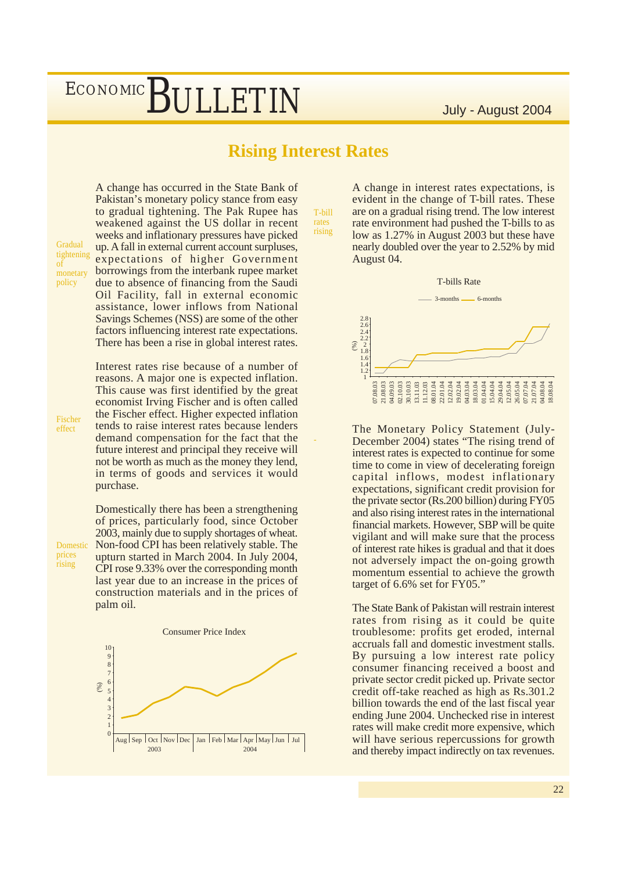### **Rising Interest Rates**

T-bill rates rising

-

A change has occurred in the State Bank of Pakistan's monetary policy stance from easy to gradual tightening. The Pak Rupee has weakened against the US dollar in recent weeks and inflationary pressures have picked up. A fall in external current account surpluses, expectations of higher Government borrowings from the interbank rupee market due to absence of financing from the Saudi Oil Facility, fall in external economic assistance, lower inflows from National Savings Schemes (NSS) are some of the other factors influencing interest rate expectations.

Interest rates rise because of a number of reasons. A major one is expected inflation. This cause was first identified by the great economist Irving Fischer and is often called the Fischer effect. Higher expected inflation tends to raise interest rates because lenders demand compensation for the fact that the future interest and principal they receive will not be worth as much as the money they lend, in terms of goods and services it would purchase.

There has been a rise in global interest rates.

Domestically there has been a strengthening of prices, particularly food, since October 2003, mainly due to supply shortages of wheat. Non-food CPI has been relatively stable. The upturn started in March 2004. In July 2004, CPI rose 9.33% over the corresponding month last year due to an increase in the prices of construction materials and in the prices of palm oil.



A change in interest rates expectations, is evident in the change of T-bill rates. These are on a gradual rising trend. The low interest rate environment had pushed the T-bills to as low as 1.27% in August 2003 but these have nearly doubled over the year to 2.52% by mid August 04.



The Monetary Policy Statement (July-December 2004) states "The rising trend of interest rates is expected to continue for some time to come in view of decelerating foreign capital inflows, modest inflationary expectations, significant credit provision for the private sector (Rs.200 billion) during FY05 and also rising interest rates in the international financial markets. However, SBP will be quite vigilant and will make sure that the process of interest rate hikes is gradual and that it does not adversely impact the on-going growth momentum essential to achieve the growth target of 6.6% set for FY05."

The State Bank of Pakistan will restrain interest rates from rising as it could be quite troublesome: profits get eroded, internal accruals fall and domestic investment stalls. By pursuing a low interest rate policy consumer financing received a boost and private sector credit picked up. Private sector credit off-take reached as high as Rs.301.2 billion towards the end of the last fiscal year ending June 2004. Unchecked rise in interest rates will make credit more expensive, which will have serious repercussions for growth and thereby impact indirectly on tax revenues.

Fischer effect

Gradual tightening of monetary policy

prices rising

Domestic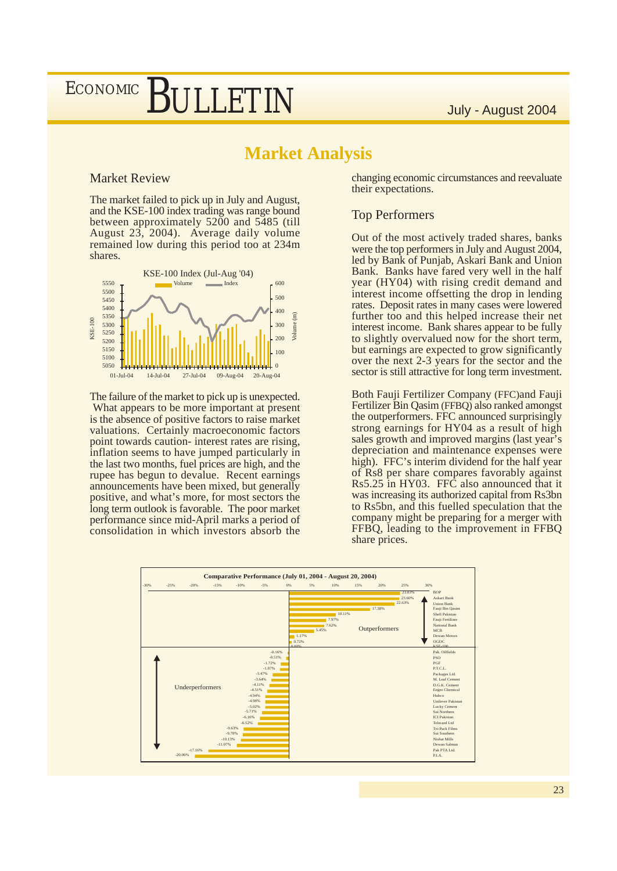# **BULLETIN** July - August 2004

### **Market Analysis**

#### Market Review

**ECONOMIC** 

The market failed to pick up in July and August, and the KSE-100 index trading was range bound between approximately 5200 and 5485 (till August 23, 2004). Average daily volume remained low during this period too at 234m shares.



The failure of the market to pick up is unexpected. What appears to be more important at present is the absence of positive factors to raise market valuations. Certainly macroeconomic factors point towards caution- interest rates are rising, inflation seems to have jumped particularly in the last two months, fuel prices are high, and the rupee has begun to devalue. Recent earnings announcements have been mixed, but generally positive, and what's more, for most sectors the long term outlook is favorable. The poor market performance since mid-April marks a period of consolidation in which investors absorb the

changing economic circumstances and reevaluate their expectations.

#### Top Performers

Out of the most actively traded shares, banks were the top performers in July and August 2004, led by Bank of Punjab, Askari Bank and Union Bank. Banks have fared very well in the half year (HY04) with rising credit demand and interest income offsetting the drop in lending rates. Deposit rates in many cases were lowered further too and this helped increase their net interest income. Bank shares appear to be fully to slightly overvalued now for the short term, but earnings are expected to grow significantly over the next 2-3 years for the sector and the sector is still attractive for long term investment.

Both Fauji Fertilizer Company (FFC)and Fauji Fertilizer Bin Qasim (FFBQ) also ranked amongst the outperformers. FFC announced surprisingly strong earnings for HY04 as a result of high sales growth and improved margins (last year's depreciation and maintenance expenses were high). FFC's interim dividend for the half year of Rs8 per share compares favorably against Rs5.25 in HY03. FFC also announced that it was increasing its authorized capital from Rs3bn to Rs5bn, and this fuelled speculation that the company might be preparing for a merger with FFBQ, leading to the improvement in FFBQ share prices.